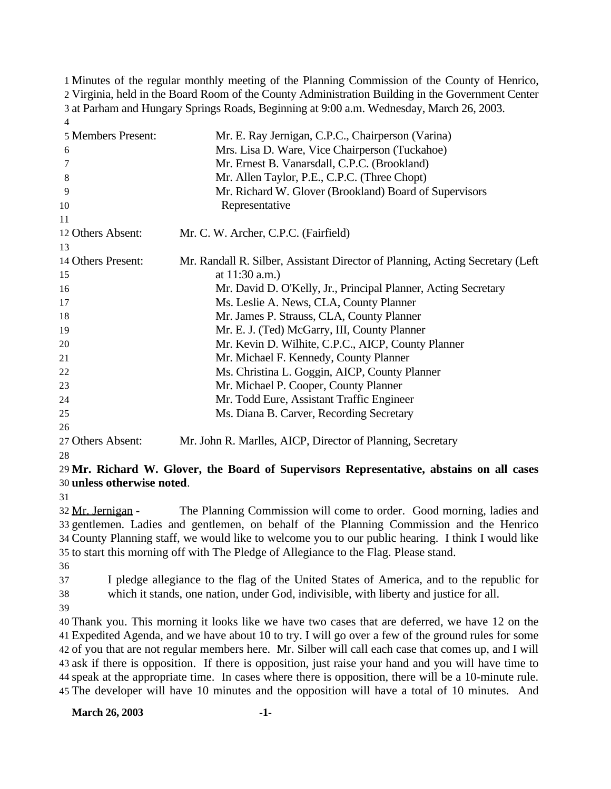Minutes of the regular monthly meeting of the Planning Commission of the County of Henrico, Virginia, held in the Board Room of the County Administration Building in the Government Center at Parham and Hungary Springs Roads, Beginning at 9:00 a.m. Wednesday, March 26, 2003. 

| 5 Members Present: | Mr. E. Ray Jernigan, C.P.C., Chairperson (Varina)                              |
|--------------------|--------------------------------------------------------------------------------|
| 6                  | Mrs. Lisa D. Ware, Vice Chairperson (Tuckahoe)                                 |
| 7                  | Mr. Ernest B. Vanarsdall, C.P.C. (Brookland)                                   |
| 8                  | Mr. Allen Taylor, P.E., C.P.C. (Three Chopt)                                   |
| 9                  | Mr. Richard W. Glover (Brookland) Board of Supervisors                         |
| 10                 | Representative                                                                 |
| 11                 |                                                                                |
| 12 Others Absent:  | Mr. C. W. Archer, C.P.C. (Fairfield)                                           |
| 13                 |                                                                                |
| 14 Others Present: | Mr. Randall R. Silber, Assistant Director of Planning, Acting Secretary (Left) |
| 15                 | at $11:30$ a.m.)                                                               |
| 16                 | Mr. David D. O'Kelly, Jr., Principal Planner, Acting Secretary                 |
| 17                 | Ms. Leslie A. News, CLA, County Planner                                        |
| 18                 | Mr. James P. Strauss, CLA, County Planner                                      |
| 19                 | Mr. E. J. (Ted) McGarry, III, County Planner                                   |
| 20                 | Mr. Kevin D. Wilhite, C.P.C., AICP, County Planner                             |
| 21                 | Mr. Michael F. Kennedy, County Planner                                         |
| $22\,$             | Ms. Christina L. Goggin, AICP, County Planner                                  |
| 23                 | Mr. Michael P. Cooper, County Planner                                          |
| 24                 | Mr. Todd Eure, Assistant Traffic Engineer                                      |
| 25                 | Ms. Diana B. Carver, Recording Secretary                                       |
| 26                 |                                                                                |
| 27 Others Absent:  | Mr. John R. Marlles, AICP, Director of Planning, Secretary                     |

## **Mr. Richard W. Glover, the Board of Supervisors Representative, abstains on all cases unless otherwise noted**.

 Mr. Jernigan - The Planning Commission will come to order. Good morning, ladies and gentlemen. Ladies and gentlemen, on behalf of the Planning Commission and the Henrico County Planning staff, we would like to welcome you to our public hearing. I think I would like to start this morning off with The Pledge of Allegiance to the Flag. Please stand.

 I pledge allegiance to the flag of the United States of America, and to the republic for which it stands, one nation, under God, indivisible, with liberty and justice for all.

 Thank you. This morning it looks like we have two cases that are deferred, we have 12 on the Expedited Agenda, and we have about 10 to try. I will go over a few of the ground rules for some of you that are not regular members here. Mr. Silber will call each case that comes up, and I will ask if there is opposition. If there is opposition, just raise your hand and you will have time to speak at the appropriate time. In cases where there is opposition, there will be a 10-minute rule. The developer will have 10 minutes and the opposition will have a total of 10 minutes. And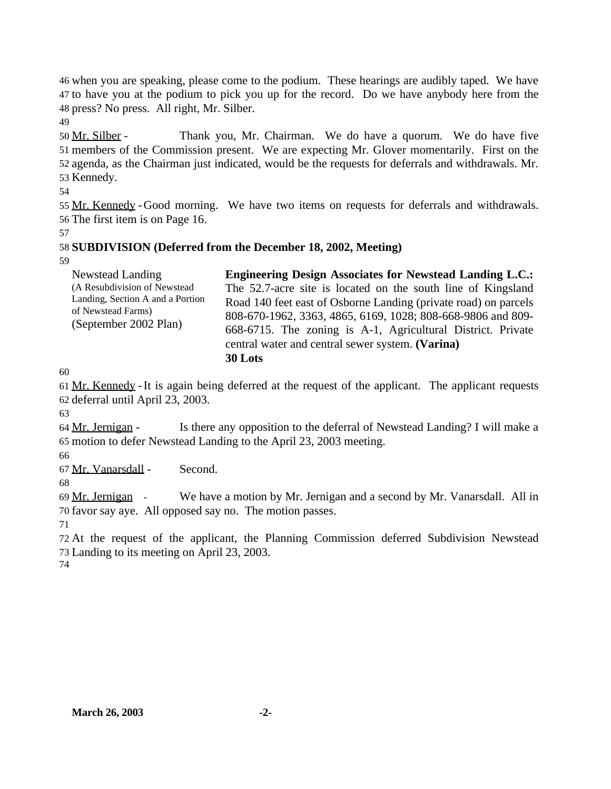when you are speaking, please come to the podium. These hearings are audibly taped. We have to have you at the podium to pick you up for the record. Do we have anybody here from the press? No press. All right, Mr. Silber.

 Mr. Silber - Thank you, Mr. Chairman. We do have a quorum. We do have five members of the Commission present. We are expecting Mr. Glover momentarily. First on the agenda, as the Chairman just indicated, would be the requests for deferrals and withdrawals. Mr. Kennedy.

 Mr. Kennedy -Good morning. We have two items on requests for deferrals and withdrawals. The first item is on Page 16.

## **SUBDIVISION (Deferred from the December 18, 2002, Meeting)**

| Newstead Landing                                                                                                | <b>Engineering Design Associates for Newstead Landing L.C.:</b>                                                                                                                                                                                               |
|-----------------------------------------------------------------------------------------------------------------|---------------------------------------------------------------------------------------------------------------------------------------------------------------------------------------------------------------------------------------------------------------|
| (A Resubdivision of Newstead<br>Landing, Section A and a Portion<br>of Newstead Farms)<br>(September 2002 Plan) | The 52.7-acre site is located on the south line of Kingsland<br>Road 140 feet east of Osborne Landing (private road) on parcels<br>808-670-1962, 3363, 4865, 6169, 1028; 808-668-9806 and 809-<br>668-6715. The zoning is A-1, Agricultural District. Private |
|                                                                                                                 |                                                                                                                                                                                                                                                               |
|                                                                                                                 | central water and central sewer system. (Varina)                                                                                                                                                                                                              |
|                                                                                                                 | 30 Lots                                                                                                                                                                                                                                                       |

 Mr. Kennedy -It is again being deferred at the request of the applicant. The applicant requests deferral until April 23, 2003.

 Mr. Jernigan - Is there any opposition to the deferral of Newstead Landing? I will make a motion to defer Newstead Landing to the April 23, 2003 meeting.

Mr. Vanarsdall - Second.

 Mr. Jernigan - We have a motion by Mr. Jernigan and a second by Mr. Vanarsdall. All in favor say aye. All opposed say no. The motion passes.

 At the request of the applicant, the Planning Commission deferred Subdivision Newstead Landing to its meeting on April 23, 2003.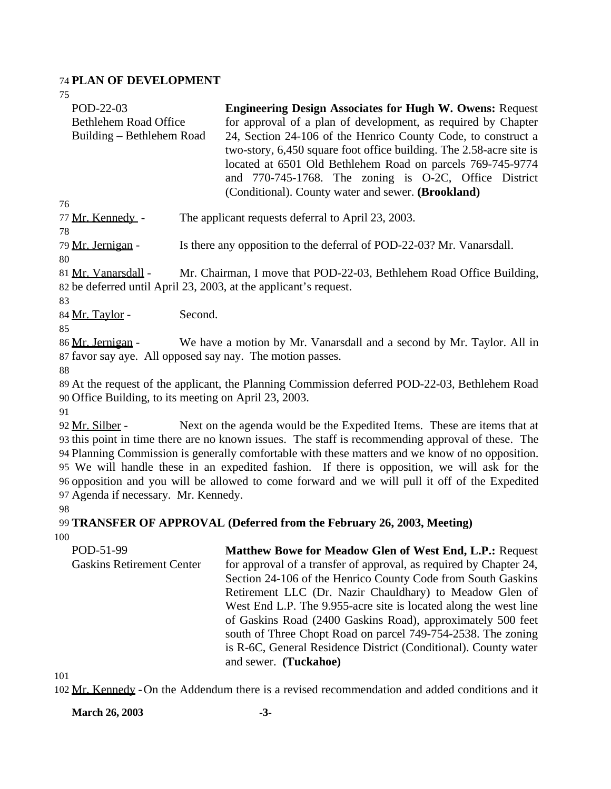#### 74 **PLAN OF DEVELOPMENT**

| 75                           |                                                                     |
|------------------------------|---------------------------------------------------------------------|
| POD-22-03                    | <b>Engineering Design Associates for Hugh W. Owens: Request</b>     |
| <b>Bethlehem Road Office</b> | for approval of a plan of development, as required by Chapter       |
| Building – Bethlehem Road    | 24, Section 24-106 of the Henrico County Code, to construct a       |
|                              | two-story, 6,450 square foot office building. The 2.58-acre site is |
|                              | located at 6501 Old Bethlehem Road on parcels 769-745-9774          |
|                              | and 770-745-1768. The zoning is O-2C, Office District               |
|                              | (Conditional). County water and sewer. (Brookland)                  |
| 76                           |                                                                     |

77 Mr. Kennedy - The applicant requests deferral to April 23, 2003.

78

79 Mr. Jernigan - Is there any opposition to the deferral of POD-22-03? Mr. Vanarsdall.

80

81 Mr. Vanarsdall - Mr. Chairman, I move that POD-22-03, Bethlehem Road Office Building, 82 be deferred until April 23, 2003, at the applicant's request.

83

84 Mr. Taylor - Second.

85

86 Mr. Jernigan - We have a motion by Mr. Vanarsdall and a second by Mr. Taylor. All in 87 favor say aye. All opposed say nay. The motion passes.

88

89 At the request of the applicant, the Planning Commission deferred POD-22-03, Bethlehem Road 90 Office Building, to its meeting on April 23, 2003.

91

92 Mr. Silber - Next on the agenda would be the Expedited Items. These are items that at this point in time there are no known issues. The staff is recommending approval of these. The Planning Commission is generally comfortable with these matters and we know of no opposition. We will handle these in an expedited fashion. If there is opposition, we will ask for the opposition and you will be allowed to come forward and we will pull it off of the Expedited Agenda if necessary. Mr. Kennedy.

98

99 **TRANSFER OF APPROVAL (Deferred from the February 26, 2003, Meeting)** 100

POD-51-99 Gaskins Retirement Center **Matthew Bowe for Meadow Glen of West End, L.P.:** Request for approval of a transfer of approval, as required by Chapter 24, Section 24-106 of the Henrico County Code from South Gaskins Retirement LLC (Dr. Nazir Chauldhary) to Meadow Glen of West End L.P. The 9.955-acre site is located along the west line of Gaskins Road (2400 Gaskins Road), approximately 500 feet south of Three Chopt Road on parcel 749-754-2538. The zoning is R-6C, General Residence District (Conditional). County water and sewer. **(Tuckahoe)**

101

102 Mr. Kennedy -On the Addendum there is a revised recommendation and added conditions and it

**March 26, 2003 -3-**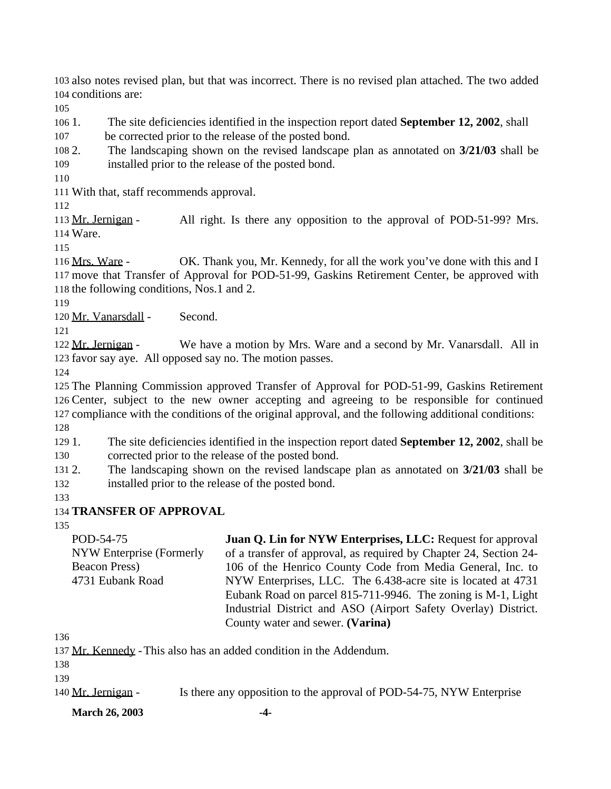also notes revised plan, but that was incorrect. There is no revised plan attached. The two added conditions are:

1. The site deficiencies identified in the inspection report dated **September 12, 2002**, shall

be corrected prior to the release of the posted bond.

 2. The landscaping shown on the revised landscape plan as annotated on **3/21/03** shall be installed prior to the release of the posted bond.

With that, staff recommends approval.

113 Mr. Jernigan - All right. Is there any opposition to the approval of POD-51-99? Mrs. Ware.

116 Mrs. Ware - OK. Thank you, Mr. Kennedy, for all the work you've done with this and I move that Transfer of Approval for POD-51-99, Gaskins Retirement Center, be approved with the following conditions, Nos.1 and 2.

120 Mr. Vanarsdall - Second.

122 Mr. Jernigan - We have a motion by Mrs. Ware and a second by Mr. Vanarsdall. All in favor say aye. All opposed say no. The motion passes.

 The Planning Commission approved Transfer of Approval for POD-51-99, Gaskins Retirement Center, subject to the new owner accepting and agreeing to be responsible for continued compliance with the conditions of the original approval, and the following additional conditions: 

 1. The site deficiencies identified in the inspection report dated **September 12, 2002**, shall be corrected prior to the release of the posted bond.

 2. The landscaping shown on the revised landscape plan as annotated on **3/21/03** shall be installed prior to the release of the posted bond.

## **TRANSFER OF APPROVAL**

POD-54-75 NYW Enterprise (Formerly Beacon Press) 4731 Eubank Road **Juan Q. Lin for NYW Enterprises, LLC:** Request for approval of a transfer of approval, as required by Chapter 24, Section 24- 106 of the Henrico County Code from Media General, Inc. to NYW Enterprises, LLC. The 6.438-acre site is located at 4731 Eubank Road on parcel 815-711-9946. The zoning is M-1, Light Industrial District and ASO (Airport Safety Overlay) District. County water and sewer. **(Varina)**

137 Mr. Kennedy - This also has an added condition in the Addendum.

140 Mr. Jernigan - Is there any opposition to the approval of POD-54-75, NYW Enterprise

**March 26, 2003 -4-**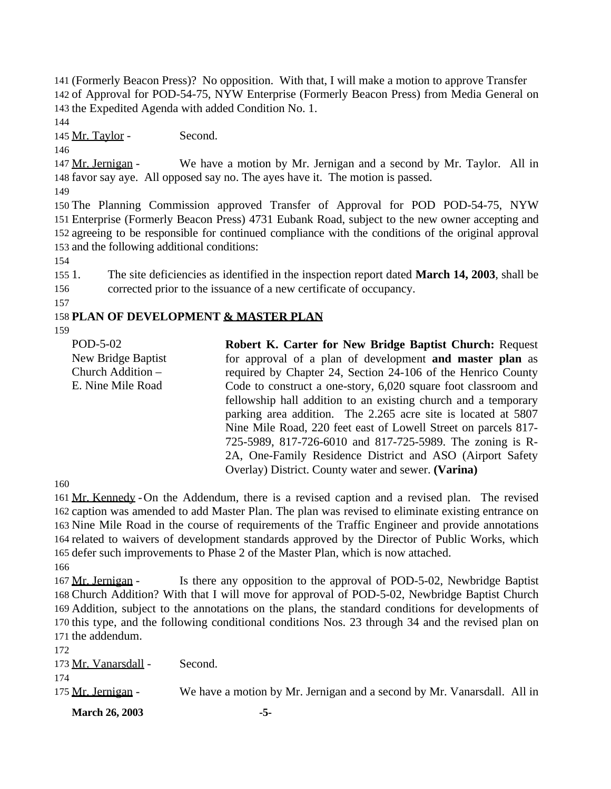141 (Formerly Beacon Press)? No opposition. With that, I will make a motion to approve Transfer 142 of Approval for POD-54-75, NYW Enterprise (Formerly Beacon Press) from Media General on 143 the Expedited Agenda with added Condition No. 1.

144

145 Mr. Taylor - Second.

146

147 Mr. Jernigan - We have a motion by Mr. Jernigan and a second by Mr. Taylor. All in 148 favor say aye. All opposed say no. The ayes have it. The motion is passed.

149

 The Planning Commission approved Transfer of Approval for POD POD-54-75, NYW Enterprise (Formerly Beacon Press) 4731 Eubank Road, subject to the new owner accepting and agreeing to be responsible for continued compliance with the conditions of the original approval and the following additional conditions:

154

155 1. The site deficiencies as identified in the inspection report dated **March 14, 2003**, shall be 156 corrected prior to the issuance of a new certificate of occupancy.

157

# 158 **PLAN OF DEVELOPMENT & MASTER PLAN**

159

| POD-5-02<br>New Bridge Baptist | <b>Robert K. Carter for New Bridge Baptist Church: Request</b><br>for approval of a plan of development and master plan as |
|--------------------------------|----------------------------------------------------------------------------------------------------------------------------|
| Church Addition -              | required by Chapter 24, Section 24-106 of the Henrico County                                                               |
| E. Nine Mile Road              | Code to construct a one-story, 6,020 square foot classroom and                                                             |
|                                | fellowship hall addition to an existing church and a temporary                                                             |
|                                | parking area addition. The 2.265 acre site is located at 5807                                                              |
|                                | Nine Mile Road, 220 feet east of Lowell Street on parcels 817-                                                             |
|                                | 725-5989, 817-726-6010 and 817-725-5989. The zoning is R-                                                                  |
|                                | 2A, One-Family Residence District and ASO (Airport Safety)                                                                 |
|                                | Overlay) District. County water and sewer. (Varina)                                                                        |
|                                |                                                                                                                            |

160

161 Mr. Kennedy - On the Addendum, there is a revised caption and a revised plan. The revised caption was amended to add Master Plan. The plan was revised to eliminate existing entrance on Nine Mile Road in the course of requirements of the Traffic Engineer and provide annotations related to waivers of development standards approved by the Director of Public Works, which defer such improvements to Phase 2 of the Master Plan, which is now attached.

166

167 Mr. Jernigan - Is there any opposition to the approval of POD-5-02, Newbridge Baptist Church Addition? With that I will move for approval of POD-5-02, Newbridge Baptist Church Addition, subject to the annotations on the plans, the standard conditions for developments of this type, and the following conditional conditions Nos. 23 through 34 and the revised plan on the addendum.

172 173 Mr. Vanarsdall - Second.

174

175 Mr. Jernigan - We have a motion by Mr. Jernigan and a second by Mr. Vanarsdall. All in

**March 26, 2003 -5-**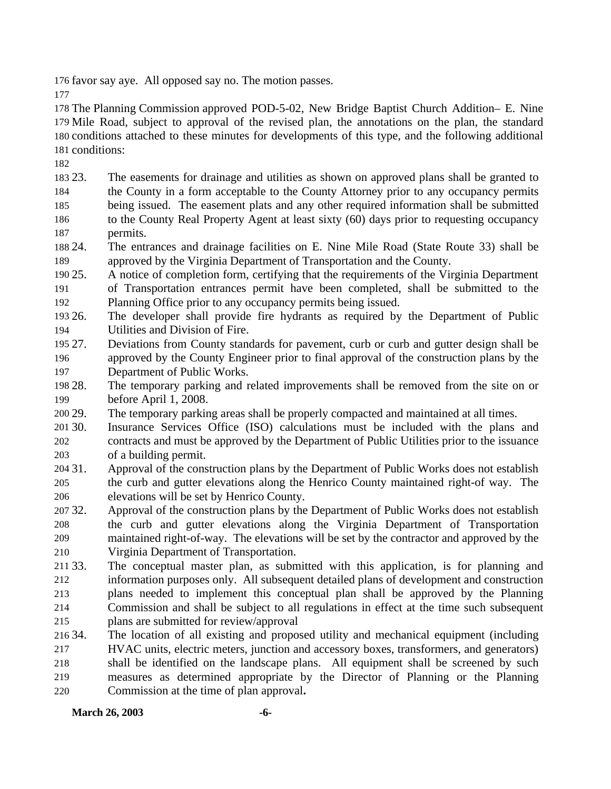favor say aye. All opposed say no. The motion passes.

 The Planning Commission approved POD-5-02, New Bridge Baptist Church Addition– E. Nine Mile Road, subject to approval of the revised plan, the annotations on the plan, the standard conditions attached to these minutes for developments of this type, and the following additional conditions:

 23. The easements for drainage and utilities as shown on approved plans shall be granted to the County in a form acceptable to the County Attorney prior to any occupancy permits being issued. The easement plats and any other required information shall be submitted to the County Real Property Agent at least sixty (60) days prior to requesting occupancy permits.

 24. The entrances and drainage facilities on E. Nine Mile Road (State Route 33) shall be approved by the Virginia Department of Transportation and the County.

 25. A notice of completion form, certifying that the requirements of the Virginia Department of Transportation entrances permit have been completed, shall be submitted to the Planning Office prior to any occupancy permits being issued.

 26. The developer shall provide fire hydrants as required by the Department of Public Utilities and Division of Fire.

 27. Deviations from County standards for pavement, curb or curb and gutter design shall be approved by the County Engineer prior to final approval of the construction plans by the Department of Public Works.

 28. The temporary parking and related improvements shall be removed from the site on or before April 1, 2008.

29. The temporary parking areas shall be properly compacted and maintained at all times.

 30. Insurance Services Office (ISO) calculations must be included with the plans and contracts and must be approved by the Department of Public Utilities prior to the issuance of a building permit.

- 31. Approval of the construction plans by the Department of Public Works does not establish the curb and gutter elevations along the Henrico County maintained right-of way. The elevations will be set by Henrico County.
- 32. Approval of the construction plans by the Department of Public Works does not establish the curb and gutter elevations along the Virginia Department of Transportation maintained right-of-way. The elevations will be set by the contractor and approved by the Virginia Department of Transportation.

 33. The conceptual master plan, as submitted with this application, is for planning and information purposes only. All subsequent detailed plans of development and construction plans needed to implement this conceptual plan shall be approved by the Planning Commission and shall be subject to all regulations in effect at the time such subsequent plans are submitted for review/approval

 34. The location of all existing and proposed utility and mechanical equipment (including HVAC units, electric meters, junction and accessory boxes, transformers, and generators) shall be identified on the landscape plans. All equipment shall be screened by such measures as determined appropriate by the Director of Planning or the Planning Commission at the time of plan approval**.**

**March 26, 2003 -6-**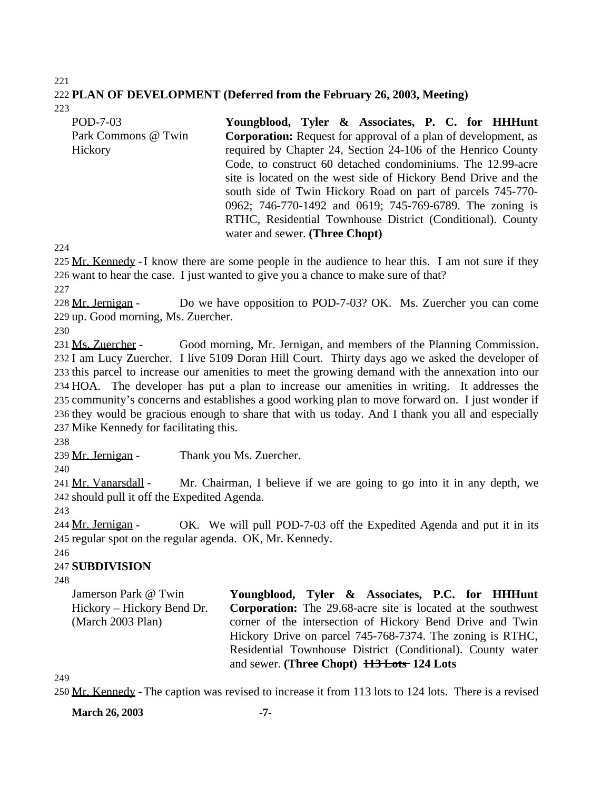#### 221 222 **PLAN OF DEVELOPMENT (Deferred from the February 26, 2003, Meeting)** 223

POD-7-03 Park Commons @ Twin **Hickory Youngblood, Tyler & Associates, P. C. for HHHunt Corporation:** Request for approval of a plan of development, as required by Chapter 24, Section 24-106 of the Henrico County Code, to construct 60 detached condominiums. The 12.99-acre site is located on the west side of Hickory Bend Drive and the south side of Twin Hickory Road on part of parcels 745-770- 0962; 746-770-1492 and 0619; 745-769-6789. The zoning is RTHC, Residential Townhouse District (Conditional). County water and sewer. **(Three Chopt)**

224

225 Mr. Kennedy - I know there are some people in the audience to hear this. I am not sure if they 226 want to hear the case. I just wanted to give you a chance to make sure of that?

227

228 Mr. Jernigan - Do we have opposition to POD-7-03? OK. Ms. Zuercher you can come 229 up. Good morning, Ms. Zuercher.

230

 Ms. Zuercher - Good morning, Mr. Jernigan, and members of the Planning Commission. I am Lucy Zuercher. I live 5109 Doran Hill Court. Thirty days ago we asked the developer of this parcel to increase our amenities to meet the growing demand with the annexation into our HOA. The developer has put a plan to increase our amenities in writing. It addresses the community's concerns and establishes a good working plan to move forward on. I just wonder if they would be gracious enough to share that with us today. And I thank you all and especially Mike Kennedy for facilitating this.

238

239 Mr. Jernigan - Thank you Ms. Zuercher.

240

241 Mr. Vanarsdall - Mr. Chairman, I believe if we are going to go into it in any depth, we 242 should pull it off the Expedited Agenda.

243

244 Mr. Jernigan - OK. We will pull POD-7-03 off the Expedited Agenda and put it in its 245 regular spot on the regular agenda. OK, Mr. Kennedy.

246

## 247 **SUBDIVISION**

248

Jamerson Park @ Twin Hickory – Hickory Bend Dr. (March 2003 Plan) **Youngblood, Tyler & Associates, P.C. for HHHunt Corporation:** The 29.68-acre site is located at the southwest corner of the intersection of Hickory Bend Drive and Twin Hickory Drive on parcel 745-768-7374. The zoning is RTHC, Residential Townhouse District (Conditional). County water and sewer. **(Three Chopt) 113 Lots 124 Lots**

249

250 Mr. Kennedy -The caption was revised to increase it from 113 lots to 124 lots. There is a revised

**March 26, 2003 -7-**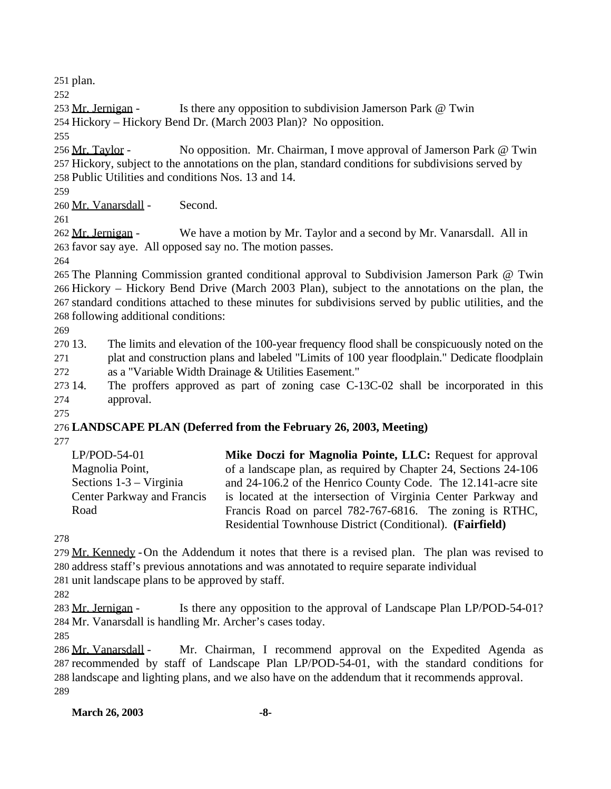plan.

253 Mr. Jernigan - Is there any opposition to subdivision Jamerson Park @ Twin

Hickory – Hickory Bend Dr. (March 2003 Plan)? No opposition.

 Mr. Taylor - No opposition. Mr. Chairman, I move approval of Jamerson Park @ Twin Hickory, subject to the annotations on the plan, standard conditions for subdivisions served by Public Utilities and conditions Nos. 13 and 14.

Mr. Vanarsdall - Second.

262 Mr. Jernigan - We have a motion by Mr. Taylor and a second by Mr. Vanarsdall. All in favor say aye. All opposed say no. The motion passes.

 The Planning Commission granted conditional approval to Subdivision Jamerson Park @ Twin Hickory – Hickory Bend Drive (March 2003 Plan), subject to the annotations on the plan, the standard conditions attached to these minutes for subdivisions served by public utilities, and the following additional conditions:

 13. The limits and elevation of the 100-year frequency flood shall be conspicuously noted on the plat and construction plans and labeled "Limits of 100 year floodplain." Dedicate floodplain as a "Variable Width Drainage & Utilities Easement."

 14. The proffers approved as part of zoning case C-13C-02 shall be incorporated in this approval.

# **LANDSCAPE PLAN (Deferred from the February 26, 2003, Meeting)**

| $LP/POD-54-01$             | Mike Doczi for Magnolia Pointe, LLC: Request for approval       |
|----------------------------|-----------------------------------------------------------------|
| Magnolia Point,            | of a landscape plan, as required by Chapter 24, Sections 24-106 |
| Sections $1-3$ – Virginia  | and 24-106.2 of the Henrico County Code. The 12.141-acre site   |
| Center Parkway and Francis | is located at the intersection of Virginia Center Parkway and   |
| Road                       | Francis Road on parcel 782-767-6816. The zoning is RTHC,        |
|                            | Residential Townhouse District (Conditional). (Fairfield)       |

279 Mr. Kennedy - On the Addendum it notes that there is a revised plan. The plan was revised to address staff's previous annotations and was annotated to require separate individual unit landscape plans to be approved by staff.

283 Mr. Jernigan - Is there any opposition to the approval of Landscape Plan LP/POD-54-01? Mr. Vanarsdall is handling Mr. Archer's cases today.

286 Mr. Vanarsdall - Mr. Chairman, I recommend approval on the Expedited Agenda as recommended by staff of Landscape Plan LP/POD-54-01, with the standard conditions for landscape and lighting plans, and we also have on the addendum that it recommends approval. 

**March 26, 2003 -8-**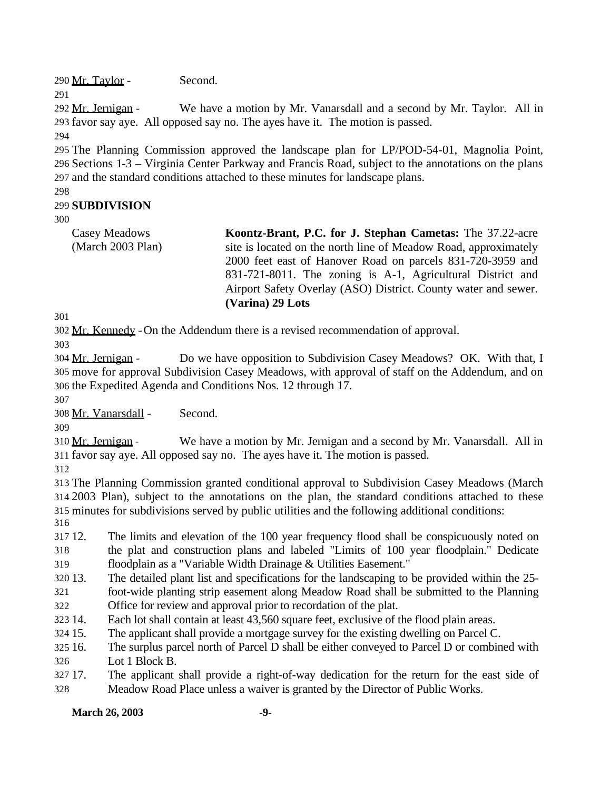Mr. Taylor - Second.

292 Mr. Jernigan - We have a motion by Mr. Vanarsdall and a second by Mr. Taylor. All in favor say aye. All opposed say no. The ayes have it. The motion is passed.

 The Planning Commission approved the landscape plan for LP/POD-54-01, Magnolia Point, Sections 1-3 – Virginia Center Parkway and Francis Road, subject to the annotations on the plans and the standard conditions attached to these minutes for landscape plans.

## **SUBDIVISION**

Casey Meadows (March 2003 Plan) **Koontz-Brant, P.C. for J. Stephan Cametas:** The 37.22-acre site is located on the north line of Meadow Road, approximately 2000 feet east of Hanover Road on parcels 831-720-3959 and 831-721-8011. The zoning is A-1, Agricultural District and Airport Safety Overlay (ASO) District. County water and sewer. **(Varina) 29 Lots**

Mr. Kennedy -On the Addendum there is a revised recommendation of approval.

 Mr. Jernigan - Do we have opposition to Subdivision Casey Meadows? OK. With that, I move for approval Subdivision Casey Meadows, with approval of staff on the Addendum, and on the Expedited Agenda and Conditions Nos. 12 through 17.

Mr. Vanarsdall - Second.

 Mr. Jernigan - We have a motion by Mr. Jernigan and a second by Mr. Vanarsdall. All in favor say aye. All opposed say no. The ayes have it. The motion is passed.

 The Planning Commission granted conditional approval to Subdivision Casey Meadows (March 2003 Plan), subject to the annotations on the plan, the standard conditions attached to these minutes for subdivisions served by public utilities and the following additional conditions:

 12. The limits and elevation of the 100 year frequency flood shall be conspicuously noted on the plat and construction plans and labeled "Limits of 100 year floodplain." Dedicate floodplain as a "Variable Width Drainage & Utilities Easement."

13. The detailed plant list and specifications for the landscaping to be provided within the 25-

 foot-wide planting strip easement along Meadow Road shall be submitted to the Planning Office for review and approval prior to recordation of the plat.

14. Each lot shall contain at least 43,560 square feet, exclusive of the flood plain areas.

15. The applicant shall provide a mortgage survey for the existing dwelling on Parcel C.

 16. The surplus parcel north of Parcel D shall be either conveyed to Parcel D or combined with Lot 1 Block B.

 17. The applicant shall provide a right-of-way dedication for the return for the east side of Meadow Road Place unless a waiver is granted by the Director of Public Works.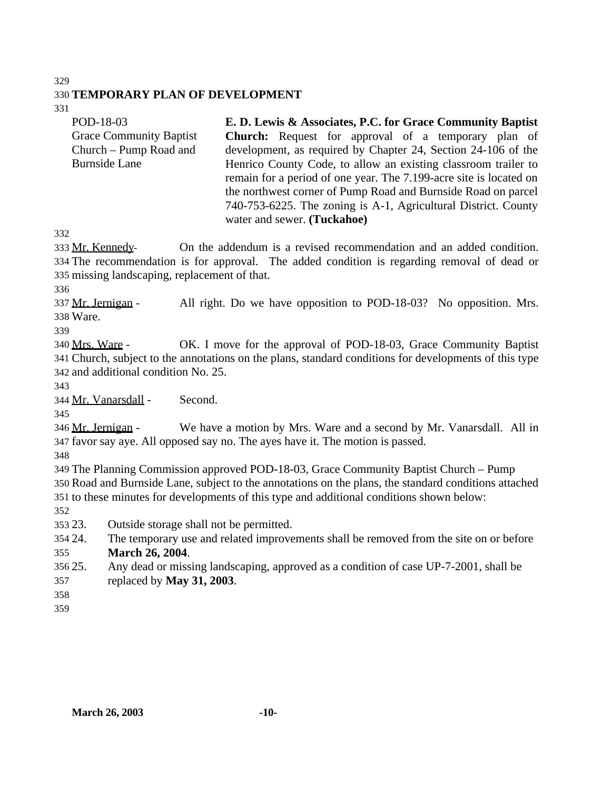#### 

### **TEMPORARY PLAN OF DEVELOPMENT**

| POD-18-03                      | E. D. Lewis & Associates, P.C. for Grace Community Baptist         |
|--------------------------------|--------------------------------------------------------------------|
| <b>Grace Community Baptist</b> | <b>Church:</b> Request for approval of a temporary plan of         |
| Church – Pump Road and         | development, as required by Chapter 24, Section 24-106 of the      |
| <b>Burnside Lane</b>           | Henrico County Code, to allow an existing classroom trailer to     |
|                                | remain for a period of one year. The 7.199-acre site is located on |
|                                | the northwest corner of Pump Road and Burnside Road on parcel      |
|                                | 740-753-6225. The zoning is A-1, Agricultural District. County     |
|                                | water and sewer. (Tuckahoe)                                        |

 Mr. Kennedy- On the addendum is a revised recommendation and an added condition. The recommendation is for approval. The added condition is regarding removal of dead or missing landscaping, replacement of that.

337 Mr. Jernigan - All right. Do we have opposition to POD-18-03? No opposition. Mrs. Ware.

 Mrs. Ware - OK. I move for the approval of POD-18-03, Grace Community Baptist Church, subject to the annotations on the plans, standard conditions for developments of this type and additional condition No. 25.

Mr. Vanarsdall - Second.

346 Mr. Jernigan - We have a motion by Mrs. Ware and a second by Mr. Vanarsdall. All in favor say aye. All opposed say no. The ayes have it. The motion is passed.

 The Planning Commission approved POD-18-03, Grace Community Baptist Church – Pump Road and Burnside Lane, subject to the annotations on the plans, the standard conditions attached to these minutes for developments of this type and additional conditions shown below:

23. Outside storage shall not be permitted.

- 24. The temporary use and related improvements shall be removed from the site on or before **March 26, 2004**.
- 25. Any dead or missing landscaping, approved as a condition of case UP-7-2001, shall be replaced by **May 31, 2003**.
- 
-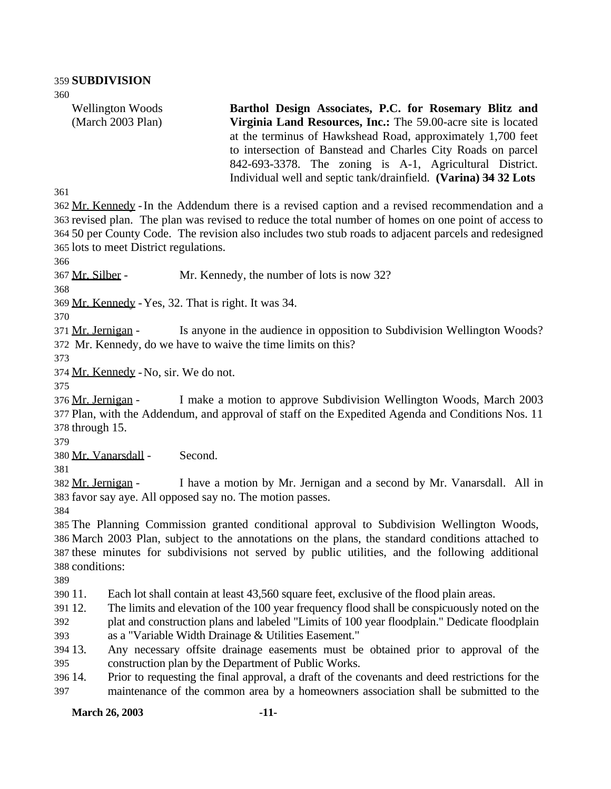Wellington Woods (March 2003 Plan) **Barthol Design Associates, P.C. for Rosemary Blitz and Virginia Land Resources, Inc.:** The 59.00-acre site is located at the terminus of Hawkshead Road, approximately 1,700 feet to intersection of Banstead and Charles City Roads on parcel 842-693-3378. The zoning is A-1, Agricultural District. Individual well and septic tank/drainfield. **(Varina) 34 32 Lots**

 Mr. Kennedy -In the Addendum there is a revised caption and a revised recommendation and a revised plan. The plan was revised to reduce the total number of homes on one point of access to 50 per County Code. The revision also includes two stub roads to adjacent parcels and redesigned lots to meet District regulations.

Mr. Silber - Mr. Kennedy, the number of lots is now 32?

Mr. Kennedy -Yes, 32. That is right. It was 34.

371 Mr. Jernigan - Is anyone in the audience in opposition to Subdivision Wellington Woods? Mr. Kennedy, do we have to waive the time limits on this?

Mr. Kennedy -No, sir. We do not.

 Mr. Jernigan - I make a motion to approve Subdivision Wellington Woods, March 2003 Plan, with the Addendum, and approval of staff on the Expedited Agenda and Conditions Nos. 11 through 15.

Mr. Vanarsdall - Second.

 Mr. Jernigan - I have a motion by Mr. Jernigan and a second by Mr. Vanarsdall. All in favor say aye. All opposed say no. The motion passes.

 The Planning Commission granted conditional approval to Subdivision Wellington Woods, March 2003 Plan, subject to the annotations on the plans, the standard conditions attached to these minutes for subdivisions not served by public utilities, and the following additional conditions:

11. Each lot shall contain at least 43,560 square feet, exclusive of the flood plain areas.

12. The limits and elevation of the 100 year frequency flood shall be conspicuously noted on the

 plat and construction plans and labeled "Limits of 100 year floodplain." Dedicate floodplain as a "Variable Width Drainage & Utilities Easement."

 13. Any necessary offsite drainage easements must be obtained prior to approval of the construction plan by the Department of Public Works.

 14. Prior to requesting the final approval, a draft of the covenants and deed restrictions for the maintenance of the common area by a homeowners association shall be submitted to the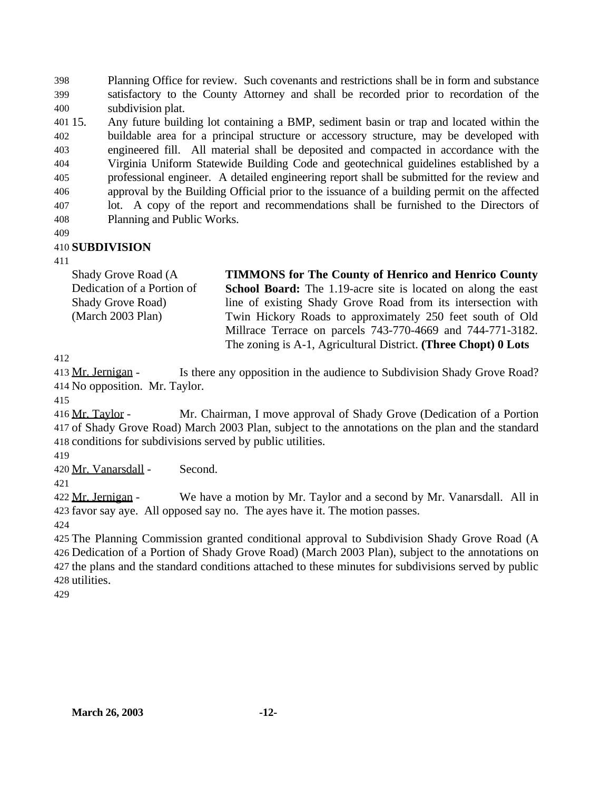Planning Office for review. Such covenants and restrictions shall be in form and substance satisfactory to the County Attorney and shall be recorded prior to recordation of the subdivision plat.

 15. Any future building lot containing a BMP, sediment basin or trap and located within the buildable area for a principal structure or accessory structure, may be developed with engineered fill. All material shall be deposited and compacted in accordance with the Virginia Uniform Statewide Building Code and geotechnical guidelines established by a professional engineer. A detailed engineering report shall be submitted for the review and approval by the Building Official prior to the issuance of a building permit on the affected lot. A copy of the report and recommendations shall be furnished to the Directors of Planning and Public Works.

### **SUBDIVISION**

| Shady Grove Road (A        | <b>TIMMONS</b> for The County of Henrico and Henrico County          |
|----------------------------|----------------------------------------------------------------------|
| Dedication of a Portion of | <b>School Board:</b> The 1.19-acre site is located on along the east |
| <b>Shady Grove Road)</b>   | line of existing Shady Grove Road from its intersection with         |
| (March 2003 Plan)          | Twin Hickory Roads to approximately 250 feet south of Old            |
|                            | Millrace Terrace on parcels 743-770-4669 and 744-771-3182.           |
|                            | The zoning is A-1, Agricultural District. (Three Chopt) 0 Lots       |

413 Mr. Jernigan - Is there any opposition in the audience to Subdivision Shady Grove Road? No opposition. Mr. Taylor.

 Mr. Taylor - Mr. Chairman, I move approval of Shady Grove (Dedication of a Portion of Shady Grove Road) March 2003 Plan, subject to the annotations on the plan and the standard conditions for subdivisions served by public utilities.

Mr. Vanarsdall - Second.

422 Mr. Jernigan - We have a motion by Mr. Taylor and a second by Mr. Vanarsdall. All in favor say aye. All opposed say no. The ayes have it. The motion passes.

 The Planning Commission granted conditional approval to Subdivision Shady Grove Road (A Dedication of a Portion of Shady Grove Road) (March 2003 Plan), subject to the annotations on the plans and the standard conditions attached to these minutes for subdivisions served by public utilities.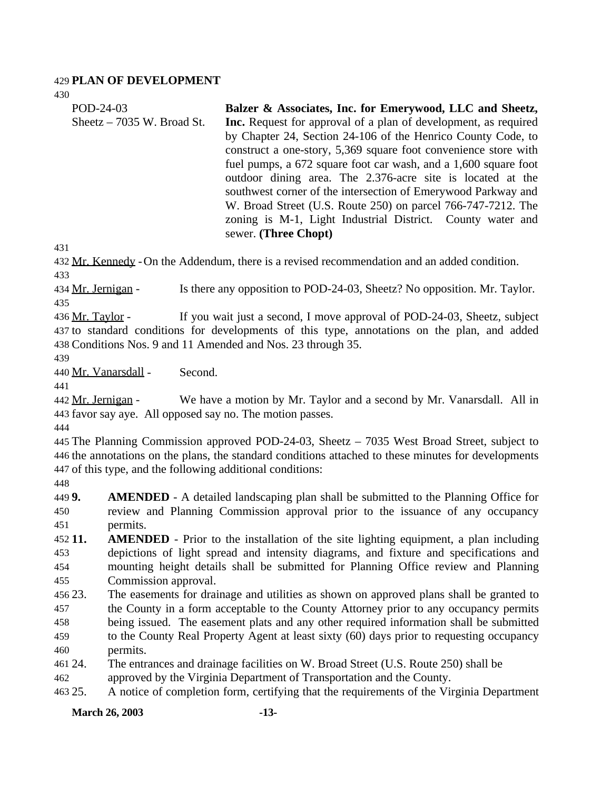#### **PLAN OF DEVELOPMENT**

| POD-24-03                   | Balzer & Associates, Inc. for Emerywood, LLC and Sheetz,               |
|-----------------------------|------------------------------------------------------------------------|
| Sheetz $-7035$ W. Broad St. | <b>Inc.</b> Request for approval of a plan of development, as required |
|                             | by Chapter 24, Section 24-106 of the Henrico County Code, to           |
|                             | construct a one-story, 5,369 square foot convenience store with        |
|                             | fuel pumps, a 672 square foot car wash, and a 1,600 square foot        |
|                             | outdoor dining area. The 2.376-acre site is located at the             |
|                             | southwest corner of the intersection of Emerywood Parkway and          |
|                             | W. Broad Street (U.S. Route 250) on parcel 766-747-7212. The           |
|                             | zoning is M-1, Light Industrial District. County water and             |
|                             | sewer. (Three Chopt)                                                   |

 Mr. Kennedy -On the Addendum, there is a revised recommendation and an added condition. 

434 Mr. Jernigan - Is there any opposition to POD-24-03, Sheetz? No opposition. Mr. Taylor. 

436 Mr. Taylor - If you wait just a second, I move approval of POD-24-03, Sheetz, subject to standard conditions for developments of this type, annotations on the plan, and added Conditions Nos. 9 and 11 Amended and Nos. 23 through 35.

Mr. Vanarsdall - Second.

442 Mr. Jernigan - We have a motion by Mr. Taylor and a second by Mr. Vanarsdall. All in favor say aye. All opposed say no. The motion passes.

 The Planning Commission approved POD-24-03, Sheetz – 7035 West Broad Street, subject to the annotations on the plans, the standard conditions attached to these minutes for developments of this type, and the following additional conditions:

 **9. AMENDED** - A detailed landscaping plan shall be submitted to the Planning Office for review and Planning Commission approval prior to the issuance of any occupancy permits.

 **11. AMENDED** - Prior to the installation of the site lighting equipment, a plan including depictions of light spread and intensity diagrams, and fixture and specifications and mounting height details shall be submitted for Planning Office review and Planning Commission approval.

 23. The easements for drainage and utilities as shown on approved plans shall be granted to the County in a form acceptable to the County Attorney prior to any occupancy permits being issued. The easement plats and any other required information shall be submitted

 to the County Real Property Agent at least sixty (60) days prior to requesting occupancy permits.

24. The entrances and drainage facilities on W. Broad Street (U.S. Route 250) shall be

approved by the Virginia Department of Transportation and the County.

25. A notice of completion form, certifying that the requirements of the Virginia Department

**March 26, 2003 -13-**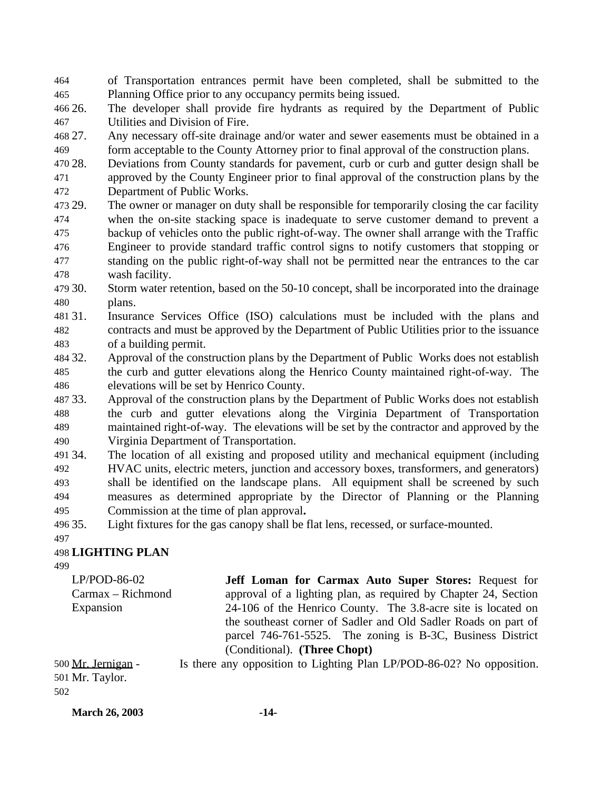of Transportation entrances permit have been completed, shall be submitted to the Planning Office prior to any occupancy permits being issued.

 26. The developer shall provide fire hydrants as required by the Department of Public Utilities and Division of Fire.

 27. Any necessary off-site drainage and/or water and sewer easements must be obtained in a form acceptable to the County Attorney prior to final approval of the construction plans.

 28. Deviations from County standards for pavement, curb or curb and gutter design shall be approved by the County Engineer prior to final approval of the construction plans by the Department of Public Works.

 29. The owner or manager on duty shall be responsible for temporarily closing the car facility when the on-site stacking space is inadequate to serve customer demand to prevent a backup of vehicles onto the public right-of-way. The owner shall arrange with the Traffic Engineer to provide standard traffic control signs to notify customers that stopping or standing on the public right-of-way shall not be permitted near the entrances to the car wash facility.

 30. Storm water retention, based on the 50-10 concept, shall be incorporated into the drainage plans.

 31. Insurance Services Office (ISO) calculations must be included with the plans and contracts and must be approved by the Department of Public Utilities prior to the issuance of a building permit.

 32. Approval of the construction plans by the Department of Public Works does not establish the curb and gutter elevations along the Henrico County maintained right-of-way. The elevations will be set by Henrico County.

 33. Approval of the construction plans by the Department of Public Works does not establish the curb and gutter elevations along the Virginia Department of Transportation maintained right-of-way. The elevations will be set by the contractor and approved by the Virginia Department of Transportation.

34. The location of all existing and proposed utility and mechanical equipment (including

 HVAC units, electric meters, junction and accessory boxes, transformers, and generators) shall be identified on the landscape plans. All equipment shall be screened by such measures as determined appropriate by the Director of Planning or the Planning Commission at the time of plan approval**.**

35. Light fixtures for the gas canopy shall be flat lens, recessed, or surface-mounted.

#### 

**LIGHTING PLAN**

LP/POD-86-02 Carmax – Richmond

Expansion

**Jeff Loman for Carmax Auto Super Stores:** Request for approval of a lighting plan, as required by Chapter 24, Section 24-106 of the Henrico County. The 3.8-acre site is located on the southeast corner of Sadler and Old Sadler Roads on part of parcel 746-761-5525. The zoning is B-3C, Business District (Conditional). **(Three Chopt)**

 Mr. Jernigan - Is there any opposition to Lighting Plan LP/POD-86-02? No opposition. Mr. Taylor.

**March 26, 2003 -14-**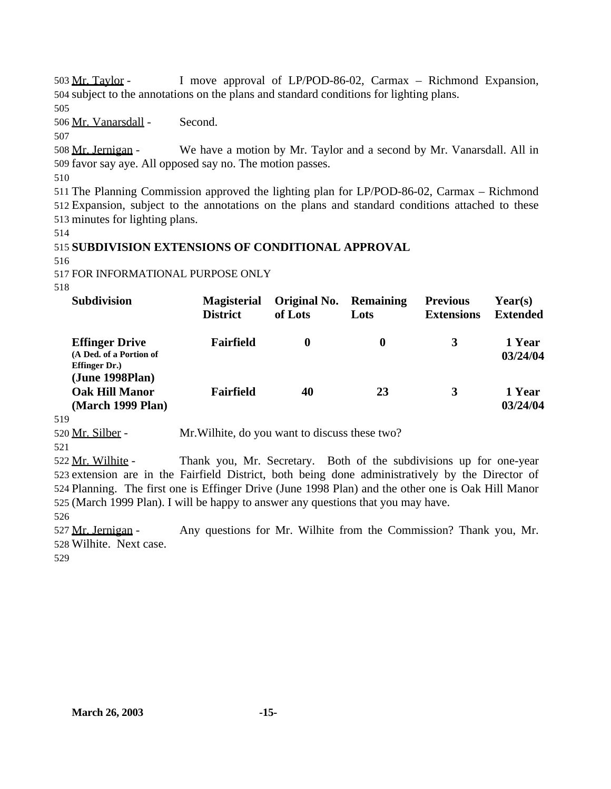503 Mr. Taylor - I move approval of LP/POD-86-02, Carmax – Richmond Expansion, 504 subject to the annotations on the plans and standard conditions for lighting plans.

505

506 Mr. Vanarsdall - Second.

507

508 Mr. Jernigan - We have a motion by Mr. Taylor and a second by Mr. Vanarsdall. All in 509 favor say aye. All opposed say no. The motion passes.

510

511 The Planning Commission approved the lighting plan for LP/POD-86-02, Carmax – Richmond 512 Expansion, subject to the annotations on the plans and standard conditions attached to these 513 minutes for lighting plans.

514

# 515 **SUBDIVISION EXTENSIONS OF CONDITIONAL APPROVAL**

516

517 FOR INFORMATIONAL PURPOSE ONLY

518

| <b>Subdivision</b>                                                                           | <b>Magisterial</b><br><b>District</b> | Original No.<br>of Lots | <b>Remaining</b><br>Lots | <b>Previous</b><br><b>Extensions</b> | Year(s)<br><b>Extended</b> |
|----------------------------------------------------------------------------------------------|---------------------------------------|-------------------------|--------------------------|--------------------------------------|----------------------------|
| <b>Effinger Drive</b><br>(A Ded. of a Portion of<br><b>Effinger Dr.</b> )<br>(June 1998Plan) | Fairfield                             | $\bf{0}$                | $\bf{0}$                 | 3                                    | 1 Year<br>03/24/04         |
| <b>Oak Hill Manor</b><br>(March 1999 Plan)                                                   | Fairfield                             | 40                      | 23                       | 3                                    | 1 Year<br>03/24/04         |

519

520 Mr. Silber - Mr.Wilhite, do you want to discuss these two?

521

 Mr. Wilhite - Thank you, Mr. Secretary. Both of the subdivisions up for one-year extension are in the Fairfield District, both being done administratively by the Director of Planning. The first one is Effinger Drive (June 1998 Plan) and the other one is Oak Hill Manor (March 1999 Plan). I will be happy to answer any questions that you may have.

526

527 Mr. Jernigan - Any questions for Mr. Wilhite from the Commission? Thank you, Mr. 528 Wilhite. Next case.

529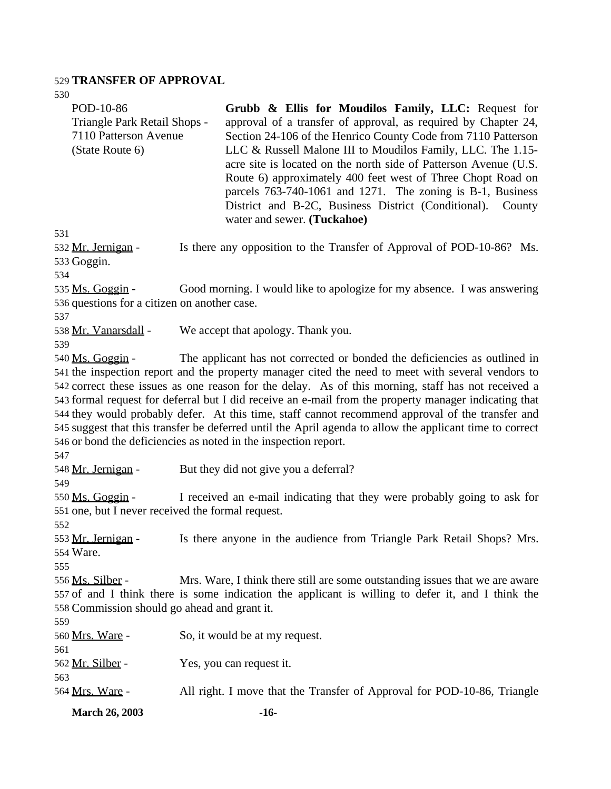## **TRANSFER OF APPROVAL**

| JJU<br>POD-10-86<br>Triangle Park Retail Shops -<br>7110 Patterson Avenue<br>(State Route 6) | Grubb & Ellis for Moudilos Family, LLC: Request for<br>approval of a transfer of approval, as required by Chapter 24,<br>Section 24-106 of the Henrico County Code from 7110 Patterson<br>LLC & Russell Malone III to Moudilos Family, LLC. The 1.15-<br>acre site is located on the north side of Patterson Avenue (U.S.<br>Route 6) approximately 400 feet west of Three Chopt Road on<br>parcels 763-740-1061 and 1271. The zoning is B-1, Business<br>District and B-2C, Business District (Conditional).<br>County<br>water and sewer. (Tuckahoe)                                                                                                                           |
|----------------------------------------------------------------------------------------------|----------------------------------------------------------------------------------------------------------------------------------------------------------------------------------------------------------------------------------------------------------------------------------------------------------------------------------------------------------------------------------------------------------------------------------------------------------------------------------------------------------------------------------------------------------------------------------------------------------------------------------------------------------------------------------|
| 531                                                                                          |                                                                                                                                                                                                                                                                                                                                                                                                                                                                                                                                                                                                                                                                                  |
| 532 Mr. Jernigan -<br>533 Goggin.<br>534                                                     | Is there any opposition to the Transfer of Approval of POD-10-86? Ms.                                                                                                                                                                                                                                                                                                                                                                                                                                                                                                                                                                                                            |
| 535 Ms. Goggin -<br>536 questions for a citizen on another case.<br>537                      | Good morning. I would like to apologize for my absence. I was answering                                                                                                                                                                                                                                                                                                                                                                                                                                                                                                                                                                                                          |
| 538 Mr. Vanarsdall -<br>539                                                                  | We accept that apology. Thank you.                                                                                                                                                                                                                                                                                                                                                                                                                                                                                                                                                                                                                                               |
| 540 Ms. Goggin -<br>547                                                                      | The applicant has not corrected or bonded the deficiencies as outlined in<br>541 the inspection report and the property manager cited the need to meet with several vendors to<br>542 correct these issues as one reason for the delay. As of this morning, staff has not received a<br>543 formal request for deferral but I did receive an e-mail from the property manager indicating that<br>544 they would probably defer. At this time, staff cannot recommend approval of the transfer and<br>545 suggest that this transfer be deferred until the April agenda to allow the applicant time to correct<br>546 or bond the deficiencies as noted in the inspection report. |
| 548 Mr. Jernigan -<br>549                                                                    | But they did not give you a deferral?                                                                                                                                                                                                                                                                                                                                                                                                                                                                                                                                                                                                                                            |
| 550 Ms. Goggin -<br>551 one, but I never received the formal request.<br>552                 | I received an e-mail indicating that they were probably going to ask for                                                                                                                                                                                                                                                                                                                                                                                                                                                                                                                                                                                                         |
| 553 Mr. Jernigan -<br>554 Ware.<br>555                                                       | Is there anyone in the audience from Triangle Park Retail Shops? Mrs.                                                                                                                                                                                                                                                                                                                                                                                                                                                                                                                                                                                                            |
| <u>556 Ms. Silber</u> -<br>558 Commission should go ahead and grant it.<br>559               | Mrs. Ware, I think there still are some outstanding issues that we are aware<br>557 of and I think there is some indication the applicant is willing to defer it, and I think the                                                                                                                                                                                                                                                                                                                                                                                                                                                                                                |
| 560 Mrs. Ware -<br>561                                                                       | So, it would be at my request.                                                                                                                                                                                                                                                                                                                                                                                                                                                                                                                                                                                                                                                   |
| <u>562 Mr. Silber</u> -<br>563                                                               | Yes, you can request it.                                                                                                                                                                                                                                                                                                                                                                                                                                                                                                                                                                                                                                                         |
| 564 Mrs. Ware -                                                                              | All right. I move that the Transfer of Approval for POD-10-86, Triangle                                                                                                                                                                                                                                                                                                                                                                                                                                                                                                                                                                                                          |
| <b>March 26, 2003</b>                                                                        | $-16-$                                                                                                                                                                                                                                                                                                                                                                                                                                                                                                                                                                                                                                                                           |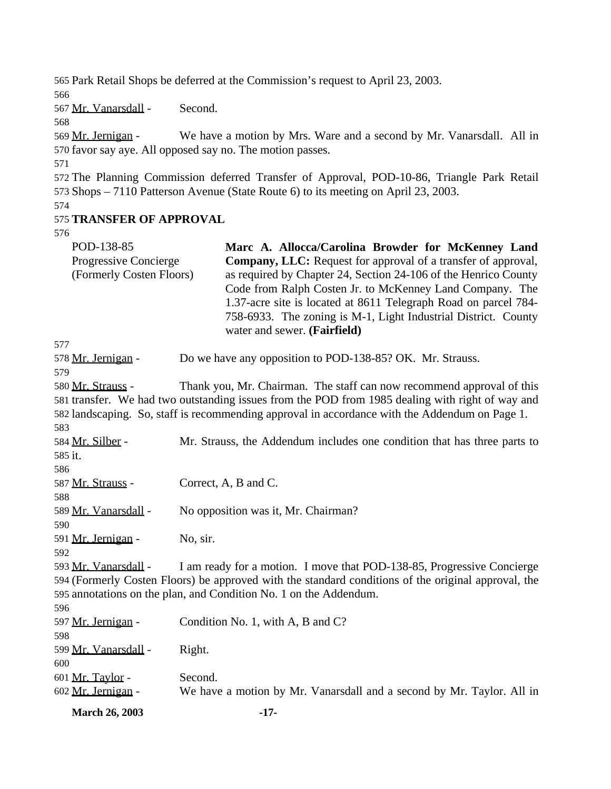Park Retail Shops be deferred at the Commission's request to April 23, 2003.

Mr. Vanarsdall - Second.

569 Mr. Jernigan - We have a motion by Mrs. Ware and a second by Mr. Vanarsdall. All in favor say aye. All opposed say no. The motion passes.

 The Planning Commission deferred Transfer of Approval, POD-10-86, Triangle Park Retail Shops – 7110 Patterson Avenue (State Route 6) to its meeting on April 23, 2003.

## **TRANSFER OF APPROVAL**

| J I U                                                           |                                                                                                                                                                                                                                                                                                                                                                                                                                |  |
|-----------------------------------------------------------------|--------------------------------------------------------------------------------------------------------------------------------------------------------------------------------------------------------------------------------------------------------------------------------------------------------------------------------------------------------------------------------------------------------------------------------|--|
| POD-138-85<br>Progressive Concierge<br>(Formerly Costen Floors) | Marc A. Allocca/Carolina Browder for McKenney Land<br><b>Company, LLC:</b> Request for approval of a transfer of approval,<br>as required by Chapter 24, Section 24-106 of the Henrico County<br>Code from Ralph Costen Jr. to McKenney Land Company. The<br>1.37-acre site is located at 8611 Telegraph Road on parcel 784-<br>758-6933. The zoning is M-1, Light Industrial District. County<br>water and sewer. (Fairfield) |  |
| 577                                                             |                                                                                                                                                                                                                                                                                                                                                                                                                                |  |
| 578 Mr. Jernigan -                                              | Do we have any opposition to POD-138-85? OK. Mr. Strauss.                                                                                                                                                                                                                                                                                                                                                                      |  |
| 579                                                             |                                                                                                                                                                                                                                                                                                                                                                                                                                |  |
| 580 Mr. Strauss -                                               | Thank you, Mr. Chairman. The staff can now recommend approval of this<br>581 transfer. We had two outstanding issues from the POD from 1985 dealing with right of way and<br>582 landscaping. So, staff is recommending approval in accordance with the Addendum on Page 1.                                                                                                                                                    |  |
| 583                                                             |                                                                                                                                                                                                                                                                                                                                                                                                                                |  |
| 584 Mr. Silber -                                                | Mr. Strauss, the Addendum includes one condition that has three parts to                                                                                                                                                                                                                                                                                                                                                       |  |
| 585 it.                                                         |                                                                                                                                                                                                                                                                                                                                                                                                                                |  |
| 586                                                             |                                                                                                                                                                                                                                                                                                                                                                                                                                |  |
| 587 Mr. Strauss -                                               | Correct, A, B and C.                                                                                                                                                                                                                                                                                                                                                                                                           |  |
| 588                                                             |                                                                                                                                                                                                                                                                                                                                                                                                                                |  |
| 589 Mr. Vanarsdall -                                            | No opposition was it, Mr. Chairman?                                                                                                                                                                                                                                                                                                                                                                                            |  |
| 590                                                             |                                                                                                                                                                                                                                                                                                                                                                                                                                |  |
| 591 Mr. Jernigan -                                              | No, sir.                                                                                                                                                                                                                                                                                                                                                                                                                       |  |
| 592                                                             |                                                                                                                                                                                                                                                                                                                                                                                                                                |  |
| 593 Mr. Vanarsdall -                                            | I am ready for a motion. I move that POD-138-85, Progressive Concierge                                                                                                                                                                                                                                                                                                                                                         |  |
|                                                                 | 594 (Formerly Costen Floors) be approved with the standard conditions of the original approval, the                                                                                                                                                                                                                                                                                                                            |  |
|                                                                 | 595 annotations on the plan, and Condition No. 1 on the Addendum.                                                                                                                                                                                                                                                                                                                                                              |  |
| 596                                                             |                                                                                                                                                                                                                                                                                                                                                                                                                                |  |
| 597 Mr. Jernigan -                                              | Condition No. 1, with A, B and C?                                                                                                                                                                                                                                                                                                                                                                                              |  |
| 598                                                             |                                                                                                                                                                                                                                                                                                                                                                                                                                |  |
| 599 Mr. Vanarsdall -                                            | Right.                                                                                                                                                                                                                                                                                                                                                                                                                         |  |
| 600                                                             |                                                                                                                                                                                                                                                                                                                                                                                                                                |  |
| 601 Mr. Taylor -                                                | Second.                                                                                                                                                                                                                                                                                                                                                                                                                        |  |

Mr. Jernigan - We have a motion by Mr. Vanarsdall and a second by Mr. Taylor. All in

**March 26, 2003 -17-**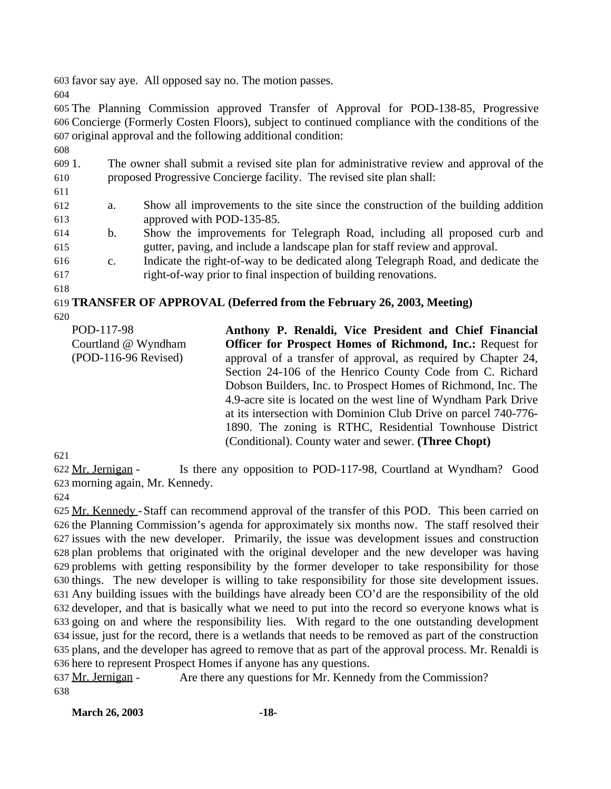favor say aye. All opposed say no. The motion passes.

 The Planning Commission approved Transfer of Approval for POD-138-85, Progressive Concierge (Formerly Costen Floors), subject to continued compliance with the conditions of the original approval and the following additional condition:

 1. The owner shall submit a revised site plan for administrative review and approval of the proposed Progressive Concierge facility. The revised site plan shall: 

- a. Show all improvements to the site since the construction of the building addition approved with POD-135-85.
- b. Show the improvements for Telegraph Road, including all proposed curb and gutter, paving, and include a landscape plan for staff review and approval.
- c. Indicate the right-of-way to be dedicated along Telegraph Road, and dedicate the right-of-way prior to final inspection of building renovations.
- 

**TRANSFER OF APPROVAL (Deferred from the February 26, 2003, Meeting)**

| POD-117-98<br>Courtland @ Wyndham | Anthony P. Renaldi, Vice President and Chief Financial<br><b>Officer for Prospect Homes of Richmond, Inc.: Request for</b> |
|-----------------------------------|----------------------------------------------------------------------------------------------------------------------------|
| $(POD-116-96$ Revised)            | approval of a transfer of approval, as required by Chapter 24,                                                             |
|                                   | Section 24-106 of the Henrico County Code from C. Richard                                                                  |
|                                   | Dobson Builders, Inc. to Prospect Homes of Richmond, Inc. The                                                              |
|                                   | 4.9-acre site is located on the west line of Wyndham Park Drive                                                            |
|                                   | at its intersection with Dominion Club Drive on parcel 740-776-                                                            |
|                                   | 1890. The zoning is RTHC, Residential Townhouse District                                                                   |
|                                   | (Conditional). County water and sewer. (Three Chopt)                                                                       |

 Mr. Jernigan - Is there any opposition to POD-117-98, Courtland at Wyndham? Good morning again, Mr. Kennedy.

 Mr. Kennedy -Staff can recommend approval of the transfer of this POD. This been carried on the Planning Commission's agenda for approximately six months now. The staff resolved their issues with the new developer. Primarily, the issue was development issues and construction plan problems that originated with the original developer and the new developer was having problems with getting responsibility by the former developer to take responsibility for those things. The new developer is willing to take responsibility for those site development issues. Any building issues with the buildings have already been CO'd are the responsibility of the old developer, and that is basically what we need to put into the record so everyone knows what is going on and where the responsibility lies. With regard to the one outstanding development issue, just for the record, there is a wetlands that needs to be removed as part of the construction plans, and the developer has agreed to remove that as part of the approval process. Mr. Renaldi is here to represent Prospect Homes if anyone has any questions.

 Mr. Jernigan - Are there any questions for Mr. Kennedy from the Commission? 

**March 26, 2003 -18-**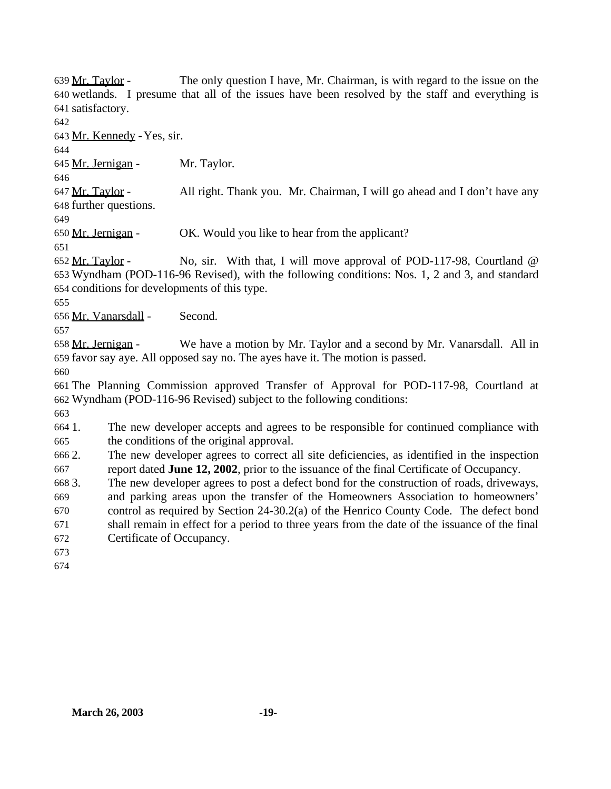639 Mr. Taylor - The only question I have, Mr. Chairman, is with regard to the issue on the wetlands. I presume that all of the issues have been resolved by the staff and everything is satisfactory.

Mr. Kennedy -Yes, sir.

645 Mr. Jernigan - Mr. Taylor.

 Mr. Taylor - All right. Thank you. Mr. Chairman, I will go ahead and I don't have any further questions.

Mr. Jernigan - OK. Would you like to hear from the applicant?

 Mr. Taylor - No, sir. With that, I will move approval of POD-117-98, Courtland @ Wyndham (POD-116-96 Revised), with the following conditions: Nos. 1, 2 and 3, and standard conditions for developments of this type.

Mr. Vanarsdall - Second.

658 Mr. Jernigan - We have a motion by Mr. Taylor and a second by Mr. Vanarsdall. All in favor say aye. All opposed say no. The ayes have it. The motion is passed.

 The Planning Commission approved Transfer of Approval for POD-117-98, Courtland at Wyndham (POD-116-96 Revised) subject to the following conditions:

 1. The new developer accepts and agrees to be responsible for continued compliance with the conditions of the original approval.

 2. The new developer agrees to correct all site deficiencies, as identified in the inspection report dated **June 12, 2002**, prior to the issuance of the final Certificate of Occupancy.

3. The new developer agrees to post a defect bond for the construction of roads, driveways,

and parking areas upon the transfer of the Homeowners Association to homeowners'

 control as required by Section 24-30.2(a) of the Henrico County Code. The defect bond shall remain in effect for a period to three years from the date of the issuance of the final

- Certificate of Occupancy.
- 
-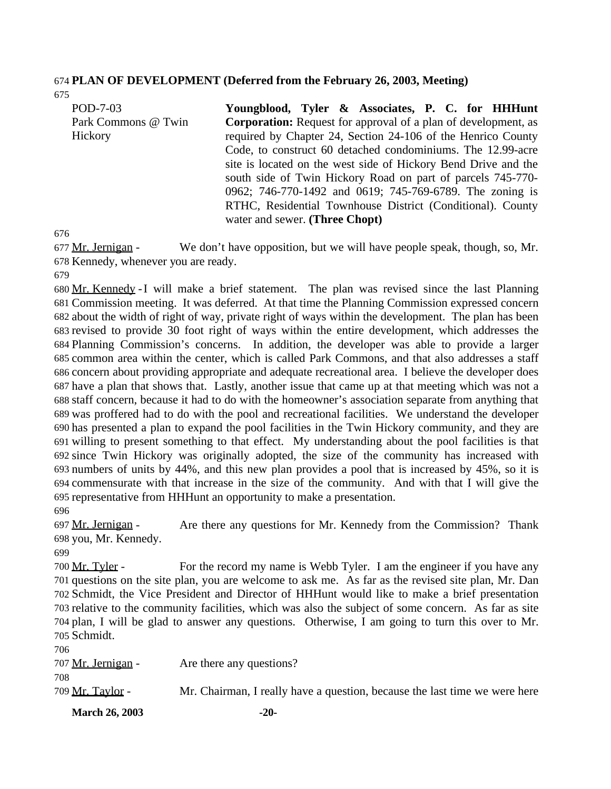#### **PLAN OF DEVELOPMENT (Deferred from the February 26, 2003, Meeting)**

| POD-7-03            | Youngblood, Tyler & Associates, P. C. for HHHunt                      |
|---------------------|-----------------------------------------------------------------------|
| Park Commons @ Twin | <b>Corporation:</b> Request for approval of a plan of development, as |
| Hickory             | required by Chapter 24, Section 24-106 of the Henrico County          |
|                     | Code, to construct 60 detached condominiums. The 12.99-acre           |
|                     | site is located on the west side of Hickory Bend Drive and the        |
|                     | south side of Twin Hickory Road on part of parcels 745-770-           |
|                     | 0962; 746-770-1492 and 0619; 745-769-6789. The zoning is              |
|                     | RTHC, Residential Townhouse District (Conditional). County            |
|                     | water and sewer. (Three Chopt)                                        |

 Mr. Jernigan - We don't have opposition, but we will have people speak, though, so, Mr. Kennedy, whenever you are ready.

 Mr. Kennedy -I will make a brief statement. The plan was revised since the last Planning Commission meeting. It was deferred. At that time the Planning Commission expressed concern about the width of right of way, private right of ways within the development. The plan has been revised to provide 30 foot right of ways within the entire development, which addresses the Planning Commission's concerns. In addition, the developer was able to provide a larger common area within the center, which is called Park Commons, and that also addresses a staff concern about providing appropriate and adequate recreational area. I believe the developer does have a plan that shows that. Lastly, another issue that came up at that meeting which was not a staff concern, because it had to do with the homeowner's association separate from anything that was proffered had to do with the pool and recreational facilities. We understand the developer has presented a plan to expand the pool facilities in the Twin Hickory community, and they are willing to present something to that effect. My understanding about the pool facilities is that since Twin Hickory was originally adopted, the size of the community has increased with numbers of units by 44%, and this new plan provides a pool that is increased by 45%, so it is commensurate with that increase in the size of the community. And with that I will give the representative from HHHunt an opportunity to make a presentation.

697 Mr. Jernigan - Are there any questions for Mr. Kennedy from the Commission? Thank you, Mr. Kennedy.

700 Mr. Tyler - For the record my name is Webb Tyler. I am the engineer if you have any questions on the site plan, you are welcome to ask me. As far as the revised site plan, Mr. Dan Schmidt, the Vice President and Director of HHHunt would like to make a brief presentation relative to the community facilities, which was also the subject of some concern. As far as site plan, I will be glad to answer any questions. Otherwise, I am going to turn this over to Mr. Schmidt.

| <b>March 26, 2003</b> | $-20-$                                                                     |
|-----------------------|----------------------------------------------------------------------------|
| 709 Mr. Tavlor -      | Mr. Chairman, I really have a question, because the last time we were here |
| 708                   |                                                                            |
| 707 Mr. Jernigan -    | Are there any questions?                                                   |
| 706                   |                                                                            |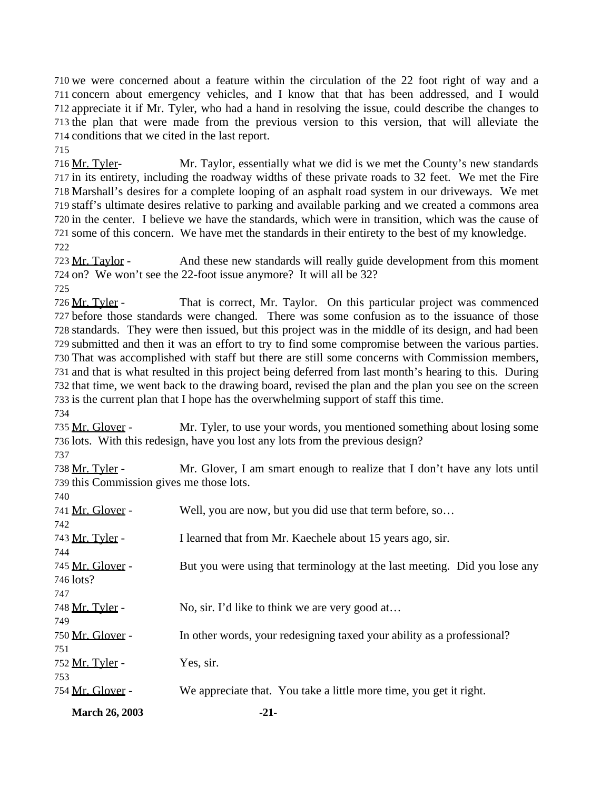we were concerned about a feature within the circulation of the 22 foot right of way and a concern about emergency vehicles, and I know that that has been addressed, and I would appreciate it if Mr. Tyler, who had a hand in resolving the issue, could describe the changes to the plan that were made from the previous version to this version, that will alleviate the conditions that we cited in the last report.

 Mr. Tyler- Mr. Taylor, essentially what we did is we met the County's new standards in its entirety, including the roadway widths of these private roads to 32 feet. We met the Fire Marshall's desires for a complete looping of an asphalt road system in our driveways. We met staff's ultimate desires relative to parking and available parking and we created a commons area in the center. I believe we have the standards, which were in transition, which was the cause of some of this concern. We have met the standards in their entirety to the best of my knowledge. 

 Mr. Taylor - And these new standards will really guide development from this moment on? We won't see the 22-foot issue anymore? It will all be 32?

 Mr. Tyler - That is correct, Mr. Taylor. On this particular project was commenced before those standards were changed. There was some confusion as to the issuance of those standards. They were then issued, but this project was in the middle of its design, and had been submitted and then it was an effort to try to find some compromise between the various parties. That was accomplished with staff but there are still some concerns with Commission members, and that is what resulted in this project being deferred from last month's hearing to this. During that time, we went back to the drawing board, revised the plan and the plan you see on the screen is the current plan that I hope has the overwhelming support of staff this time.

 Mr. Glover - Mr. Tyler, to use your words, you mentioned something about losing some lots. With this redesign, have you lost any lots from the previous design?

738 Mr. Tyler - Mr. Glover, I am smart enough to realize that I don't have any lots until this Commission gives me those lots.

| <b>March 26, 2003</b> | $-21-$                                                                    |
|-----------------------|---------------------------------------------------------------------------|
| 754 Mr. Glover -      | We appreciate that. You take a little more time, you get it right.        |
| 753                   |                                                                           |
| 752 Mr. Tyler -       | Yes, sir.                                                                 |
| 751                   |                                                                           |
| 750 Mr. Glover -      | In other words, your redesigning taxed your ability as a professional?    |
| 749                   |                                                                           |
| 748 Mr. Tyler -       | No, sir. I'd like to think we are very good at                            |
| 747                   |                                                                           |
| 746 lots?             |                                                                           |
| 745 Mr. Glover -      | But you were using that terminology at the last meeting. Did you lose any |
| 744                   |                                                                           |
| 743 Mr. Tyler -       | I learned that from Mr. Kaechele about 15 years ago, sir.                 |
| 742                   |                                                                           |
| 741 Mr. Glover -      | Well, you are now, but you did use that term before, so                   |
| 740                   |                                                                           |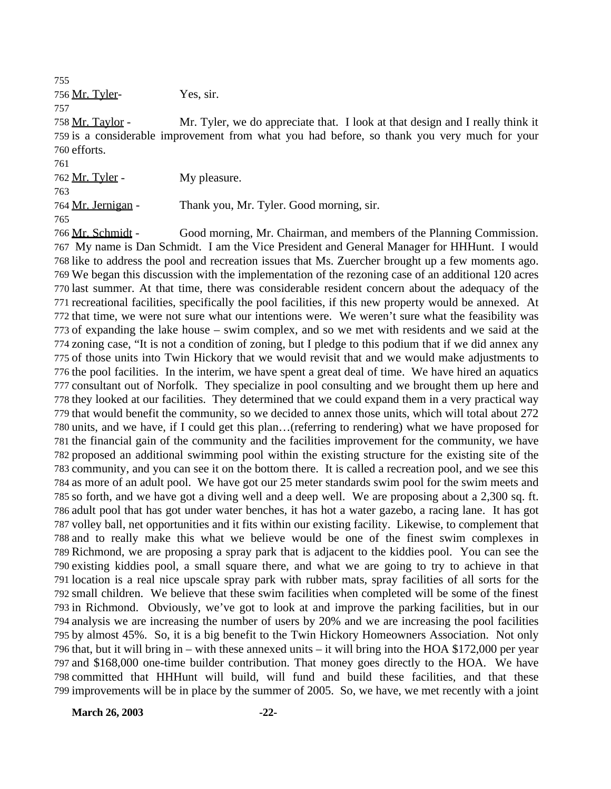Mr. Tyler- Yes, sir.

 Mr. Taylor - Mr. Tyler, we do appreciate that. I look at that design and I really think it is a considerable improvement from what you had before, so thank you very much for your efforts.

 Mr. Tyler - My pleasure. Mr. Jernigan - Thank you, Mr. Tyler. Good morning, sir. 

 Mr. Schmidt - Good morning, Mr. Chairman, and members of the Planning Commission. My name is Dan Schmidt. I am the Vice President and General Manager for HHHunt. I would like to address the pool and recreation issues that Ms. Zuercher brought up a few moments ago. We began this discussion with the implementation of the rezoning case of an additional 120 acres last summer. At that time, there was considerable resident concern about the adequacy of the recreational facilities, specifically the pool facilities, if this new property would be annexed. At that time, we were not sure what our intentions were. We weren't sure what the feasibility was of expanding the lake house – swim complex, and so we met with residents and we said at the zoning case, "It is not a condition of zoning, but I pledge to this podium that if we did annex any of those units into Twin Hickory that we would revisit that and we would make adjustments to the pool facilities. In the interim, we have spent a great deal of time. We have hired an aquatics consultant out of Norfolk. They specialize in pool consulting and we brought them up here and they looked at our facilities. They determined that we could expand them in a very practical way that would benefit the community, so we decided to annex those units, which will total about 272 units, and we have, if I could get this plan…(referring to rendering) what we have proposed for the financial gain of the community and the facilities improvement for the community, we have proposed an additional swimming pool within the existing structure for the existing site of the community, and you can see it on the bottom there. It is called a recreation pool, and we see this as more of an adult pool. We have got our 25 meter standards swim pool for the swim meets and so forth, and we have got a diving well and a deep well. We are proposing about a 2,300 sq. ft. adult pool that has got under water benches, it has hot a water gazebo, a racing lane. It has got volley ball, net opportunities and it fits within our existing facility. Likewise, to complement that and to really make this what we believe would be one of the finest swim complexes in Richmond, we are proposing a spray park that is adjacent to the kiddies pool. You can see the existing kiddies pool, a small square there, and what we are going to try to achieve in that location is a real nice upscale spray park with rubber mats, spray facilities of all sorts for the small children. We believe that these swim facilities when completed will be some of the finest in Richmond. Obviously, we've got to look at and improve the parking facilities, but in our analysis we are increasing the number of users by 20% and we are increasing the pool facilities by almost 45%. So, it is a big benefit to the Twin Hickory Homeowners Association. Not only that, but it will bring in – with these annexed units – it will bring into the HOA \$172,000 per year and \$168,000 one-time builder contribution. That money goes directly to the HOA. We have committed that HHHunt will build, will fund and build these facilities, and that these improvements will be in place by the summer of 2005. So, we have, we met recently with a joint

**March 26, 2003 -22-**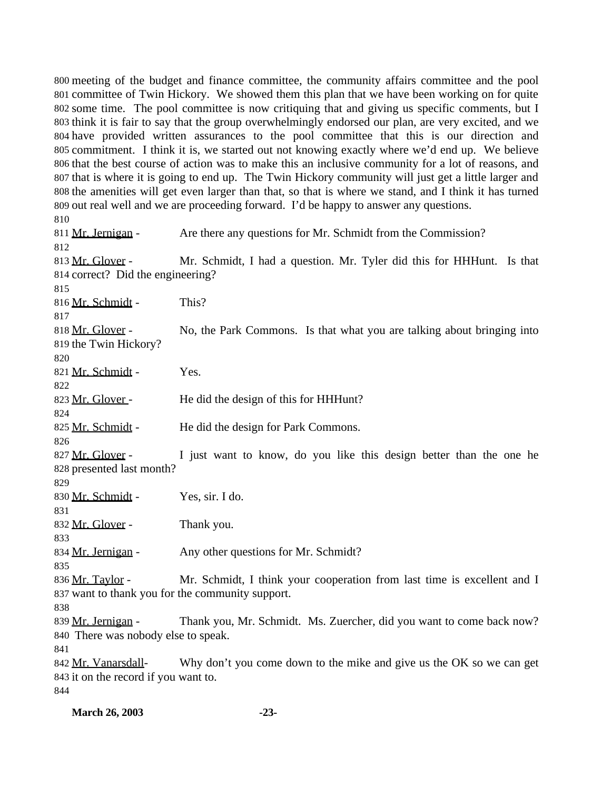meeting of the budget and finance committee, the community affairs committee and the pool committee of Twin Hickory. We showed them this plan that we have been working on for quite some time. The pool committee is now critiquing that and giving us specific comments, but I think it is fair to say that the group overwhelmingly endorsed our plan, are very excited, and we have provided written assurances to the pool committee that this is our direction and commitment. I think it is, we started out not knowing exactly where we'd end up. We believe that the best course of action was to make this an inclusive community for a lot of reasons, and that is where it is going to end up. The Twin Hickory community will just get a little larger and the amenities will get even larger than that, so that is where we stand, and I think it has turned out real well and we are proceeding forward. I'd be happy to answer any questions. 811 Mr. Jernigan - Are there any questions for Mr. Schmidt from the Commission? 813 Mr. Glover - Mr. Schmidt, I had a question. Mr. Tyler did this for HHHunt. Is that correct? Did the engineering? Mr. Schmidt - This? 818 Mr. Glover - No, the Park Commons. Is that what you are talking about bringing into the Twin Hickory? 821 Mr. Schmidt - Yes. 823 Mr. Glover - He did the design of this for HHHunt? 825 Mr. Schmidt - He did the design for Park Commons. 827 Mr. Glover - I just want to know, do you like this design better than the one he presented last month? Mr. Schmidt - Yes, sir. I do. 832 Mr. Glover - Thank you. 834 Mr. Jernigan - Any other questions for Mr. Schmidt? 836 Mr. Taylor - Mr. Schmidt, I think your cooperation from last time is excellent and I want to thank you for the community support. 839 Mr. Jernigan - Thank you, Mr. Schmidt. Ms. Zuercher, did you want to come back now? There was nobody else to speak. 842 Mr. Vanarsdall-<br>Why don't you come down to the mike and give us the OK so we can get it on the record if you want to. 

**March 26, 2003 -23-**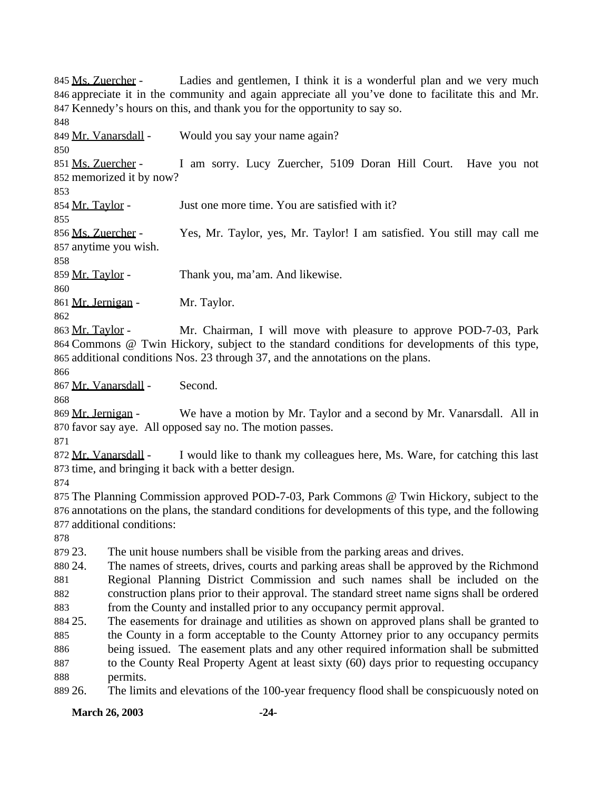**March 26, 2003 -24-** 845 Ms. Zuercher - Ladies and gentlemen, I think it is a wonderful plan and we very much appreciate it in the community and again appreciate all you've done to facilitate this and Mr. Kennedy's hours on this, and thank you for the opportunity to say so. 849 Mr. Vanarsdall - Would you say your name again? Ms. Zuercher - I am sorry. Lucy Zuercher, 5109 Doran Hill Court. Have you not memorized it by now? 854 Mr. Taylor - Just one more time. You are satisfied with it? Ms. Zuercher - Yes, Mr. Taylor, yes, Mr. Taylor! I am satisfied. You still may call me anytime you wish. Mr. Taylor - Thank you, ma'am. And likewise. 861 Mr. Jernigan - Mr. Taylor. Mr. Taylor - Mr. Chairman, I will move with pleasure to approve POD-7-03, Park Commons @ Twin Hickory, subject to the standard conditions for developments of this type, additional conditions Nos. 23 through 37, and the annotations on the plans. Mr. Vanarsdall - Second. 869 Mr. Jernigan - We have a motion by Mr. Taylor and a second by Mr. Vanarsdall. All in favor say aye. All opposed say no. The motion passes. 872 Mr. Vanarsdall - I would like to thank my colleagues here, Ms. Ware, for catching this last time, and bringing it back with a better design. The Planning Commission approved POD-7-03, Park Commons @ Twin Hickory, subject to the annotations on the plans, the standard conditions for developments of this type, and the following additional conditions: 23. The unit house numbers shall be visible from the parking areas and drives. 24. The names of streets, drives, courts and parking areas shall be approved by the Richmond Regional Planning District Commission and such names shall be included on the construction plans prior to their approval. The standard street name signs shall be ordered from the County and installed prior to any occupancy permit approval. 25. The easements for drainage and utilities as shown on approved plans shall be granted to the County in a form acceptable to the County Attorney prior to any occupancy permits being issued. The easement plats and any other required information shall be submitted to the County Real Property Agent at least sixty (60) days prior to requesting occupancy permits. 26. The limits and elevations of the 100-year frequency flood shall be conspicuously noted on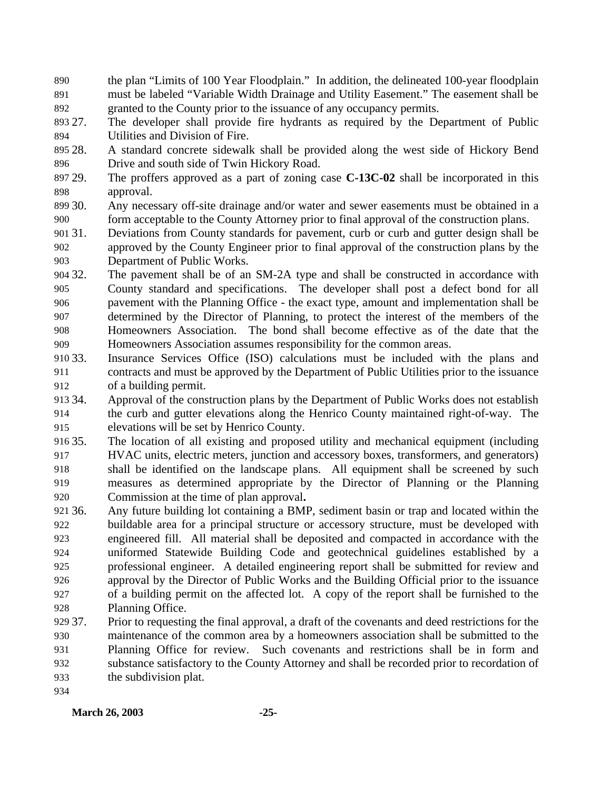- the plan "Limits of 100 Year Floodplain." In addition, the delineated 100-year floodplain must be labeled "Variable Width Drainage and Utility Easement." The easement shall be granted to the County prior to the issuance of any occupancy permits.
- 27. The developer shall provide fire hydrants as required by the Department of Public Utilities and Division of Fire.
- 28. A standard concrete sidewalk shall be provided along the west side of Hickory Bend Drive and south side of Twin Hickory Road.
- 29. The proffers approved as a part of zoning case **C-13C-02** shall be incorporated in this approval.
- 30. Any necessary off-site drainage and/or water and sewer easements must be obtained in a form acceptable to the County Attorney prior to final approval of the construction plans.
- 31. Deviations from County standards for pavement, curb or curb and gutter design shall be approved by the County Engineer prior to final approval of the construction plans by the Department of Public Works.
- 32. The pavement shall be of an SM-2A type and shall be constructed in accordance with County standard and specifications. The developer shall post a defect bond for all pavement with the Planning Office - the exact type, amount and implementation shall be determined by the Director of Planning, to protect the interest of the members of the Homeowners Association. The bond shall become effective as of the date that the Homeowners Association assumes responsibility for the common areas.
- 33. Insurance Services Office (ISO) calculations must be included with the plans and contracts and must be approved by the Department of Public Utilities prior to the issuance of a building permit.
- 34. Approval of the construction plans by the Department of Public Works does not establish the curb and gutter elevations along the Henrico County maintained right-of-way. The elevations will be set by Henrico County.
- 35. The location of all existing and proposed utility and mechanical equipment (including HVAC units, electric meters, junction and accessory boxes, transformers, and generators) shall be identified on the landscape plans. All equipment shall be screened by such measures as determined appropriate by the Director of Planning or the Planning Commission at the time of plan approval**.**
- 36. Any future building lot containing a BMP, sediment basin or trap and located within the buildable area for a principal structure or accessory structure, must be developed with engineered fill. All material shall be deposited and compacted in accordance with the uniformed Statewide Building Code and geotechnical guidelines established by a professional engineer. A detailed engineering report shall be submitted for review and approval by the Director of Public Works and the Building Official prior to the issuance of a building permit on the affected lot. A copy of the report shall be furnished to the Planning Office.
- 37. Prior to requesting the final approval, a draft of the covenants and deed restrictions for the maintenance of the common area by a homeowners association shall be submitted to the Planning Office for review. Such covenants and restrictions shall be in form and substance satisfactory to the County Attorney and shall be recorded prior to recordation of the subdivision plat.
	- **March 26, 2003 -25-**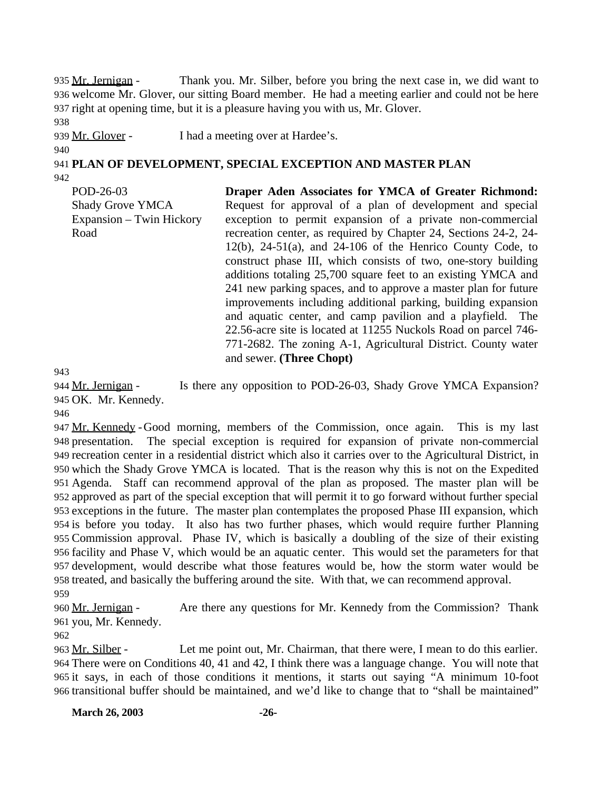935 Mr. Jernigan - Thank you. Mr. Silber, before you bring the next case in, we did want to 936 welcome Mr. Glover, our sitting Board member. He had a meeting earlier and could not be here 937 right at opening time, but it is a pleasure having you with us, Mr. Glover.

938

939 Mr. Glover - I had a meeting over at Hardee's.

940

941 **PLAN OF DEVELOPMENT, SPECIAL EXCEPTION AND MASTER PLAN**

942

POD-26-03 Shady Grove YMCA Expansion – Twin Hickory Road

**Draper Aden Associates for YMCA of Greater Richmond:** Request for approval of a plan of development and special exception to permit expansion of a private non-commercial recreation center, as required by Chapter 24, Sections 24-2, 24-  $12(b)$ ,  $24-51(a)$ , and  $24-106$  of the Henrico County Code, to construct phase III, which consists of two, one-story building additions totaling 25,700 square feet to an existing YMCA and 241 new parking spaces, and to approve a master plan for future improvements including additional parking, building expansion and aquatic center, and camp pavilion and a playfield. The 22.56-acre site is located at 11255 Nuckols Road on parcel 746- 771-2682. The zoning A-1, Agricultural District. County water and sewer. **(Three Chopt)**

943

944 Mr. Jernigan - Is there any opposition to POD-26-03, Shady Grove YMCA Expansion? 945 OK. Mr. Kennedy.

946

 Mr. Kennedy -Good morning, members of the Commission, once again. This is my last presentation. The special exception is required for expansion of private non-commercial recreation center in a residential district which also it carries over to the Agricultural District, in which the Shady Grove YMCA is located. That is the reason why this is not on the Expedited Agenda. Staff can recommend approval of the plan as proposed. The master plan will be approved as part of the special exception that will permit it to go forward without further special exceptions in the future. The master plan contemplates the proposed Phase III expansion, which is before you today. It also has two further phases, which would require further Planning Commission approval. Phase IV, which is basically a doubling of the size of their existing facility and Phase V, which would be an aquatic center. This would set the parameters for that development, would describe what those features would be, how the storm water would be treated, and basically the buffering around the site. With that, we can recommend approval.

959

960 Mr. Jernigan - Are there any questions for Mr. Kennedy from the Commission? Thank 961 you, Mr. Kennedy.

963 Mr. Silber - Let me point out, Mr. Chairman, that there were, I mean to do this earlier. There were on Conditions 40, 41 and 42, I think there was a language change. You will note that it says, in each of those conditions it mentions, it starts out saying "A minimum 10-foot transitional buffer should be maintained, and we'd like to change that to "shall be maintained"

**March 26, 2003 -26-**

<sup>962</sup>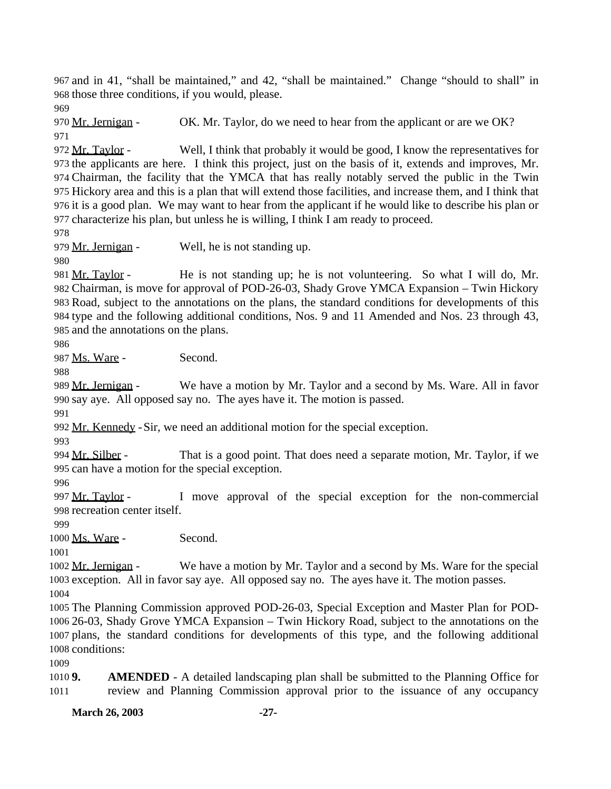and in 41, "shall be maintained," and 42, "shall be maintained." Change "should to shall" in those three conditions, if you would, please.

970 Mr. Jernigan - OK. Mr. Taylor, do we need to hear from the applicant or are we OK? 

972 Mr. Taylor - Well, I think that probably it would be good, I know the representatives for the applicants are here. I think this project, just on the basis of it, extends and improves, Mr. Chairman, the facility that the YMCA that has really notably served the public in the Twin Hickory area and this is a plan that will extend those facilities, and increase them, and I think that it is a good plan. We may want to hear from the applicant if he would like to describe his plan or characterize his plan, but unless he is willing, I think I am ready to proceed.

979 Mr. Jernigan - Well, he is not standing up.

981 Mr. Taylor - He is not standing up; he is not volunteering. So what I will do, Mr. Chairman, is move for approval of POD-26-03, Shady Grove YMCA Expansion – Twin Hickory Road, subject to the annotations on the plans, the standard conditions for developments of this type and the following additional conditions, Nos. 9 and 11 Amended and Nos. 23 through 43, and the annotations on the plans.

Ms. Ware - Second.

989 Mr. Jernigan - We have a motion by Mr. Taylor and a second by Ms. Ware. All in favor say aye. All opposed say no. The ayes have it. The motion is passed.

Mr. Kennedy -Sir, we need an additional motion for the special exception.

994 Mr. Silber - That is a good point. That does need a separate motion, Mr. Taylor, if we can have a motion for the special exception.

997 Mr. Taylor - I move approval of the special exception for the non-commercial recreation center itself.

1000 Ms. Ware - Second.

 Mr. Jernigan - We have a motion by Mr. Taylor and a second by Ms. Ware for the special exception. All in favor say aye. All opposed say no. The ayes have it. The motion passes.

 The Planning Commission approved POD-26-03, Special Exception and Master Plan for POD- 26-03, Shady Grove YMCA Expansion – Twin Hickory Road, subject to the annotations on the plans, the standard conditions for developments of this type, and the following additional conditions:

 **9. AMENDED** - A detailed landscaping plan shall be submitted to the Planning Office for review and Planning Commission approval prior to the issuance of any occupancy

**March 26, 2003 -27-**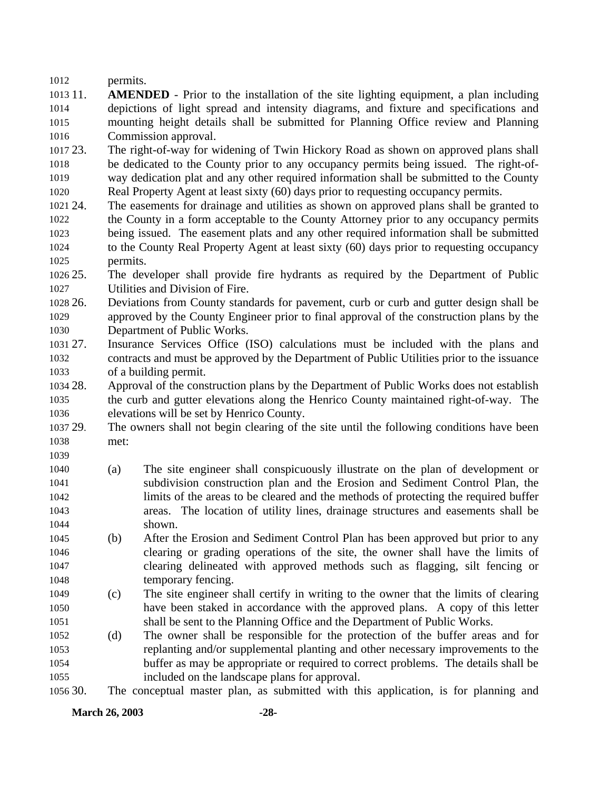permits.

- 11. **AMENDED** Prior to the installation of the site lighting equipment, a plan including depictions of light spread and intensity diagrams, and fixture and specifications and mounting height details shall be submitted for Planning Office review and Planning Commission approval.
- 23. The right-of-way for widening of Twin Hickory Road as shown on approved plans shall be dedicated to the County prior to any occupancy permits being issued. The right-of- way dedication plat and any other required information shall be submitted to the County Real Property Agent at least sixty (60) days prior to requesting occupancy permits.
- 24. The easements for drainage and utilities as shown on approved plans shall be granted to the County in a form acceptable to the County Attorney prior to any occupancy permits being issued. The easement plats and any other required information shall be submitted to the County Real Property Agent at least sixty (60) days prior to requesting occupancy permits.

 25. The developer shall provide fire hydrants as required by the Department of Public Utilities and Division of Fire.

 26. Deviations from County standards for pavement, curb or curb and gutter design shall be approved by the County Engineer prior to final approval of the construction plans by the Department of Public Works.

- 27. Insurance Services Office (ISO) calculations must be included with the plans and contracts and must be approved by the Department of Public Utilities prior to the issuance of a building permit.
- 28. Approval of the construction plans by the Department of Public Works does not establish the curb and gutter elevations along the Henrico County maintained right-of-way. The elevations will be set by Henrico County.
- 29. The owners shall not begin clearing of the site until the following conditions have been met:
- (a) The site engineer shall conspicuously illustrate on the plan of development or subdivision construction plan and the Erosion and Sediment Control Plan, the limits of the areas to be cleared and the methods of protecting the required buffer areas. The location of utility lines, drainage structures and easements shall be shown.
- (b) After the Erosion and Sediment Control Plan has been approved but prior to any clearing or grading operations of the site, the owner shall have the limits of clearing delineated with approved methods such as flagging, silt fencing or 1048 temporary fencing.
- (c) The site engineer shall certify in writing to the owner that the limits of clearing have been staked in accordance with the approved plans. A copy of this letter shall be sent to the Planning Office and the Department of Public Works.
- (d) The owner shall be responsible for the protection of the buffer areas and for replanting and/or supplemental planting and other necessary improvements to the buffer as may be appropriate or required to correct problems. The details shall be included on the landscape plans for approval.

30. The conceptual master plan, as submitted with this application, is for planning and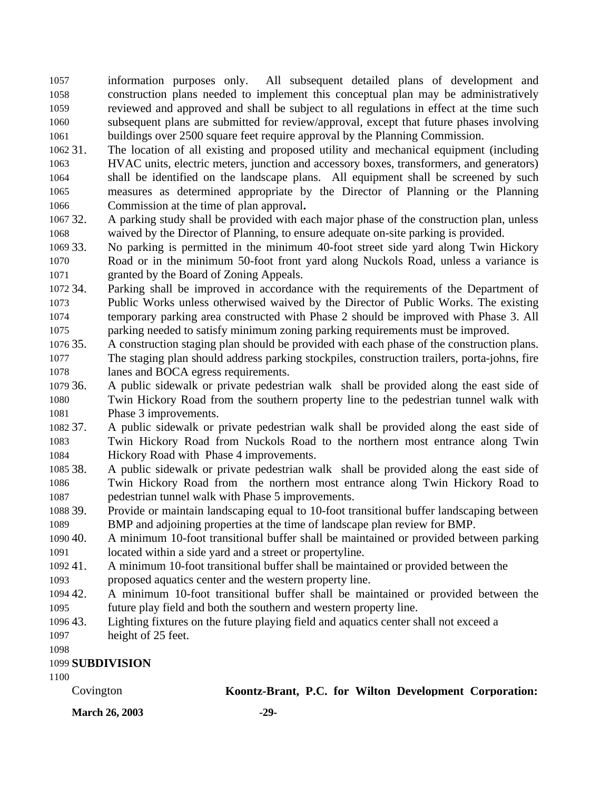information purposes only. All subsequent detailed plans of development and construction plans needed to implement this conceptual plan may be administratively reviewed and approved and shall be subject to all regulations in effect at the time such subsequent plans are submitted for review/approval, except that future phases involving buildings over 2500 square feet require approval by the Planning Commission.

- 31. The location of all existing and proposed utility and mechanical equipment (including HVAC units, electric meters, junction and accessory boxes, transformers, and generators) shall be identified on the landscape plans. All equipment shall be screened by such measures as determined appropriate by the Director of Planning or the Planning Commission at the time of plan approval**.**
- 32. A parking study shall be provided with each major phase of the construction plan, unless waived by the Director of Planning, to ensure adequate on-site parking is provided.

 33. No parking is permitted in the minimum 40-foot street side yard along Twin Hickory Road or in the minimum 50-foot front yard along Nuckols Road, unless a variance is granted by the Board of Zoning Appeals.

 34. Parking shall be improved in accordance with the requirements of the Department of Public Works unless otherwised waived by the Director of Public Works. The existing temporary parking area constructed with Phase 2 should be improved with Phase 3. All parking needed to satisfy minimum zoning parking requirements must be improved.

 35. A construction staging plan should be provided with each phase of the construction plans. The staging plan should address parking stockpiles, construction trailers, porta-johns, fire lanes and BOCA egress requirements.

 36. A public sidewalk or private pedestrian walk shall be provided along the east side of Twin Hickory Road from the southern property line to the pedestrian tunnel walk with Phase 3 improvements.

 37. A public sidewalk or private pedestrian walk shall be provided along the east side of Twin Hickory Road from Nuckols Road to the northern most entrance along Twin Hickory Road with Phase 4 improvements.

- 38. A public sidewalk or private pedestrian walk shall be provided along the east side of Twin Hickory Road from the northern most entrance along Twin Hickory Road to pedestrian tunnel walk with Phase 5 improvements.
- 39. Provide or maintain landscaping equal to 10-foot transitional buffer landscaping between BMP and adjoining properties at the time of landscape plan review for BMP.
- 40. A minimum 10-foot transitional buffer shall be maintained or provided between parking located within a side yard and a street or propertyline.
- 41. A minimum 10-foot transitional buffer shall be maintained or provided between the
- proposed aquatics center and the western property line.
- 42. A minimum 10-foot transitional buffer shall be maintained or provided between the future play field and both the southern and western property line.
- 43. Lighting fixtures on the future playing field and aquatics center shall not exceed a
- height of 25 feet.

# **SUBDIVISION**

Covington **Koontz-Brant, P.C. for Wilton Development Corporation:**

**March 26, 2003 -29-**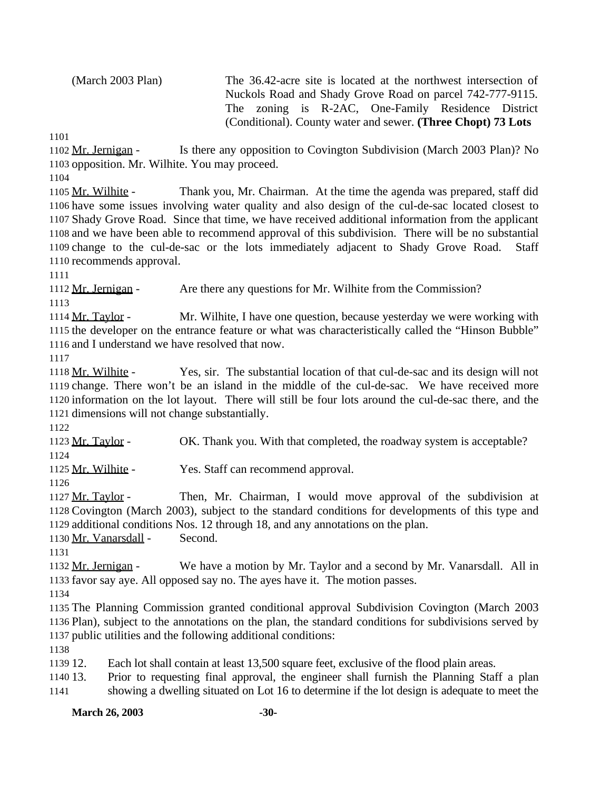(March 2003 Plan) The 36.42-acre site is located at the northwest intersection of Nuckols Road and Shady Grove Road on parcel 742-777-9115. The zoning is R-2AC, One-Family Residence District (Conditional). County water and sewer. **(Three Chopt) 73 Lots**

1102 Mr. Jernigan - Is there any opposition to Covington Subdivision (March 2003 Plan)? No opposition. Mr. Wilhite. You may proceed.

 Mr. Wilhite - Thank you, Mr. Chairman. At the time the agenda was prepared, staff did have some issues involving water quality and also design of the cul-de-sac located closest to Shady Grove Road. Since that time, we have received additional information from the applicant and we have been able to recommend approval of this subdivision. There will be no substantial change to the cul-de-sac or the lots immediately adjacent to Shady Grove Road. Staff recommends approval.

1112 Mr. Jernigan - Are there any questions for Mr. Wilhite from the Commission?

 Mr. Taylor - Mr. Wilhite, I have one question, because yesterday we were working with the developer on the entrance feature or what was characteristically called the "Hinson Bubble" and I understand we have resolved that now.

 Mr. Wilhite - Yes, sir. The substantial location of that cul-de-sac and its design will not change. There won't be an island in the middle of the cul-de-sac. We have received more information on the lot layout. There will still be four lots around the cul-de-sac there, and the dimensions will not change substantially.

 Mr. Taylor - OK. Thank you. With that completed, the roadway system is acceptable? 

Mr. Wilhite - Yes. Staff can recommend approval.

 Mr. Taylor - Then, Mr. Chairman, I would move approval of the subdivision at Covington (March 2003), subject to the standard conditions for developments of this type and additional conditions Nos. 12 through 18, and any annotations on the plan.

Mr. Vanarsdall - Second.

 Mr. Jernigan - We have a motion by Mr. Taylor and a second by Mr. Vanarsdall. All in favor say aye. All opposed say no. The ayes have it. The motion passes.

 The Planning Commission granted conditional approval Subdivision Covington (March 2003 Plan), subject to the annotations on the plan, the standard conditions for subdivisions served by public utilities and the following additional conditions:

12. Each lot shall contain at least 13,500 square feet, exclusive of the flood plain areas.

 13. Prior to requesting final approval, the engineer shall furnish the Planning Staff a plan showing a dwelling situated on Lot 16 to determine if the lot design is adequate to meet the

**March 26, 2003 -30-**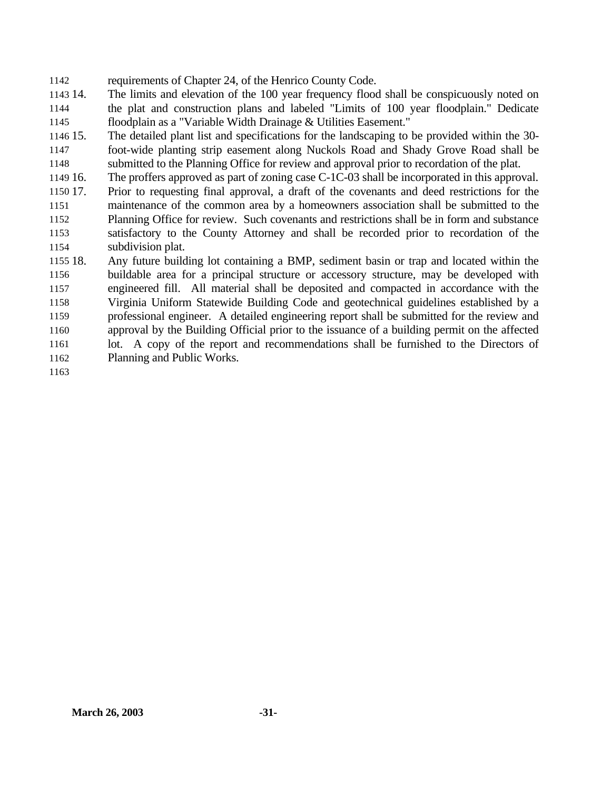requirements of Chapter 24, of the Henrico County Code.

 14. The limits and elevation of the 100 year frequency flood shall be conspicuously noted on the plat and construction plans and labeled "Limits of 100 year floodplain." Dedicate floodplain as a "Variable Width Drainage & Utilities Easement."

 15. The detailed plant list and specifications for the landscaping to be provided within the 30- foot-wide planting strip easement along Nuckols Road and Shady Grove Road shall be submitted to the Planning Office for review and approval prior to recordation of the plat.

 16. The proffers approved as part of zoning case C-1C-03 shall be incorporated in this approval. 17. Prior to requesting final approval, a draft of the covenants and deed restrictions for the maintenance of the common area by a homeowners association shall be submitted to the

 Planning Office for review. Such covenants and restrictions shall be in form and substance satisfactory to the County Attorney and shall be recorded prior to recordation of the subdivision plat.

 18. Any future building lot containing a BMP, sediment basin or trap and located within the buildable area for a principal structure or accessory structure, may be developed with engineered fill. All material shall be deposited and compacted in accordance with the Virginia Uniform Statewide Building Code and geotechnical guidelines established by a professional engineer. A detailed engineering report shall be submitted for the review and approval by the Building Official prior to the issuance of a building permit on the affected lot. A copy of the report and recommendations shall be furnished to the Directors of Planning and Public Works.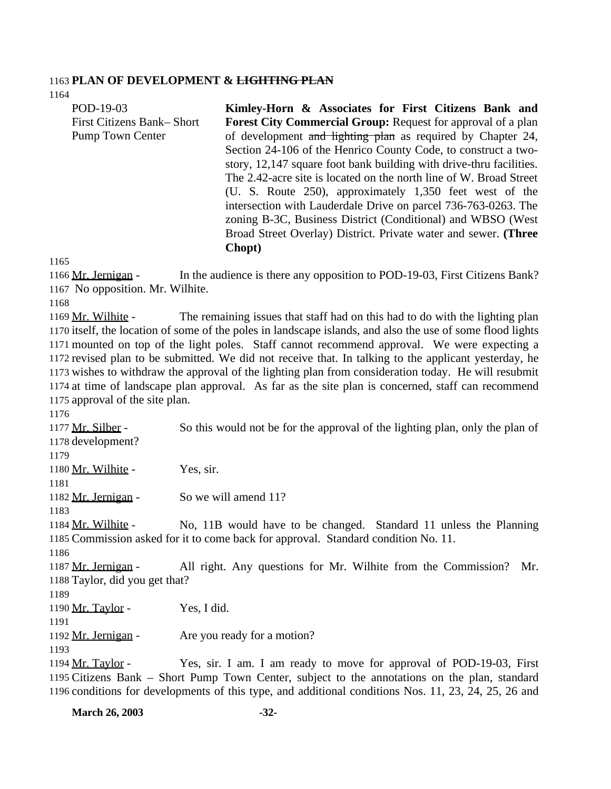#### **PLAN OF DEVELOPMENT & LIGHTING PLAN**

 POD-19-03 First Citizens Bank– Short Pump Town Center **Kimley-Horn & Associates for First Citizens Bank and Forest City Commercial Group:** Request for approval of a plan of development and lighting plan as required by Chapter 24, Section 24-106 of the Henrico County Code, to construct a twostory, 12,147 square foot bank building with drive-thru facilities. The 2.42-acre site is located on the north line of W. Broad Street (U. S. Route 250), approximately 1,350 feet west of the intersection with Lauderdale Drive on parcel 736-763-0263. The zoning B-3C, Business District (Conditional) and WBSO (West Broad Street Overlay) District. Private water and sewer. **(Three Chopt)**

 Mr. Jernigan - In the audience is there any opposition to POD-19-03, First Citizens Bank? No opposition. Mr. Wilhite.

 Mr. Wilhite - The remaining issues that staff had on this had to do with the lighting plan itself, the location of some of the poles in landscape islands, and also the use of some flood lights mounted on top of the light poles. Staff cannot recommend approval. We were expecting a revised plan to be submitted. We did not receive that. In talking to the applicant yesterday, he wishes to withdraw the approval of the lighting plan from consideration today. He will resubmit at time of landscape plan approval. As far as the site plan is concerned, staff can recommend approval of the site plan.

 Mr. Silber - So this would not be for the approval of the lighting plan, only the plan of development?

1180 Mr. Wilhite - Yes, sir.

1182 Mr. Jernigan - So we will amend 11?

 Mr. Wilhite - No, 11B would have to be changed. Standard 11 unless the Planning Commission asked for it to come back for approval. Standard condition No. 11.

 Mr. Jernigan - All right. Any questions for Mr. Wilhite from the Commission? Mr. Taylor, did you get that?

1190 Mr. Taylor - Yes, I did.

1192 Mr. Jernigan - Are you ready for a motion?

 Mr. Taylor - Yes, sir. I am. I am ready to move for approval of POD-19-03, First Citizens Bank – Short Pump Town Center, subject to the annotations on the plan, standard conditions for developments of this type, and additional conditions Nos. 11, 23, 24, 25, 26 and

**March 26, 2003 -32-**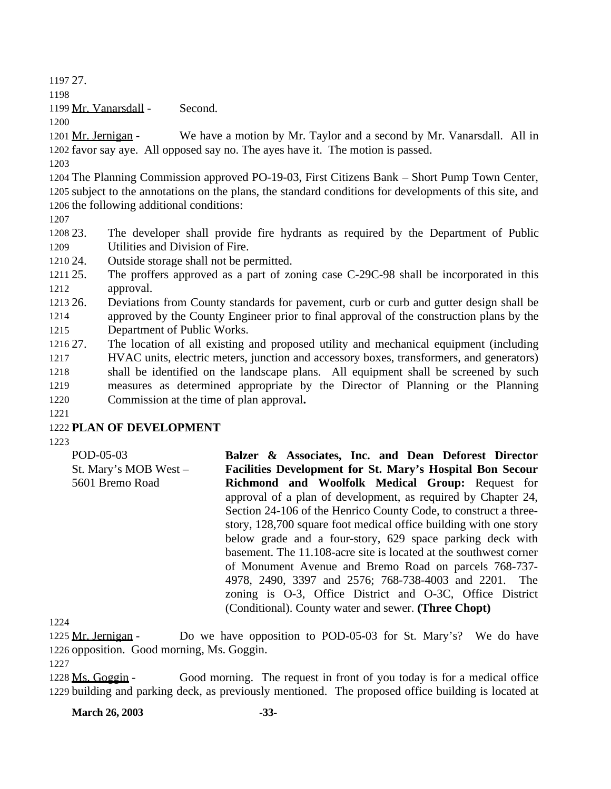1197 27.

1198

1199 Mr. Vanarsdall - Second.

1200

1201 Mr. Jernigan - We have a motion by Mr. Taylor and a second by Mr. Vanarsdall. All in 1202 favor say aye. All opposed say no. The ayes have it. The motion is passed.

1203

1204 The Planning Commission approved PO-19-03, First Citizens Bank – Short Pump Town Center, 1205 subject to the annotations on the plans, the standard conditions for developments of this site, and 1206 the following additional conditions:

1207

1208 23. The developer shall provide fire hydrants as required by the Department of Public 1209 Utilities and Division of Fire.

1210 24. Outside storage shall not be permitted.

1211 25. The proffers approved as a part of zoning case C-29C-98 shall be incorporated in this 1212 approval.

1213 26. Deviations from County standards for pavement, curb or curb and gutter design shall be 1214 approved by the County Engineer prior to final approval of the construction plans by the 1215 Department of Public Works.

- 1216 27. The location of all existing and proposed utility and mechanical equipment (including 1217 HVAC units, electric meters, junction and accessory boxes, transformers, and generators) 1218 shall be identified on the landscape plans. All equipment shall be screened by such 1219 measures as determined appropriate by the Director of Planning or the Planning 1220 Commission at the time of plan approval**.**
- 1221

# 1222 **PLAN OF DEVELOPMENT**

1223

POD-05-03 St. Mary's MOB West – 5601 Bremo Road **Balzer & Associates, Inc. and Dean Deforest Director Facilities Development for St. Mary's Hospital Bon Secour Richmond and Woolfolk Medical Group:** Request for approval of a plan of development, as required by Chapter 24, Section 24-106 of the Henrico County Code, to construct a threestory, 128,700 square foot medical office building with one story below grade and a four-story, 629 space parking deck with basement. The 11.108-acre site is located at the southwest corner of Monument Avenue and Bremo Road on parcels 768-737- 4978, 2490, 3397 and 2576; 768-738-4003 and 2201. The zoning is O-3, Office District and O-3C, Office District (Conditional). County water and sewer. **(Three Chopt)**

1224

1225 Mr. Jernigan - Do we have opposition to POD-05-03 for St. Mary's? We do have 1226 opposition. Good morning, Ms. Goggin.

1227

1228 Ms. Goggin - Good morning. The request in front of you today is for a medical office 1229 building and parking deck, as previously mentioned. The proposed office building is located at

**March 26, 2003 -33-**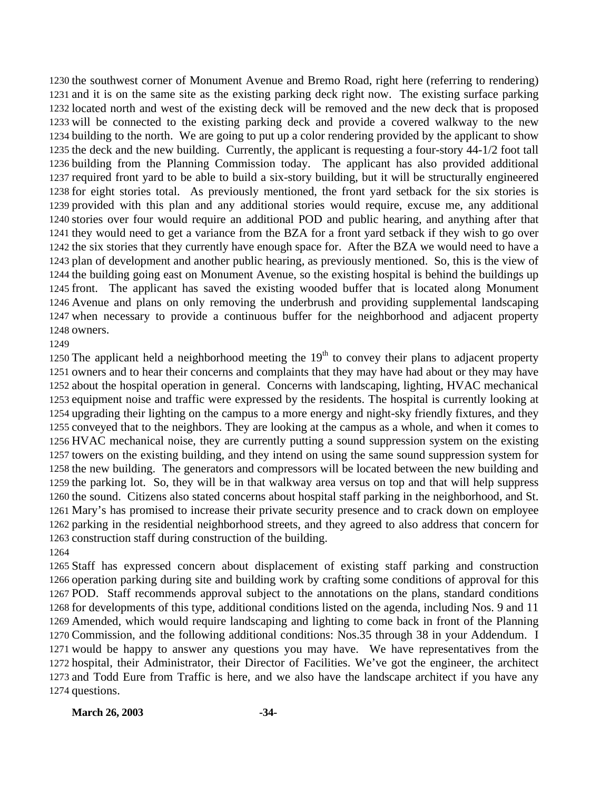the southwest corner of Monument Avenue and Bremo Road, right here (referring to rendering) and it is on the same site as the existing parking deck right now. The existing surface parking located north and west of the existing deck will be removed and the new deck that is proposed will be connected to the existing parking deck and provide a covered walkway to the new building to the north. We are going to put up a color rendering provided by the applicant to show the deck and the new building. Currently, the applicant is requesting a four-story 44-1/2 foot tall building from the Planning Commission today. The applicant has also provided additional required front yard to be able to build a six-story building, but it will be structurally engineered for eight stories total. As previously mentioned, the front yard setback for the six stories is provided with this plan and any additional stories would require, excuse me, any additional stories over four would require an additional POD and public hearing, and anything after that they would need to get a variance from the BZA for a front yard setback if they wish to go over the six stories that they currently have enough space for. After the BZA we would need to have a plan of development and another public hearing, as previously mentioned. So, this is the view of the building going east on Monument Avenue, so the existing hospital is behind the buildings up front. The applicant has saved the existing wooded buffer that is located along Monument Avenue and plans on only removing the underbrush and providing supplemental landscaping when necessary to provide a continuous buffer for the neighborhood and adjacent property owners.

1250 The applicant held a neighborhood meeting the  $19<sup>th</sup>$  to convey their plans to adjacent property owners and to hear their concerns and complaints that they may have had about or they may have about the hospital operation in general. Concerns with landscaping, lighting, HVAC mechanical equipment noise and traffic were expressed by the residents. The hospital is currently looking at upgrading their lighting on the campus to a more energy and night-sky friendly fixtures, and they conveyed that to the neighbors. They are looking at the campus as a whole, and when it comes to HVAC mechanical noise, they are currently putting a sound suppression system on the existing towers on the existing building, and they intend on using the same sound suppression system for the new building. The generators and compressors will be located between the new building and the parking lot. So, they will be in that walkway area versus on top and that will help suppress the sound. Citizens also stated concerns about hospital staff parking in the neighborhood, and St. Mary's has promised to increase their private security presence and to crack down on employee parking in the residential neighborhood streets, and they agreed to also address that concern for construction staff during construction of the building. 

 Staff has expressed concern about displacement of existing staff parking and construction operation parking during site and building work by crafting some conditions of approval for this POD. Staff recommends approval subject to the annotations on the plans, standard conditions for developments of this type, additional conditions listed on the agenda, including Nos. 9 and 11 Amended, which would require landscaping and lighting to come back in front of the Planning Commission, and the following additional conditions: Nos.35 through 38 in your Addendum. I would be happy to answer any questions you may have. We have representatives from the hospital, their Administrator, their Director of Facilities. We've got the engineer, the architect and Todd Eure from Traffic is here, and we also have the landscape architect if you have any questions.

#### **March 26, 2003 -34-**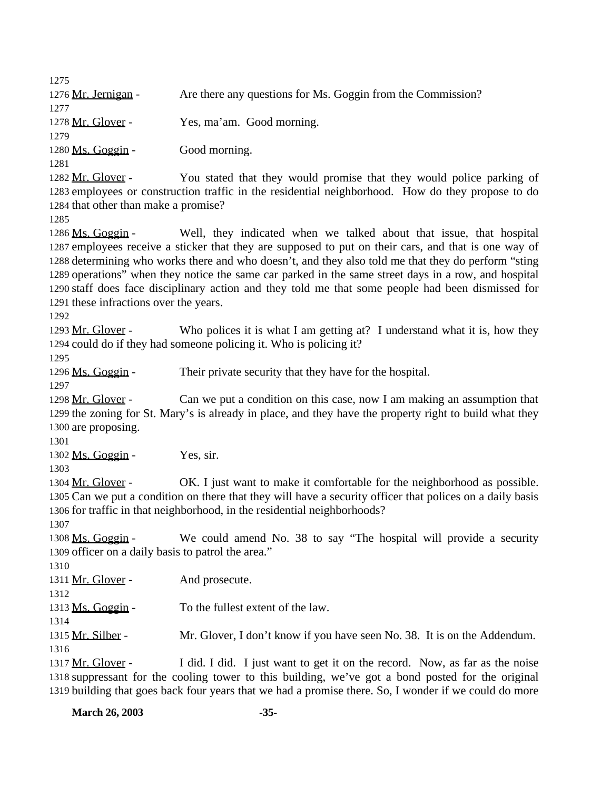| <b>March 26, 2003</b>                              | $-35-$                                                                                                                                                                                                     |
|----------------------------------------------------|------------------------------------------------------------------------------------------------------------------------------------------------------------------------------------------------------------|
|                                                    | 1318 suppressant for the cooling tower to this building, we've got a bond posted for the original<br>1319 building that goes back four years that we had a promise there. So, I wonder if we could do more |
| 1316<br>1317 Mr. Glover -                          | I did. I did. I just want to get it on the record. Now, as far as the noise                                                                                                                                |
| 1315 Mr. Silber -                                  | Mr. Glover, I don't know if you have seen No. 38. It is on the Addendum.                                                                                                                                   |
| 1313 Ms. Goggin -<br>1314                          | To the fullest extent of the law.                                                                                                                                                                          |
| 1312                                               |                                                                                                                                                                                                            |
| 1311 Mr. Glover -                                  | And prosecute.                                                                                                                                                                                             |
| 1310                                               |                                                                                                                                                                                                            |
| 1309 officer on a daily basis to patrol the area." |                                                                                                                                                                                                            |
| 1307<br>1308 Ms. Goggin -                          | We could amend No. 38 to say "The hospital will provide a security                                                                                                                                         |
|                                                    | 1306 for traffic in that neighborhood, in the residential neighborhoods?                                                                                                                                   |
|                                                    | 1305 Can we put a condition on there that they will have a security officer that polices on a daily basis                                                                                                  |
| 1304 Mr. Glover -                                  | OK. I just want to make it comfortable for the neighborhood as possible.                                                                                                                                   |
| 1303                                               |                                                                                                                                                                                                            |
| 1302 Ms. Goggin -                                  | Yes, sir.                                                                                                                                                                                                  |
| 1300 are proposing.<br>1301                        |                                                                                                                                                                                                            |
|                                                    | 1299 the zoning for St. Mary's is already in place, and they have the property right to build what they                                                                                                    |
| 1298 Mr. Glover -                                  | Can we put a condition on this case, now I am making an assumption that                                                                                                                                    |
| 1297                                               |                                                                                                                                                                                                            |
| 1296 Ms. Goggin -                                  | Their private security that they have for the hospital.                                                                                                                                                    |
| 1295                                               |                                                                                                                                                                                                            |
|                                                    | 1294 could do if they had someone policing it. Who is policing it?                                                                                                                                         |
| 1292<br>1293 Mr. Glover -                          | Who polices it is what I am getting at? I understand what it is, how they                                                                                                                                  |
| 1291 these infractions over the years.             |                                                                                                                                                                                                            |
|                                                    | 1290 staff does face disciplinary action and they told me that some people had been dismissed for                                                                                                          |
|                                                    | 1289 operations" when they notice the same car parked in the same street days in a row, and hospital                                                                                                       |
|                                                    | 1288 determining who works there and who doesn't, and they also told me that they do perform "sting                                                                                                        |
|                                                    | 1287 employees receive a sticker that they are supposed to put on their cars, and that is one way of                                                                                                       |
| 1285<br>1286 Ms. Goggin -                          | Well, they indicated when we talked about that issue, that hospital                                                                                                                                        |
| 1284 that other than make a promise?               |                                                                                                                                                                                                            |
|                                                    | 1283 employees or construction traffic in the residential neighborhood. How do they propose to do                                                                                                          |
| 1282 Mr. Glover -                                  | You stated that they would promise that they would police parking of                                                                                                                                       |
| 1280 Ms. Goggin -<br>1281                          | Good morning.                                                                                                                                                                                              |
| 1279                                               |                                                                                                                                                                                                            |
| 1278 Mr. Glover -                                  | Yes, ma'am. Good morning.                                                                                                                                                                                  |
| 1277                                               |                                                                                                                                                                                                            |
| 1276 Mr. Jernigan -                                | Are there any questions for Ms. Goggin from the Commission?                                                                                                                                                |
| 1275                                               |                                                                                                                                                                                                            |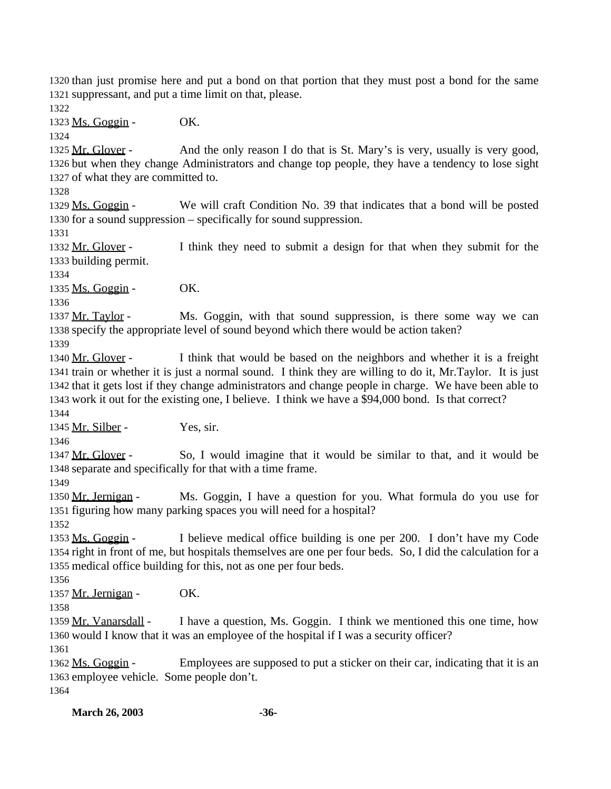than just promise here and put a bond on that portion that they must post a bond for the same suppressant, and put a time limit on that, please.

1323 Ms. Goggin - OK.

1325 Mr. Glover - And the only reason I do that is St. Mary's is very, usually is very good, but when they change Administrators and change top people, they have a tendency to lose sight of what they are committed to.

 Ms. Goggin - We will craft Condition No. 39 that indicates that a bond will be posted for a sound suppression – specifically for sound suppression.

 Mr. Glover - I think they need to submit a design for that when they submit for the building permit.

1335 Ms. Goggin - OK.

1337 Mr. Taylor - Ms. Goggin, with that sound suppression, is there some way we can specify the appropriate level of sound beyond which there would be action taken?

 Mr. Glover - I think that would be based on the neighbors and whether it is a freight train or whether it is just a normal sound. I think they are willing to do it, Mr.Taylor. It is just that it gets lost if they change administrators and change people in charge. We have been able to work it out for the existing one, I believe. I think we have a \$94,000 bond. Is that correct?

1345 Mr. Silber - Yes, sir.

1347 Mr. Glover - So, I would imagine that it would be similar to that, and it would be separate and specifically for that with a time frame.

1350 Mr. Jernigan - Ms. Goggin, I have a question for you. What formula do you use for figuring how many parking spaces you will need for a hospital?

 Ms. Goggin - I believe medical office building is one per 200. I don't have my Code right in front of me, but hospitals themselves are one per four beds. So, I did the calculation for a medical office building for this, not as one per four beds.

1357 Mr. Jernigan - OK.

1359 Mr. Vanarsdall - I have a question, Ms. Goggin. I think we mentioned this one time, how would I know that it was an employee of the hospital if I was a security officer?

 Ms. Goggin - Employees are supposed to put a sticker on their car, indicating that it is an employee vehicle. Some people don't. 

**March 26, 2003 -36-**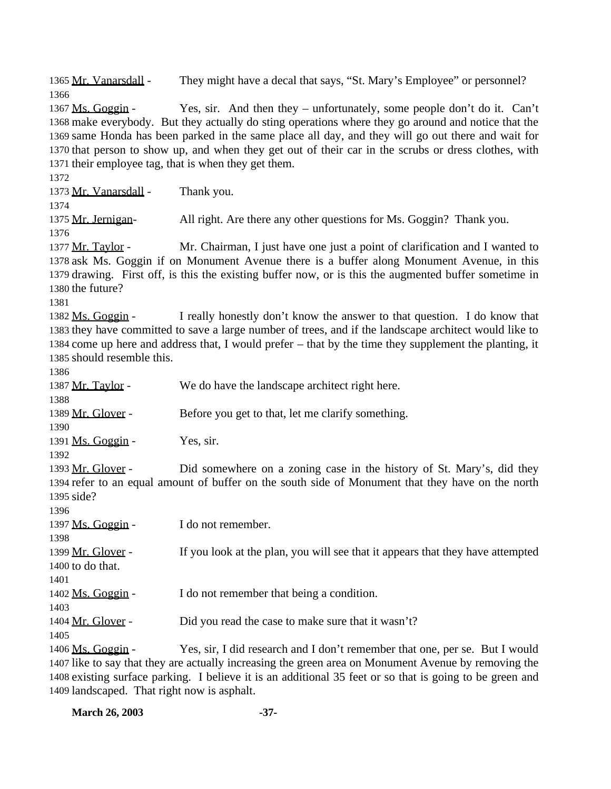Mr. Vanarsdall - They might have a decal that says, "St. Mary's Employee" or personnel? 1367 Ms. Goggin - Yes, sir. And then they – unfortunately, some people don't do it. Can't make everybody. But they actually do sting operations where they go around and notice that the same Honda has been parked in the same place all day, and they will go out there and wait for that person to show up, and when they get out of their car in the scrubs or dress clothes, with their employee tag, that is when they get them. 1373 Mr. Vanarsdall - Thank you. Mr. Jernigan- All right. Are there any other questions for Ms. Goggin? Thank you. 1377 Mr. Taylor - Mr. Chairman, I just have one just a point of clarification and I wanted to ask Ms. Goggin if on Monument Avenue there is a buffer along Monument Avenue, in this drawing. First off, is this the existing buffer now, or is this the augmented buffer sometime in the future? Ms. Goggin - I really honestly don't know the answer to that question. I do know that they have committed to save a large number of trees, and if the landscape architect would like to come up here and address that, I would prefer – that by the time they supplement the planting, it should resemble this. 1387 Mr. Taylor - We do have the landscape architect right here. 1389 Mr. Glover - Before you get to that, let me clarify something. 1391 Ms. Goggin - Yes, sir. Mr. Glover - Did somewhere on a zoning case in the history of St. Mary's, did they refer to an equal amount of buffer on the south side of Monument that they have on the north side? 1397 Ms. Goggin - I do not remember. 1399 Mr. Glover - If you look at the plan, you will see that it appears that they have attempted to do that. Ms. Goggin - I do not remember that being a condition. 1404 Mr. Glover - Did you read the case to make sure that it wasn't? Ms. Goggin - Yes, sir, I did research and I don't remember that one, per se. But I would like to say that they are actually increasing the green area on Monument Avenue by removing the

 existing surface parking. I believe it is an additional 35 feet or so that is going to be green and landscaped. That right now is asphalt.

| <b>March 26, 2003</b> | $-37-$ |
|-----------------------|--------|
|-----------------------|--------|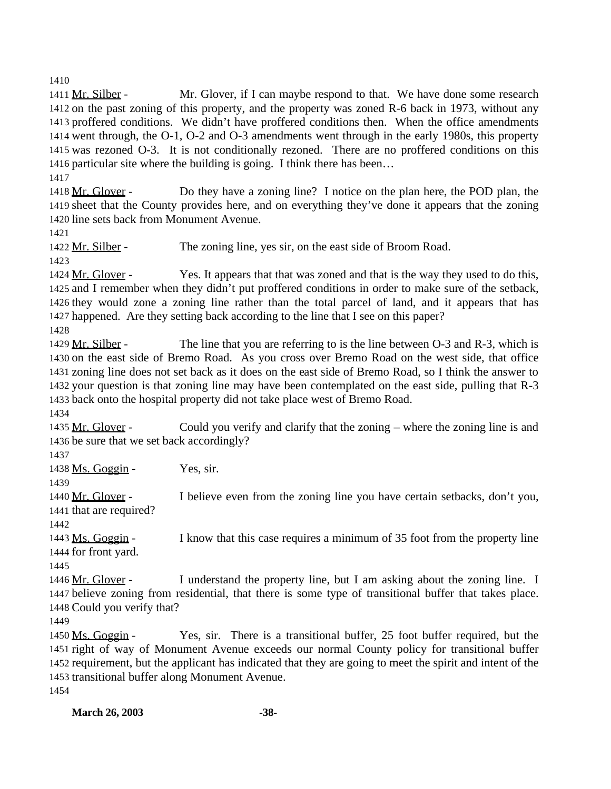1411 Mr. Silber - Mr. Glover, if I can maybe respond to that. We have done some research on the past zoning of this property, and the property was zoned R-6 back in 1973, without any proffered conditions. We didn't have proffered conditions then. When the office amendments went through, the O-1, O-2 and O-3 amendments went through in the early 1980s, this property was rezoned O-3. It is not conditionally rezoned. There are no proffered conditions on this particular site where the building is going. I think there has been…

1418 Mr. Glover - Do they have a zoning line? I notice on the plan here, the POD plan, the sheet that the County provides here, and on everything they've done it appears that the zoning line sets back from Monument Avenue.

1422 Mr. Silber - The zoning line, yes sir, on the east side of Broom Road.

 Mr. Glover - Yes. It appears that that was zoned and that is the way they used to do this, and I remember when they didn't put proffered conditions in order to make sure of the setback, they would zone a zoning line rather than the total parcel of land, and it appears that has happened. Are they setting back according to the line that I see on this paper?

1429 Mr. Silber - The line that you are referring to is the line between O-3 and R-3, which is on the east side of Bremo Road. As you cross over Bremo Road on the west side, that office zoning line does not set back as it does on the east side of Bremo Road, so I think the answer to your question is that zoning line may have been contemplated on the east side, pulling that R-3 back onto the hospital property did not take place west of Bremo Road.

1435 Mr. Glover - Could you verify and clarify that the zoning – where the zoning line is and be sure that we set back accordingly?

Ms. Goggin - Yes, sir.

 Mr. Glover - I believe even from the zoning line you have certain setbacks, don't you, that are required?

 Ms. Goggin - I know that this case requires a minimum of 35 foot from the property line for front yard.

 Mr. Glover - I understand the property line, but I am asking about the zoning line. I believe zoning from residential, that there is some type of transitional buffer that takes place. Could you verify that?

 Ms. Goggin - Yes, sir. There is a transitional buffer, 25 foot buffer required, but the right of way of Monument Avenue exceeds our normal County policy for transitional buffer requirement, but the applicant has indicated that they are going to meet the spirit and intent of the transitional buffer along Monument Avenue. 

**March 26, 2003 -38-**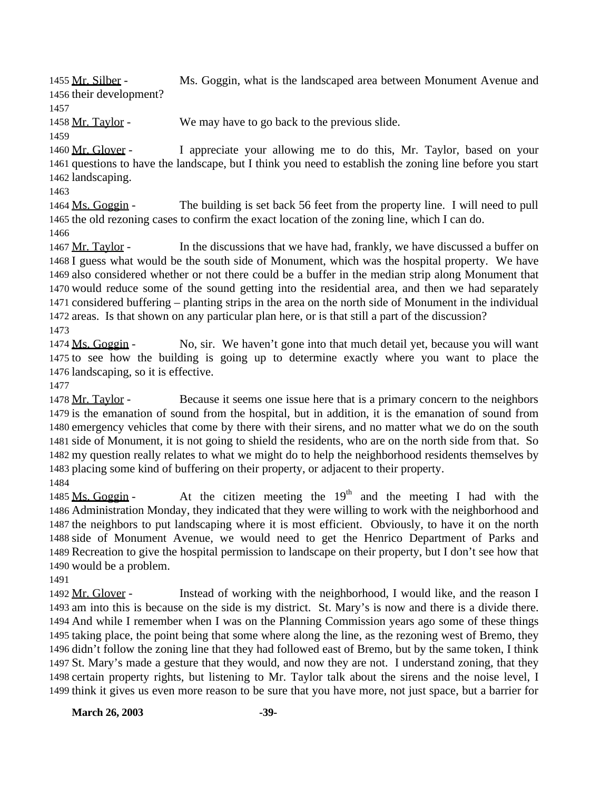1455 Mr. Silber - Ms. Goggin, what is the landscaped area between Monument Avenue and their development?

1458 Mr. Taylor - We may have to go back to the previous slide.

 Mr. Glover - I appreciate your allowing me to do this, Mr. Taylor, based on your questions to have the landscape, but I think you need to establish the zoning line before you start landscaping.

 Ms. Goggin - The building is set back 56 feet from the property line. I will need to pull the old rezoning cases to confirm the exact location of the zoning line, which I can do.

1467 Mr. Taylor - In the discussions that we have had, frankly, we have discussed a buffer on I guess what would be the south side of Monument, which was the hospital property. We have also considered whether or not there could be a buffer in the median strip along Monument that would reduce some of the sound getting into the residential area, and then we had separately considered buffering – planting strips in the area on the north side of Monument in the individual areas. Is that shown on any particular plan here, or is that still a part of the discussion?

 Ms. Goggin - No, sir. We haven't gone into that much detail yet, because you will want to see how the building is going up to determine exactly where you want to place the landscaping, so it is effective.

 Mr. Taylor - Because it seems one issue here that is a primary concern to the neighbors is the emanation of sound from the hospital, but in addition, it is the emanation of sound from emergency vehicles that come by there with their sirens, and no matter what we do on the south side of Monument, it is not going to shield the residents, who are on the north side from that. So my question really relates to what we might do to help the neighborhood residents themselves by placing some kind of buffering on their property, or adjacent to their property.

1485 Ms. Goggin - At the citizen meeting the  $19<sup>th</sup>$  and the meeting I had with the Administration Monday, they indicated that they were willing to work with the neighborhood and the neighbors to put landscaping where it is most efficient. Obviously, to have it on the north side of Monument Avenue, we would need to get the Henrico Department of Parks and Recreation to give the hospital permission to landscape on their property, but I don't see how that would be a problem.

1492 Mr. Glover - Instead of working with the neighborhood, I would like, and the reason I am into this is because on the side is my district. St. Mary's is now and there is a divide there. And while I remember when I was on the Planning Commission years ago some of these things taking place, the point being that some where along the line, as the rezoning west of Bremo, they didn't follow the zoning line that they had followed east of Bremo, but by the same token, I think St. Mary's made a gesture that they would, and now they are not. I understand zoning, that they certain property rights, but listening to Mr. Taylor talk about the sirens and the noise level, I think it gives us even more reason to be sure that you have more, not just space, but a barrier for

**March 26, 2003 -39-**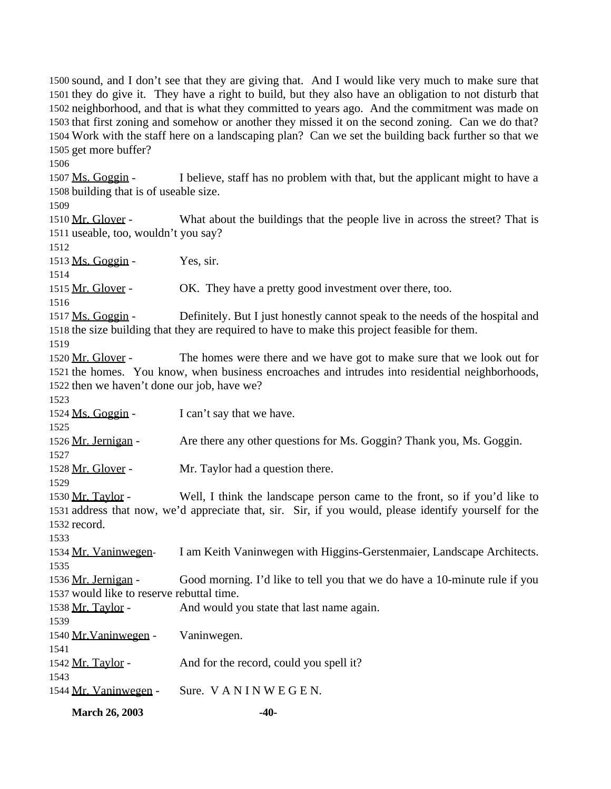sound, and I don't see that they are giving that. And I would like very much to make sure that they do give it. They have a right to build, but they also have an obligation to not disturb that neighborhood, and that is what they committed to years ago. And the commitment was made on that first zoning and somehow or another they missed it on the second zoning. Can we do that? Work with the staff here on a landscaping plan? Can we set the building back further so that we get more buffer?

1507 Ms. Goggin - I believe, staff has no problem with that, but the applicant might to have a building that is of useable size.

1510 Mr. Glover - What about the buildings that the people live in across the street? That is useable, too, wouldn't you say?

Ms. Goggin - Yes, sir.

1515 Mr. Glover - OK. They have a pretty good investment over there, too.

 Ms. Goggin - Definitely. But I just honestly cannot speak to the needs of the hospital and the size building that they are required to have to make this project feasible for them.

1520 Mr. Glover - The homes were there and we have got to make sure that we look out for the homes. You know, when business encroaches and intrudes into residential neighborhoods, then we haven't done our job, have we?

1524 Ms. Goggin - I can't say that we have.

1526 Mr. Jernigan - Are there any other questions for Ms. Goggin? Thank you, Ms. Goggin.

1528 Mr. Glover - Mr. Taylor had a question there.

 Mr. Taylor - Well, I think the landscape person came to the front, so if you'd like to address that now, we'd appreciate that, sir. Sir, if you would, please identify yourself for the record.

Mr. Vaninwegen- I am Keith Vaninwegen with Higgins-Gerstenmaier, Landscape Architects.

1536 Mr. Jernigan - Good morning. I'd like to tell you that we do have a 10-minute rule if you would like to reserve rebuttal time.

1538 Mr. Taylor - And would you state that last name again. 

 Mr.Vaninwegen - Vaninwegen. 1542 Mr. Taylor - And for the record, could you spell it? 

Mr. Vaninwegen - Sure. V A N I N W E G E N.

**March 26, 2003 -40-**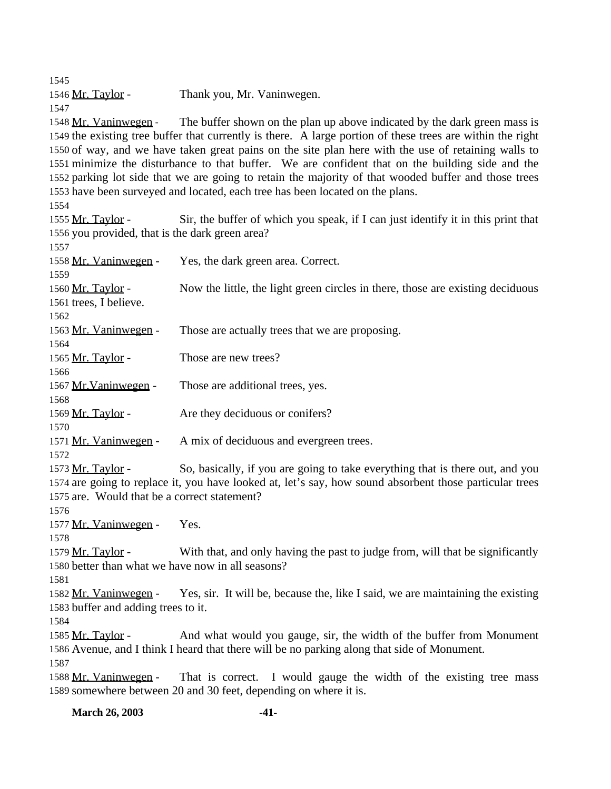1546 Mr. Taylor - Thank you, Mr. Vaninwegen. 1548 Mr. Vaninwegen - The buffer shown on the plan up above indicated by the dark green mass is the existing tree buffer that currently is there. A large portion of these trees are within the right of way, and we have taken great pains on the site plan here with the use of retaining walls to minimize the disturbance to that buffer. We are confident that on the building side and the parking lot side that we are going to retain the majority of that wooded buffer and those trees have been surveyed and located, each tree has been located on the plans. Mr. Taylor - Sir, the buffer of which you speak, if I can just identify it in this print that you provided, that is the dark green area? Mr. Vaninwegen - Yes, the dark green area. Correct. Mr. Taylor - Now the little, the light green circles in there, those are existing deciduous trees, I believe. 1563 Mr. Vaninwegen - Those are actually trees that we are proposing. 1565 Mr. Taylor - Those are new trees? 1567 Mr. Vaninwegen - Those are additional trees, yes. Mr. Taylor - Are they deciduous or conifers? 1571 Mr. Vaninwegen - A mix of deciduous and evergreen trees. 1573 Mr. Taylor - So, basically, if you are going to take everything that is there out, and you are going to replace it, you have looked at, let's say, how sound absorbent those particular trees are. Would that be a correct statement? 1577 Mr. Vaninwegen - Yes. Mr. Taylor - With that, and only having the past to judge from, will that be significantly better than what we have now in all seasons? Mr. Vaninwegen - Yes, sir. It will be, because the, like I said, we are maintaining the existing buffer and adding trees to it. 1585 Mr. Taylor - And what would you gauge, sir, the width of the buffer from Monument Avenue, and I think I heard that there will be no parking along that side of Monument. Mr. Vaninwegen - That is correct. I would gauge the width of the existing tree mass somewhere between 20 and 30 feet, depending on where it is.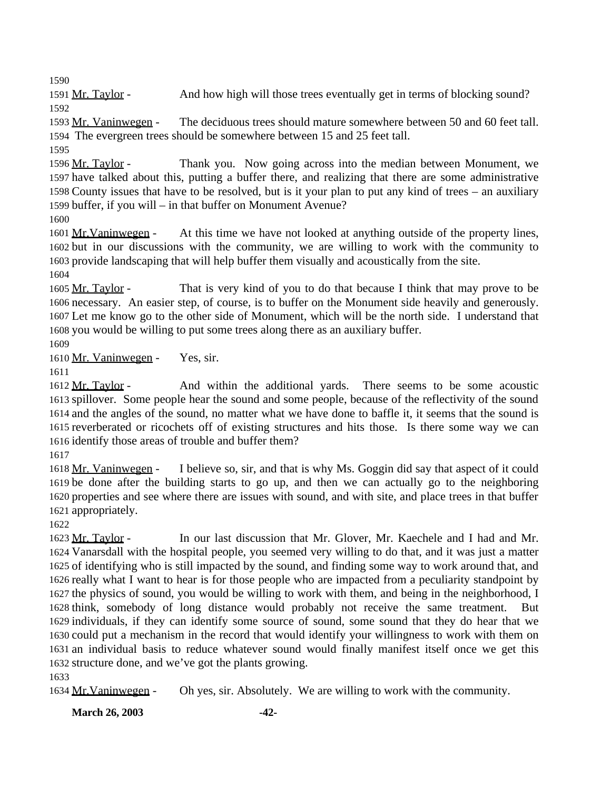Mr. Taylor - And how high will those trees eventually get in terms of blocking sound? 

 Mr. Vaninwegen - The deciduous trees should mature somewhere between 50 and 60 feet tall. The evergreen trees should be somewhere between 15 and 25 feet tall.

 Mr. Taylor - Thank you. Now going across into the median between Monument, we have talked about this, putting a buffer there, and realizing that there are some administrative County issues that have to be resolved, but is it your plan to put any kind of trees – an auxiliary buffer, if you will – in that buffer on Monument Avenue? 

 Mr.Vaninwegen - At this time we have not looked at anything outside of the property lines, but in our discussions with the community, we are willing to work with the community to provide landscaping that will help buffer them visually and acoustically from the site.

1605 Mr. Taylor - That is very kind of you to do that because I think that may prove to be necessary. An easier step, of course, is to buffer on the Monument side heavily and generously. Let me know go to the other side of Monument, which will be the north side. I understand that you would be willing to put some trees along there as an auxiliary buffer.

Mr. Vaninwegen - Yes, sir.

1612 Mr. Taylor - And within the additional yards. There seems to be some acoustic spillover. Some people hear the sound and some people, because of the reflectivity of the sound and the angles of the sound, no matter what we have done to baffle it, it seems that the sound is reverberated or ricochets off of existing structures and hits those. Is there some way we can identify those areas of trouble and buffer them?

1618 Mr. Vaninwegen - I believe so, sir, and that is why Ms. Goggin did say that aspect of it could be done after the building starts to go up, and then we can actually go to the neighboring properties and see where there are issues with sound, and with site, and place trees in that buffer appropriately.

 Mr. Taylor - In our last discussion that Mr. Glover, Mr. Kaechele and I had and Mr. Vanarsdall with the hospital people, you seemed very willing to do that, and it was just a matter of identifying who is still impacted by the sound, and finding some way to work around that, and really what I want to hear is for those people who are impacted from a peculiarity standpoint by the physics of sound, you would be willing to work with them, and being in the neighborhood, I think, somebody of long distance would probably not receive the same treatment. But individuals, if they can identify some source of sound, some sound that they do hear that we could put a mechanism in the record that would identify your willingness to work with them on an individual basis to reduce whatever sound would finally manifest itself once we get this structure done, and we've got the plants growing.

Mr.Vaninwegen - Oh yes, sir. Absolutely. We are willing to work with the community.

**March 26, 2003 -42-**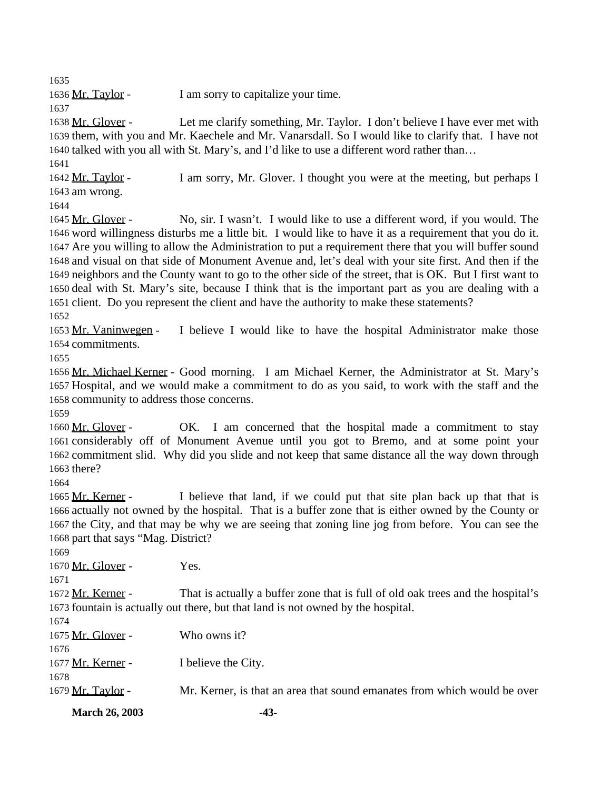1636 Mr. Taylor - I am sorry to capitalize your time.

 Mr. Glover - Let me clarify something, Mr. Taylor. I don't believe I have ever met with them, with you and Mr. Kaechele and Mr. Vanarsdall. So I would like to clarify that. I have not talked with you all with St. Mary's, and I'd like to use a different word rather than…

 Mr. Taylor - I am sorry, Mr. Glover. I thought you were at the meeting, but perhaps I am wrong.

 Mr. Glover - No, sir. I wasn't. I would like to use a different word, if you would. The word willingness disturbs me a little bit. I would like to have it as a requirement that you do it. Are you willing to allow the Administration to put a requirement there that you will buffer sound and visual on that side of Monument Avenue and, let's deal with your site first. And then if the neighbors and the County want to go to the other side of the street, that is OK. But I first want to deal with St. Mary's site, because I think that is the important part as you are dealing with a client. Do you represent the client and have the authority to make these statements?

 Mr. Vaninwegen - I believe I would like to have the hospital Administrator make those commitments.

 Mr. Michael Kerner - Good morning. I am Michael Kerner, the Administrator at St. Mary's Hospital, and we would make a commitment to do as you said, to work with the staff and the community to address those concerns.

1660 Mr. Glover - OK. I am concerned that the hospital made a commitment to stay considerably off of Monument Avenue until you got to Bremo, and at some point your commitment slid. Why did you slide and not keep that same distance all the way down through there?

 Mr. Kerner - I believe that land, if we could put that site plan back up that that is actually not owned by the hospital. That is a buffer zone that is either owned by the County or the City, and that may be why we are seeing that zoning line jog from before. You can see the part that says "Mag. District?

**March 26, 2003 -43-** Mr. Glover - Yes. Mr. Kerner - That is actually a buffer zone that is full of old oak trees and the hospital's fountain is actually out there, but that land is not owned by the hospital. 1675 Mr. Glover - Who owns it? 1677 Mr. Kerner - I believe the City. 1679 Mr. Taylor - Mr. Kerner, is that an area that sound emanates from which would be over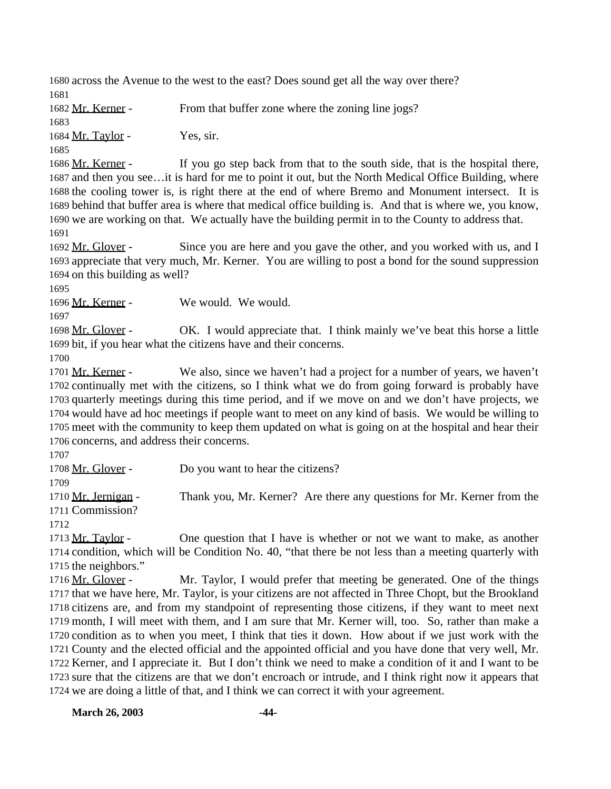across the Avenue to the west to the east? Does sound get all the way over there? 

1682 Mr. Kerner - From that buffer zone where the zoning line jogs? 

1684 Mr. Taylor - Yes, sir.

1686 Mr. Kerner - If you go step back from that to the south side, that is the hospital there, and then you see…it is hard for me to point it out, but the North Medical Office Building, where the cooling tower is, is right there at the end of where Bremo and Monument intersect. It is behind that buffer area is where that medical office building is. And that is where we, you know, we are working on that. We actually have the building permit in to the County to address that. 

1692 Mr. Glover - Since you are here and you gave the other, and you worked with us, and I appreciate that very much, Mr. Kerner. You are willing to post a bond for the sound suppression on this building as well?

Mr. Kerner - We would. We would.

1698 Mr. Glover - OK. I would appreciate that. I think mainly we've beat this horse a little bit, if you hear what the citizens have and their concerns.

1701 Mr. Kerner - We also, since we haven't had a project for a number of years, we haven't continually met with the citizens, so I think what we do from going forward is probably have quarterly meetings during this time period, and if we move on and we don't have projects, we would have ad hoc meetings if people want to meet on any kind of basis. We would be willing to meet with the community to keep them updated on what is going on at the hospital and hear their concerns, and address their concerns.

1708 Mr. Glover - Do you want to hear the citizens?

1710 Mr. Jernigan - Thank you, Mr. Kerner? Are there any questions for Mr. Kerner from the Commission?

 Mr. Taylor - One question that I have is whether or not we want to make, as another condition, which will be Condition No. 40, "that there be not less than a meeting quarterly with the neighbors."

1716 Mr. Glover - Mr. Taylor, I would prefer that meeting be generated. One of the things that we have here, Mr. Taylor, is your citizens are not affected in Three Chopt, but the Brookland citizens are, and from my standpoint of representing those citizens, if they want to meet next month, I will meet with them, and I am sure that Mr. Kerner will, too. So, rather than make a condition as to when you meet, I think that ties it down. How about if we just work with the County and the elected official and the appointed official and you have done that very well, Mr. Kerner, and I appreciate it. But I don't think we need to make a condition of it and I want to be sure that the citizens are that we don't encroach or intrude, and I think right now it appears that we are doing a little of that, and I think we can correct it with your agreement.

**March 26, 2003 -44-**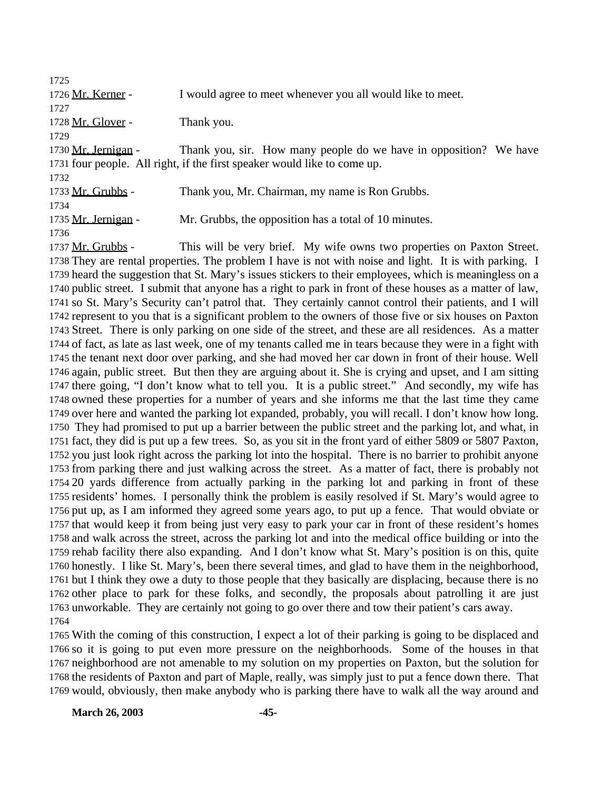1726 Mr. Kerner - I would agree to meet whenever you all would like to meet. 1728 Mr. Glover - Thank you. Mr. Jernigan - Thank you, sir. How many people do we have in opposition? We have four people. All right, if the first speaker would like to come up. 1733 Mr. Grubbs - Thank you, Mr. Chairman, my name is Ron Grubbs. 1735 Mr. Jernigan - Mr. Grubbs, the opposition has a total of 10 minutes. 1737 Mr. Grubbs - This will be very brief. My wife owns two properties on Paxton Street.

 They are rental properties. The problem I have is not with noise and light. It is with parking. I heard the suggestion that St. Mary's issues stickers to their employees, which is meaningless on a public street. I submit that anyone has a right to park in front of these houses as a matter of law, so St. Mary's Security can't patrol that. They certainly cannot control their patients, and I will represent to you that is a significant problem to the owners of those five or six houses on Paxton Street. There is only parking on one side of the street, and these are all residences. As a matter of fact, as late as last week, one of my tenants called me in tears because they were in a fight with the tenant next door over parking, and she had moved her car down in front of their house. Well again, public street. But then they are arguing about it. She is crying and upset, and I am sitting there going, "I don't know what to tell you. It is a public street." And secondly, my wife has owned these properties for a number of years and she informs me that the last time they came over here and wanted the parking lot expanded, probably, you will recall. I don't know how long. They had promised to put up a barrier between the public street and the parking lot, and what, in fact, they did is put up a few trees. So, as you sit in the front yard of either 5809 or 5807 Paxton, you just look right across the parking lot into the hospital. There is no barrier to prohibit anyone from parking there and just walking across the street. As a matter of fact, there is probably not 20 yards difference from actually parking in the parking lot and parking in front of these residents' homes. I personally think the problem is easily resolved if St. Mary's would agree to put up, as I am informed they agreed some years ago, to put up a fence. That would obviate or that would keep it from being just very easy to park your car in front of these resident's homes and walk across the street, across the parking lot and into the medical office building or into the rehab facility there also expanding. And I don't know what St. Mary's position is on this, quite honestly. I like St. Mary's, been there several times, and glad to have them in the neighborhood, but I think they owe a duty to those people that they basically are displacing, because there is no other place to park for these folks, and secondly, the proposals about patrolling it are just unworkable. They are certainly not going to go over there and tow their patient's cars away. 

 With the coming of this construction, I expect a lot of their parking is going to be displaced and so it is going to put even more pressure on the neighborhoods. Some of the houses in that neighborhood are not amenable to my solution on my properties on Paxton, but the solution for the residents of Paxton and part of Maple, really, was simply just to put a fence down there. That would, obviously, then make anybody who is parking there have to walk all the way around and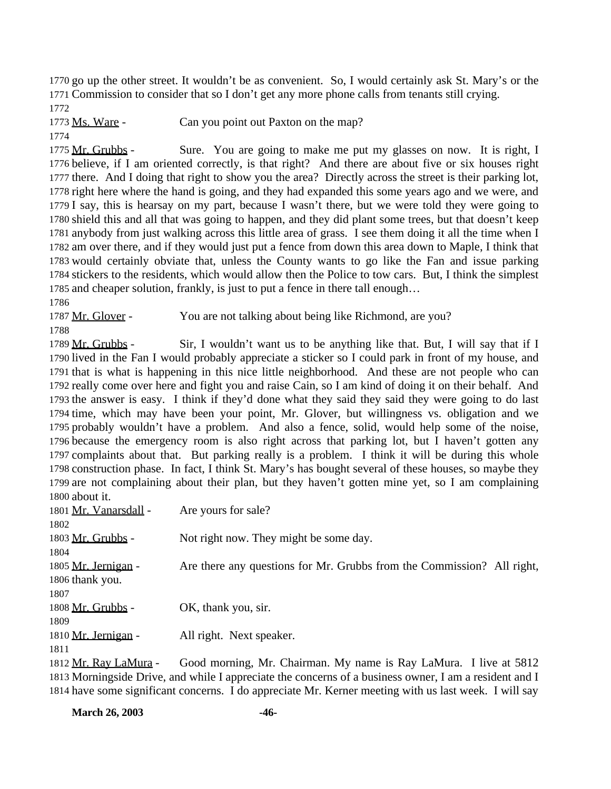go up the other street. It wouldn't be as convenient. So, I would certainly ask St. Mary's or the Commission to consider that so I don't get any more phone calls from tenants still crying. 

1773 Ms. Ware - Can you point out Paxton on the map?

 Mr. Grubbs - Sure. You are going to make me put my glasses on now. It is right, I believe, if I am oriented correctly, is that right? And there are about five or six houses right there. And I doing that right to show you the area? Directly across the street is their parking lot, right here where the hand is going, and they had expanded this some years ago and we were, and I say, this is hearsay on my part, because I wasn't there, but we were told they were going to shield this and all that was going to happen, and they did plant some trees, but that doesn't keep anybody from just walking across this little area of grass. I see them doing it all the time when I am over there, and if they would just put a fence from down this area down to Maple, I think that would certainly obviate that, unless the County wants to go like the Fan and issue parking stickers to the residents, which would allow then the Police to tow cars. But, I think the simplest and cheaper solution, frankly, is just to put a fence in there tall enough…

1787 Mr. Glover - You are not talking about being like Richmond, are you?

1789 Mr. Grubbs - Sir, I wouldn't want us to be anything like that. But, I will say that if I lived in the Fan I would probably appreciate a sticker so I could park in front of my house, and that is what is happening in this nice little neighborhood. And these are not people who can really come over here and fight you and raise Cain, so I am kind of doing it on their behalf. And the answer is easy. I think if they'd done what they said they said they were going to do last time, which may have been your point, Mr. Glover, but willingness vs. obligation and we probably wouldn't have a problem. And also a fence, solid, would help some of the noise, because the emergency room is also right across that parking lot, but I haven't gotten any complaints about that. But parking really is a problem. I think it will be during this whole construction phase. In fact, I think St. Mary's has bought several of these houses, so maybe they are not complaining about their plan, but they haven't gotten mine yet, so I am complaining about it.

| 1801 Mr. Vanarsdall - | Are yours for sale?                                                    |
|-----------------------|------------------------------------------------------------------------|
| 1802                  |                                                                        |
| 1803 Mr. Grubbs -     | Not right now. They might be some day.                                 |
| 1804                  |                                                                        |
| 1805 Mr. Jernigan -   | Are there any questions for Mr. Grubbs from the Commission? All right, |
| 1806 thank you.       |                                                                        |
| 1807                  |                                                                        |
| 1808 Mr. Grubbs -     | OK, thank you, sir.                                                    |
| 1809                  |                                                                        |
| 1810 Mr. Jernigan -   | All right. Next speaker.                                               |
| 1811                  |                                                                        |
| 1812 Mr. Rav LaMura - | Good morning, Mr. Chairman. My name is Ray LaMura. I live at 5812      |
|                       |                                                                        |

 Morningside Drive, and while I appreciate the concerns of a business owner, I am a resident and I have some significant concerns. I do appreciate Mr. Kerner meeting with us last week. I will say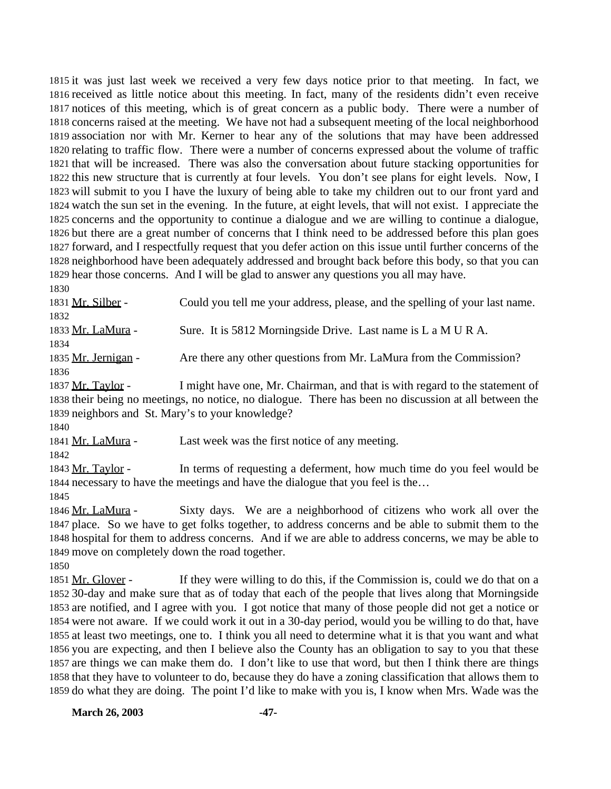it was just last week we received a very few days notice prior to that meeting. In fact, we received as little notice about this meeting. In fact, many of the residents didn't even receive notices of this meeting, which is of great concern as a public body. There were a number of concerns raised at the meeting. We have not had a subsequent meeting of the local neighborhood association nor with Mr. Kerner to hear any of the solutions that may have been addressed relating to traffic flow. There were a number of concerns expressed about the volume of traffic that will be increased. There was also the conversation about future stacking opportunities for this new structure that is currently at four levels. You don't see plans for eight levels. Now, I will submit to you I have the luxury of being able to take my children out to our front yard and watch the sun set in the evening. In the future, at eight levels, that will not exist. I appreciate the concerns and the opportunity to continue a dialogue and we are willing to continue a dialogue, but there are a great number of concerns that I think need to be addressed before this plan goes forward, and I respectfully request that you defer action on this issue until further concerns of the neighborhood have been adequately addressed and brought back before this body, so that you can hear those concerns. And I will be glad to answer any questions you all may have.

 Mr. Silber - Could you tell me your address, please, and the spelling of your last name. Mr. LaMura - Sure. It is 5812 Morningside Drive. Last name is L a M U R A. 1835 Mr. Jernigan - Are there any other questions from Mr. LaMura from the Commission? 

 Mr. Taylor - I might have one, Mr. Chairman, and that is with regard to the statement of their being no meetings, no notice, no dialogue. There has been no discussion at all between the neighbors and St. Mary's to your knowledge?

1841 Mr. LaMura - Last week was the first notice of any meeting.

1843 Mr. Taylor - In terms of requesting a deferment, how much time do you feel would be necessary to have the meetings and have the dialogue that you feel is the…

 Mr. LaMura - Sixty days. We are a neighborhood of citizens who work all over the place. So we have to get folks together, to address concerns and be able to submit them to the hospital for them to address concerns. And if we are able to address concerns, we may be able to move on completely down the road together.

1851 Mr. Glover - If they were willing to do this, if the Commission is, could we do that on a 30-day and make sure that as of today that each of the people that lives along that Morningside are notified, and I agree with you. I got notice that many of those people did not get a notice or were not aware. If we could work it out in a 30-day period, would you be willing to do that, have at least two meetings, one to. I think you all need to determine what it is that you want and what you are expecting, and then I believe also the County has an obligation to say to you that these are things we can make them do. I don't like to use that word, but then I think there are things that they have to volunteer to do, because they do have a zoning classification that allows them to do what they are doing. The point I'd like to make with you is, I know when Mrs. Wade was the

**March 26, 2003 -47-**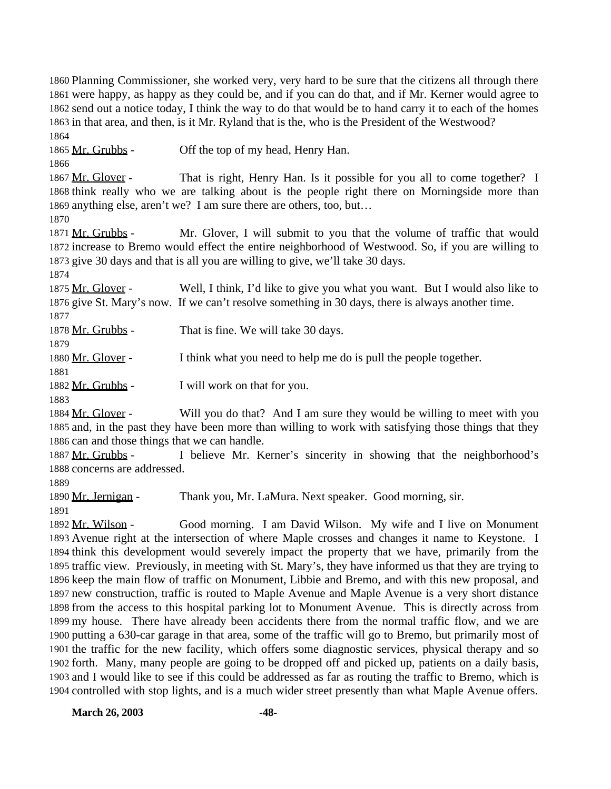Planning Commissioner, she worked very, very hard to be sure that the citizens all through there were happy, as happy as they could be, and if you can do that, and if Mr. Kerner would agree to send out a notice today, I think the way to do that would be to hand carry it to each of the homes in that area, and then, is it Mr. Ryland that is the, who is the President of the Westwood? 

1865 Mr. Grubbs - Off the top of my head, Henry Han.

1867 Mr. Glover - That is right, Henry Han. Is it possible for you all to come together? I think really who we are talking about is the people right there on Morningside more than anything else, aren't we? I am sure there are others, too, but…

1871 Mr. Grubbs - Mr. Glover, I will submit to you that the volume of traffic that would increase to Bremo would effect the entire neighborhood of Westwood. So, if you are willing to give 30 days and that is all you are willing to give, we'll take 30 days.

1875 Mr. Glover - Well, I think, I'd like to give you what you want. But I would also like to give St. Mary's now. If we can't resolve something in 30 days, there is always another time.

1878 Mr. Grubbs - That is fine. We will take 30 days.

Mr. Glover - I think what you need to help me do is pull the people together.

1882 Mr. Grubbs - I will work on that for you.

1884 Mr. Glover - Will you do that? And I am sure they would be willing to meet with you and, in the past they have been more than willing to work with satisfying those things that they can and those things that we can handle.

 Mr. Grubbs - I believe Mr. Kerner's sincerity in showing that the neighborhood's concerns are addressed.

1890 Mr. Jernigan - Thank you, Mr. LaMura. Next speaker. Good morning, sir.

 Mr. Wilson - Good morning. I am David Wilson. My wife and I live on Monument Avenue right at the intersection of where Maple crosses and changes it name to Keystone. I think this development would severely impact the property that we have, primarily from the traffic view. Previously, in meeting with St. Mary's, they have informed us that they are trying to keep the main flow of traffic on Monument, Libbie and Bremo, and with this new proposal, and new construction, traffic is routed to Maple Avenue and Maple Avenue is a very short distance from the access to this hospital parking lot to Monument Avenue. This is directly across from my house. There have already been accidents there from the normal traffic flow, and we are putting a 630-car garage in that area, some of the traffic will go to Bremo, but primarily most of the traffic for the new facility, which offers some diagnostic services, physical therapy and so forth. Many, many people are going to be dropped off and picked up, patients on a daily basis, and I would like to see if this could be addressed as far as routing the traffic to Bremo, which is controlled with stop lights, and is a much wider street presently than what Maple Avenue offers.

**March 26, 2003 -48-**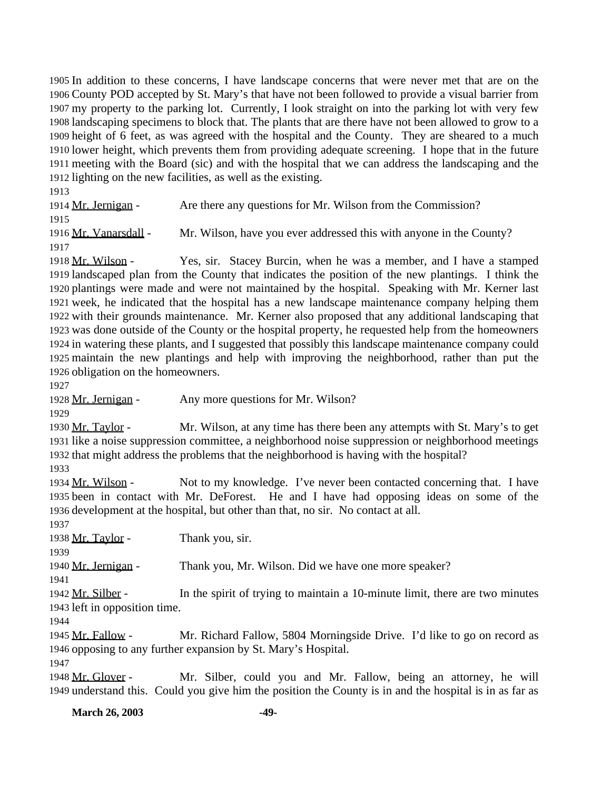In addition to these concerns, I have landscape concerns that were never met that are on the County POD accepted by St. Mary's that have not been followed to provide a visual barrier from my property to the parking lot. Currently, I look straight on into the parking lot with very few landscaping specimens to block that. The plants that are there have not been allowed to grow to a height of 6 feet, as was agreed with the hospital and the County. They are sheared to a much lower height, which prevents them from providing adequate screening. I hope that in the future meeting with the Board (sic) and with the hospital that we can address the landscaping and the lighting on the new facilities, as well as the existing.

1914 Mr. Jernigan - Are there any questions for Mr. Wilson from the Commission? Mr. Vanarsdall - Mr. Wilson, have you ever addressed this with anyone in the County? 

 Mr. Wilson - Yes, sir. Stacey Burcin, when he was a member, and I have a stamped landscaped plan from the County that indicates the position of the new plantings. I think the plantings were made and were not maintained by the hospital. Speaking with Mr. Kerner last week, he indicated that the hospital has a new landscape maintenance company helping them with their grounds maintenance. Mr. Kerner also proposed that any additional landscaping that was done outside of the County or the hospital property, he requested help from the homeowners in watering these plants, and I suggested that possibly this landscape maintenance company could maintain the new plantings and help with improving the neighborhood, rather than put the obligation on the homeowners.

1928 Mr. Jernigan - Any more questions for Mr. Wilson?

1930 Mr. Taylor - Mr. Wilson, at any time has there been any attempts with St. Mary's to get like a noise suppression committee, a neighborhood noise suppression or neighborhood meetings that might address the problems that the neighborhood is having with the hospital?

 Mr. Wilson - Not to my knowledge. I've never been contacted concerning that. I have been in contact with Mr. DeForest. He and I have had opposing ideas on some of the development at the hospital, but other than that, no sir. No contact at all.

1938 Mr. Taylor - Thank you, sir.

Mr. Jernigan - Thank you, Mr. Wilson. Did we have one more speaker?

1942 Mr. Silber - In the spirit of trying to maintain a 10-minute limit, there are two minutes left in opposition time.

 Mr. Fallow - Mr. Richard Fallow, 5804 Morningside Drive. I'd like to go on record as opposing to any further expansion by St. Mary's Hospital.

 Mr. Glover - Mr. Silber, could you and Mr. Fallow, being an attorney, he will understand this. Could you give him the position the County is in and the hospital is in as far as

**March 26, 2003 -49-**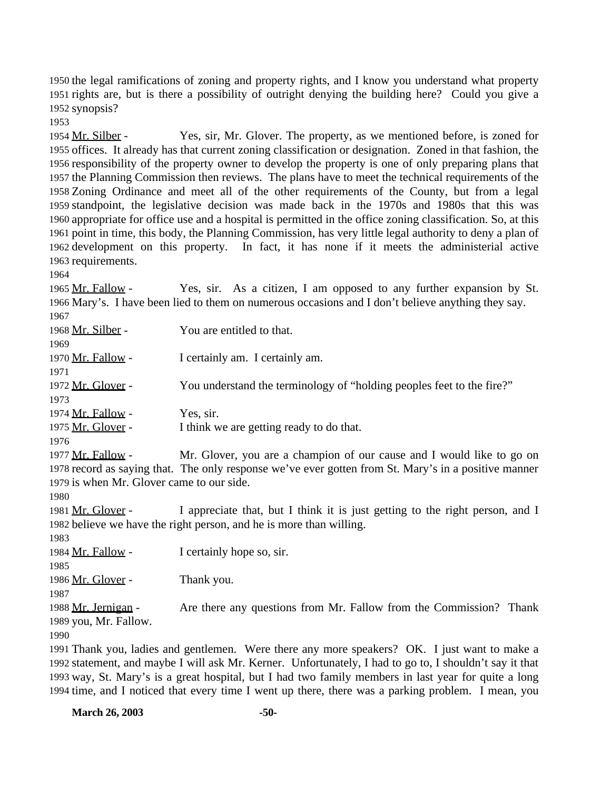the legal ramifications of zoning and property rights, and I know you understand what property rights are, but is there a possibility of outright denying the building here? Could you give a synopsis?

 Mr. Silber - Yes, sir, Mr. Glover. The property, as we mentioned before, is zoned for offices. It already has that current zoning classification or designation. Zoned in that fashion, the responsibility of the property owner to develop the property is one of only preparing plans that the Planning Commission then reviews. The plans have to meet the technical requirements of the Zoning Ordinance and meet all of the other requirements of the County, but from a legal standpoint, the legislative decision was made back in the 1970s and 1980s that this was appropriate for office use and a hospital is permitted in the office zoning classification. So, at this point in time, this body, the Planning Commission, has very little legal authority to deny a plan of development on this property. In fact, it has none if it meets the administerial active requirements.

 Mr. Fallow - Yes, sir. As a citizen, I am opposed to any further expansion by St. Mary's. I have been lied to them on numerous occasions and I don't believe anything they say.

| 1967                                      |                                                                                                      |
|-------------------------------------------|------------------------------------------------------------------------------------------------------|
| 1968 Mr. Silber -                         | You are entitled to that.                                                                            |
| 1969                                      |                                                                                                      |
| 1970 <u>Mr. Fallow</u> -                  | I certainly am. I certainly am.                                                                      |
| 1971                                      |                                                                                                      |
| 1972 Mr. Glover -                         | You understand the terminology of "holding peoples feet to the fire?"                                |
| 1973                                      |                                                                                                      |
| 1974 <u>Mr. Fallow</u> -                  | Yes, sir.                                                                                            |
| 1975 <u>Mr. Glover</u> -                  | I think we are getting ready to do that.                                                             |
| 1976                                      |                                                                                                      |
| 1977 Mr. Fallow -                         | Mr. Glover, you are a champion of our cause and I would like to go on                                |
|                                           | 1978 record as saying that. The only response we've ever gotten from St. Mary's in a positive manner |
| 1979 is when Mr. Glover came to our side. |                                                                                                      |
| 1980                                      |                                                                                                      |
| 1981 <u>Mr. Glover</u> -                  | I appreciate that, but I think it is just getting to the right person, and I                         |
|                                           | 1982 believe we have the right person, and he is more than willing.                                  |
| 1983                                      |                                                                                                      |
| 1984 Mr. Fallow -                         | I certainly hope so, sir.                                                                            |
| 1985                                      |                                                                                                      |
| 1986 <u>Mr. Glover</u> -                  | Thank you.                                                                                           |
| 1987                                      |                                                                                                      |
| 1988 <u>Mr. Jernigan</u> -                | Are there any questions from Mr. Fallow from the Commission? Thank                                   |
| 1989 you, Mr. Fallow.                     |                                                                                                      |
| 1990                                      |                                                                                                      |
|                                           | 1991 Thank you, ladies and gentlemen. Were there any more speakers? OK. I just want to make a        |

 statement, and maybe I will ask Mr. Kerner. Unfortunately, I had to go to, I shouldn't say it that way, St. Mary's is a great hospital, but I had two family members in last year for quite a long time, and I noticed that every time I went up there, there was a parking problem. I mean, you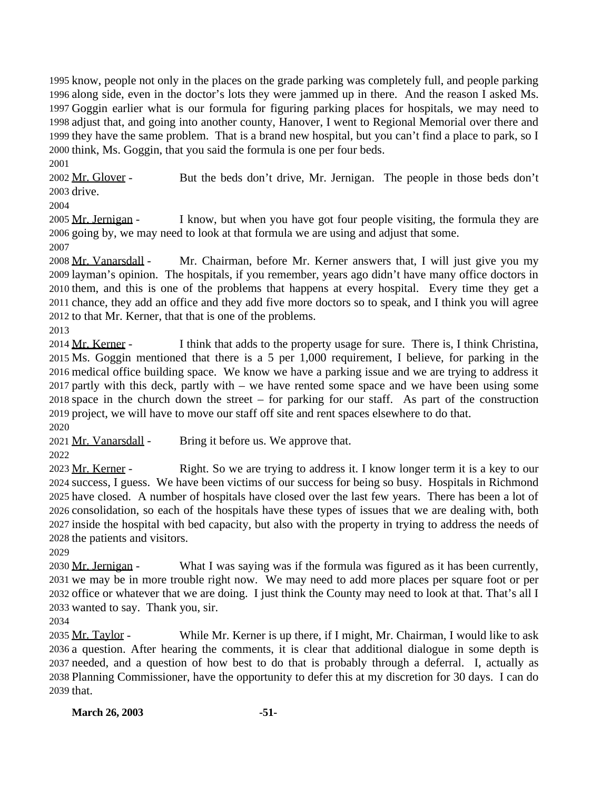know, people not only in the places on the grade parking was completely full, and people parking along side, even in the doctor's lots they were jammed up in there. And the reason I asked Ms. Goggin earlier what is our formula for figuring parking places for hospitals, we may need to adjust that, and going into another county, Hanover, I went to Regional Memorial over there and they have the same problem. That is a brand new hospital, but you can't find a place to park, so I think, Ms. Goggin, that you said the formula is one per four beds.

2002 Mr. Glover - But the beds don't drive, Mr. Jernigan. The people in those beds don't drive.

2005 Mr. Jernigan - I know, but when you have got four people visiting, the formula they are going by, we may need to look at that formula we are using and adjust that some. 

2008 Mr. Vanarsdall - Mr. Chairman, before Mr. Kerner answers that, I will just give you my layman's opinion. The hospitals, if you remember, years ago didn't have many office doctors in them, and this is one of the problems that happens at every hospital. Every time they get a chance, they add an office and they add five more doctors so to speak, and I think you will agree to that Mr. Kerner, that that is one of the problems.

2014 Mr. Kerner - I think that adds to the property usage for sure. There is, I think Christina, Ms. Goggin mentioned that there is a 5 per 1,000 requirement, I believe, for parking in the medical office building space. We know we have a parking issue and we are trying to address it partly with this deck, partly with – we have rented some space and we have been using some space in the church down the street – for parking for our staff. As part of the construction project, we will have to move our staff off site and rent spaces elsewhere to do that. 

2021 Mr. Vanarsdall - Bring it before us. We approve that.

2023 Mr. Kerner - Right. So we are trying to address it. I know longer term it is a key to our success, I guess. We have been victims of our success for being so busy. Hospitals in Richmond have closed. A number of hospitals have closed over the last few years. There has been a lot of consolidation, so each of the hospitals have these types of issues that we are dealing with, both inside the hospital with bed capacity, but also with the property in trying to address the needs of the patients and visitors.

2030 Mr. Jernigan - What I was saying was if the formula was figured as it has been currently, we may be in more trouble right now. We may need to add more places per square foot or per office or whatever that we are doing. I just think the County may need to look at that. That's all I wanted to say. Thank you, sir.

2035 Mr. Taylor - While Mr. Kerner is up there, if I might, Mr. Chairman, I would like to ask a question. After hearing the comments, it is clear that additional dialogue in some depth is needed, and a question of how best to do that is probably through a deferral. I, actually as Planning Commissioner, have the opportunity to defer this at my discretion for 30 days. I can do that.

**March 26, 2003 -51-**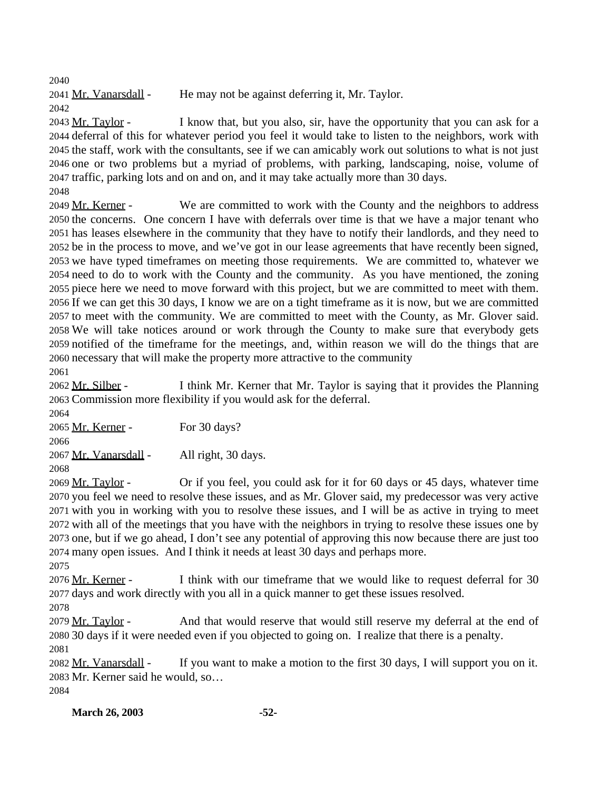2041 Mr. Vanarsdall - He may not be against deferring it, Mr. Taylor. 

2043 Mr. Taylor - I know that, but you also, sir, have the opportunity that you can ask for a deferral of this for whatever period you feel it would take to listen to the neighbors, work with the staff, work with the consultants, see if we can amicably work out solutions to what is not just one or two problems but a myriad of problems, with parking, landscaping, noise, volume of traffic, parking lots and on and on, and it may take actually more than 30 days.

2049 Mr. Kerner - We are committed to work with the County and the neighbors to address the concerns. One concern I have with deferrals over time is that we have a major tenant who has leases elsewhere in the community that they have to notify their landlords, and they need to be in the process to move, and we've got in our lease agreements that have recently been signed, we have typed timeframes on meeting those requirements. We are committed to, whatever we need to do to work with the County and the community. As you have mentioned, the zoning piece here we need to move forward with this project, but we are committed to meet with them. If we can get this 30 days, I know we are on a tight timeframe as it is now, but we are committed to meet with the community. We are committed to meet with the County, as Mr. Glover said. We will take notices around or work through the County to make sure that everybody gets notified of the timeframe for the meetings, and, within reason we will do the things that are necessary that will make the property more attractive to the community

 Mr. Silber - I think Mr. Kerner that Mr. Taylor is saying that it provides the Planning Commission more flexibility if you would ask for the deferral.

 Mr. Kerner - For 30 days? 2067 Mr. Vanarsdall - All right, 30 days. 

 Mr. Taylor - Or if you feel, you could ask for it for 60 days or 45 days, whatever time you feel we need to resolve these issues, and as Mr. Glover said, my predecessor was very active with you in working with you to resolve these issues, and I will be as active in trying to meet with all of the meetings that you have with the neighbors in trying to resolve these issues one by one, but if we go ahead, I don't see any potential of approving this now because there are just too many open issues. And I think it needs at least 30 days and perhaps more.

2076 Mr. Kerner - I think with our timeframe that we would like to request deferral for 30 days and work directly with you all in a quick manner to get these issues resolved.

 2079 Mr. Taylor - And that would reserve that would still reserve my deferral at the end of 30 days if it were needed even if you objected to going on. I realize that there is a penalty. 

2082 Mr. Vanarsdall - If you want to make a motion to the first 30 days, I will support you on it. Mr. Kerner said he would, so… 

**March 26, 2003 -52-**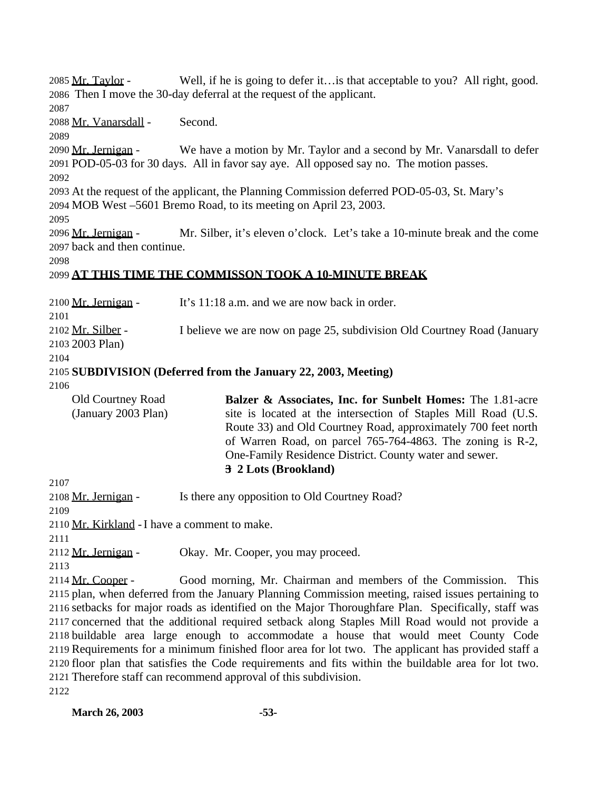2085 Mr. Taylor - Well, if he is going to defer it…is that acceptable to you? All right, good. Then I move the 30-day deferral at the request of the applicant. Mr. Vanarsdall - Second. 2090 Mr. Jernigan - We have a motion by Mr. Taylor and a second by Mr. Vanarsdall to defer POD-05-03 for 30 days. All in favor say aye. All opposed say no. The motion passes. At the request of the applicant, the Planning Commission deferred POD-05-03, St. Mary's MOB West –5601 Bremo Road, to its meeting on April 23, 2003. Mr. Jernigan - Mr. Silber, it's eleven o'clock. Let's take a 10-minute break and the come back and then continue. **AT THIS TIME THE COMMISSON TOOK A 10-MINUTE BREAK** 2100 Mr. Jernigan - It's 11:18 a.m. and we are now back in order. Mr. Silber - I believe we are now on page 25, subdivision Old Courtney Road (January 2003 Plan) **SUBDIVISION (Deferred from the January 22, 2003, Meeting)** Old Courtney Road (January 2003 Plan) **Balzer & Associates, Inc. for Sunbelt Homes:** The 1.81-acre site is located at the intersection of Staples Mill Road (U.S. Route 33) and Old Courtney Road, approximately 700 feet north of Warren Road, on parcel 765-764-4863. The zoning is R-2, One-Family Residence District. County water and sewer. **3 2 Lots (Brookland)** 2108 Mr. Jernigan - Is there any opposition to Old Courtney Road? 2110 Mr. Kirkland - I have a comment to make. 2112 Mr. Jernigan - Okay. Mr. Cooper, you may proceed. Mr. Cooper - Good morning, Mr. Chairman and members of the Commission. This plan, when deferred from the January Planning Commission meeting, raised issues pertaining to setbacks for major roads as identified on the Major Thoroughfare Plan. Specifically, staff was concerned that the additional required setback along Staples Mill Road would not provide a buildable area large enough to accommodate a house that would meet County Code Requirements for a minimum finished floor area for lot two. The applicant has provided staff a floor plan that satisfies the Code requirements and fits within the buildable area for lot two. Therefore staff can recommend approval of this subdivision.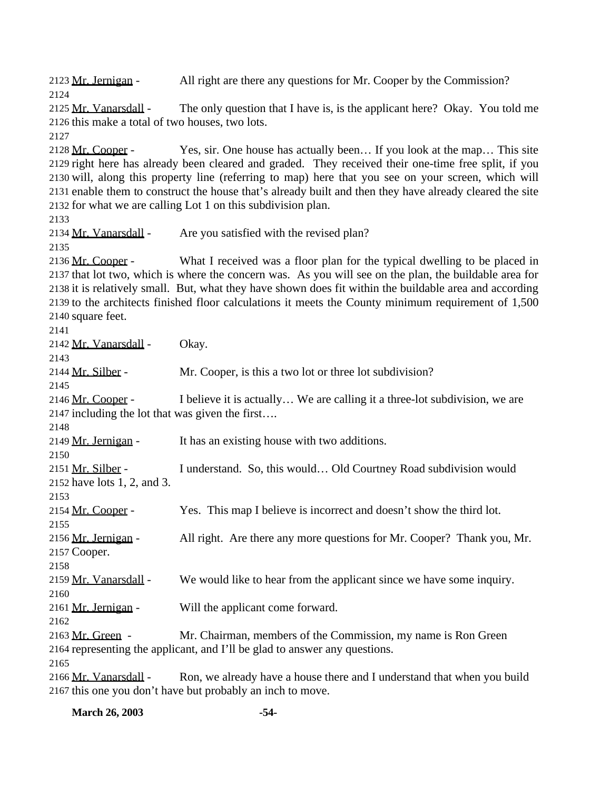2123 Mr. Jernigan - All right are there any questions for Mr. Cooper by the Commission? Mr. Vanarsdall - The only question that I have is, is the applicant here? Okay. You told me this make a total of two houses, two lots. 2128 Mr. Cooper - Yes, sir. One house has actually been... If you look at the map... This site right here has already been cleared and graded. They received their one-time free split, if you will, along this property line (referring to map) here that you see on your screen, which will enable them to construct the house that's already built and then they have already cleared the site for what we are calling Lot 1 on this subdivision plan. 2134 Mr. Vanarsdall - Are you satisfied with the revised plan? 2136 Mr. Cooper - What I received was a floor plan for the typical dwelling to be placed in that lot two, which is where the concern was. As you will see on the plan, the buildable area for it is relatively small. But, what they have shown does fit within the buildable area and according to the architects finished floor calculations it meets the County minimum requirement of 1,500 square feet. 2142 Mr. Vanarsdall - Okay. 2144 Mr. Silber - Mr. Cooper, is this a two lot or three lot subdivision? 2146 Mr. Cooper - I believe it is actually... We are calling it a three-lot subdivision, we are including the lot that was given the first…. 2149 Mr. Jernigan - It has an existing house with two additions. 2151 Mr. Silber - I understand. So, this would... Old Courtney Road subdivision would have lots 1, 2, and 3. Mr. Cooper - Yes. This map I believe is incorrect and doesn't show the third lot. Mr. Jernigan - All right. Are there any more questions for Mr. Cooper? Thank you, Mr. Cooper. 2159 Mr. Vanarsdall - We would like to hear from the applicant since we have some inquiry. 2161 Mr. Jernigan - Will the applicant come forward. 2163 Mr. Green - Mr. Chairman, members of the Commission, my name is Ron Green representing the applicant, and I'll be glad to answer any questions. 2166 Mr. Vanarsdall - Ron, we already have a house there and I understand that when you build this one you don't have but probably an inch to move.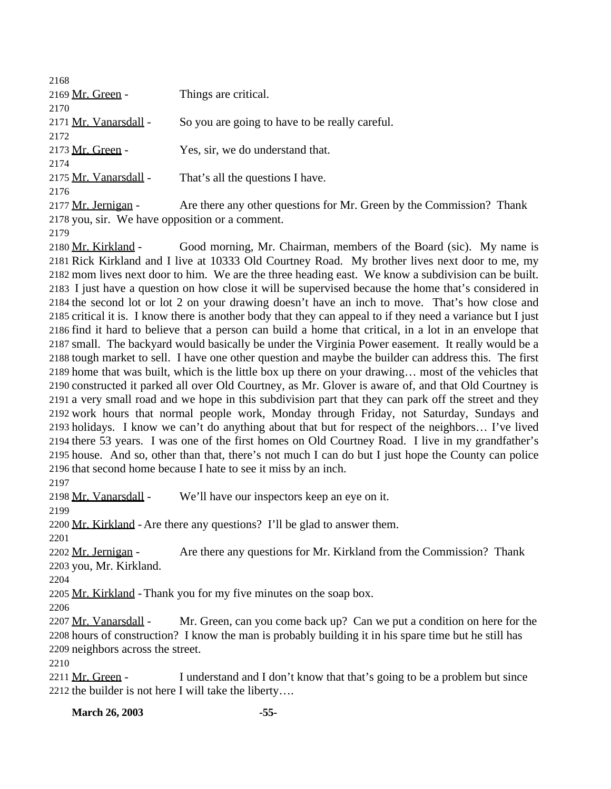| 2168                  |                                                                      |
|-----------------------|----------------------------------------------------------------------|
| 2169 Mr. Green -      | Things are critical.                                                 |
| 2170                  |                                                                      |
| 2171 Mr. Vanarsdall - | So you are going to have to be really careful.                       |
| 2172                  |                                                                      |
| 2173 Mr. Green -      | Yes, sir, we do understand that.                                     |
| 2174                  |                                                                      |
| 2175 Mr. Vanarsdall - | That's all the questions I have.                                     |
| 2176                  |                                                                      |
| 2177 Mr. Jernigan -   | Are there any other questions for Mr. Green by the Commission? Thank |
|                       |                                                                      |

you, sir. We have opposition or a comment.

 Mr. Kirkland - Good morning, Mr. Chairman, members of the Board (sic). My name is Rick Kirkland and I live at 10333 Old Courtney Road. My brother lives next door to me, my mom lives next door to him. We are the three heading east. We know a subdivision can be built. I just have a question on how close it will be supervised because the home that's considered in the second lot or lot 2 on your drawing doesn't have an inch to move. That's how close and critical it is. I know there is another body that they can appeal to if they need a variance but I just find it hard to believe that a person can build a home that critical, in a lot in an envelope that small. The backyard would basically be under the Virginia Power easement. It really would be a tough market to sell. I have one other question and maybe the builder can address this. The first home that was built, which is the little box up there on your drawing… most of the vehicles that constructed it parked all over Old Courtney, as Mr. Glover is aware of, and that Old Courtney is a very small road and we hope in this subdivision part that they can park off the street and they work hours that normal people work, Monday through Friday, not Saturday, Sundays and holidays. I know we can't do anything about that but for respect of the neighbors… I've lived there 53 years. I was one of the first homes on Old Courtney Road. I live in my grandfather's house. And so, other than that, there's not much I can do but I just hope the County can police that second home because I hate to see it miss by an inch.

2198 Mr. Vanarsdall - We'll have our inspectors keep an eye on it.

2200 Mr. Kirkland - Are there any questions? I'll be glad to answer them.

2202 Mr. Jernigan - Are there any questions for Mr. Kirkland from the Commission? Thank you, Mr. Kirkland.

2205 Mr. Kirkland - Thank you for my five minutes on the soap box.

2207 Mr. Vanarsdall - Mr. Green, can you come back up? Can we put a condition on here for the hours of construction? I know the man is probably building it in his spare time but he still has neighbors across the street.

2211 Mr. Green - I understand and I don't know that that's going to be a problem but since the builder is not here I will take the liberty….

**March 26, 2003 -55-**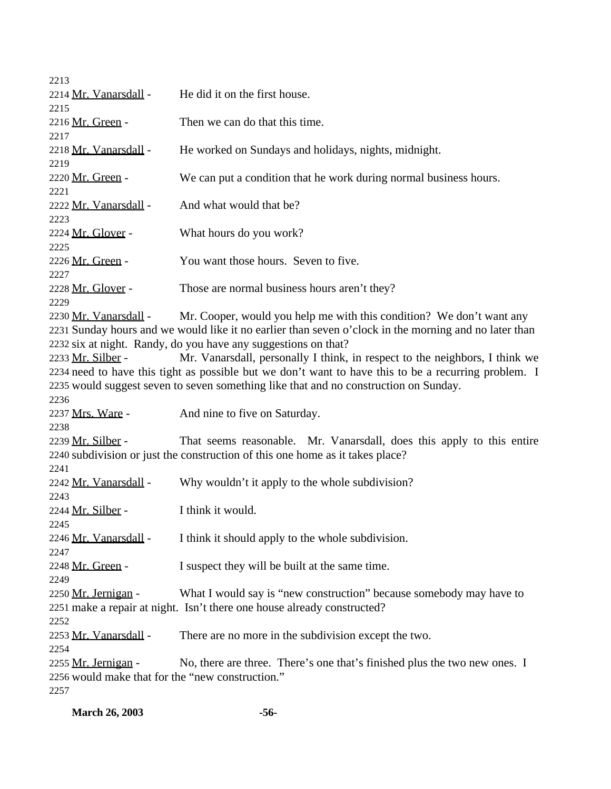| 2213                                             |                                                                                                       |
|--------------------------------------------------|-------------------------------------------------------------------------------------------------------|
| 2214 Mr. Vanarsdall -                            | He did it on the first house.                                                                         |
| 2215                                             |                                                                                                       |
| 2216 Mr. Green -                                 | Then we can do that this time.                                                                        |
| 2217                                             |                                                                                                       |
| 2218 Mr. Vanarsdall -                            | He worked on Sundays and holidays, nights, midnight.                                                  |
| 2219                                             |                                                                                                       |
| 2220 Mr. Green -                                 | We can put a condition that he work during normal business hours.                                     |
| 2221                                             |                                                                                                       |
| 2222 Mr. Vanarsdall -                            | And what would that be?                                                                               |
| 2223                                             |                                                                                                       |
| 2224 Mr. Glover -                                | What hours do you work?                                                                               |
| 2225                                             |                                                                                                       |
| 2226 Mr. Green -                                 | You want those hours. Seven to five.                                                                  |
| 2227                                             |                                                                                                       |
| 2228 Mr. Glover -                                | Those are normal business hours aren't they?                                                          |
| 2229                                             |                                                                                                       |
| 2230 Mr. Vanarsdall -                            | Mr. Cooper, would you help me with this condition? We don't want any                                  |
|                                                  | 2231 Sunday hours and we would like it no earlier than seven o'clock in the morning and no later than |
|                                                  | 2232 six at night. Randy, do you have any suggestions on that?                                        |
| 2233 Mr. Silber -                                | Mr. Vanarsdall, personally I think, in respect to the neighbors, I think we                           |
|                                                  | 2234 need to have this tight as possible but we don't want to have this to be a recurring problem. I  |
|                                                  | 2235 would suggest seven to seven something like that and no construction on Sunday.                  |
| 2236                                             |                                                                                                       |
| 2237 Mrs. Ware -                                 | And nine to five on Saturday.                                                                         |
| 2238                                             |                                                                                                       |
| 2239 Mr. Silber -                                | That seems reasonable. Mr. Vanarsdall, does this apply to this entire                                 |
|                                                  | 2240 subdivision or just the construction of this one home as it takes place?                         |
| 2241                                             |                                                                                                       |
| 2242 Mr. Vanarsdall -                            | Why wouldn't it apply to the whole subdivision?                                                       |
| 2243                                             |                                                                                                       |
| 2244 Mr. Silber -                                | I think it would.                                                                                     |
| 2245                                             |                                                                                                       |
| 2246 Mr. Vanarsdall -                            | I think it should apply to the whole subdivision.                                                     |
| 2247                                             |                                                                                                       |
| 2248 Mr. Green -                                 | I suspect they will be built at the same time.                                                        |
| 2249                                             |                                                                                                       |
| 2250 Mr. Jernigan -                              | What I would say is "new construction" because somebody may have to                                   |
|                                                  | 2251 make a repair at night. Isn't there one house already constructed?                               |
| 2252                                             |                                                                                                       |
| 2253 Mr. Vanarsdall -                            | There are no more in the subdivision except the two.                                                  |
| 2254                                             |                                                                                                       |
| 2255 Mr. Jernigan -                              | No, there are three. There's one that's finished plus the two new ones. I                             |
| 2256 would make that for the "new construction." |                                                                                                       |
| 2257                                             |                                                                                                       |
|                                                  |                                                                                                       |

**March 26, 2003 -56-**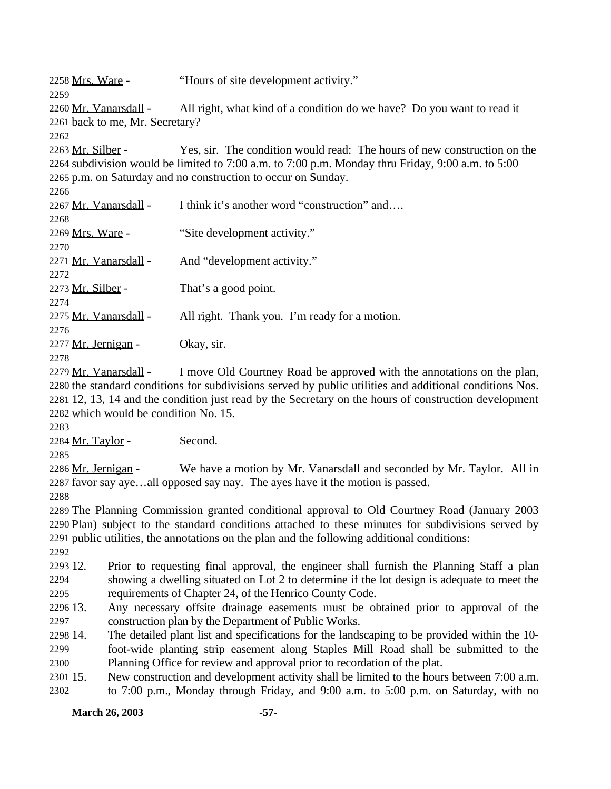2258 Mrs. Ware - "Hours of site development activity." 2260 Mr. Vanarsdall - All right, what kind of a condition do we have? Do you want to read it back to me, Mr. Secretary? Mr. Silber - Yes, sir. The condition would read: The hours of new construction on the subdivision would be limited to 7:00 a.m. to 7:00 p.m. Monday thru Friday, 9:00 a.m. to 5:00 p.m. on Saturday and no construction to occur on Sunday. 2267 Mr. Vanarsdall - I think it's another word "construction" and.... Mrs. Ware - "Site development activity." 2271 Mr. Vanarsdall - And "development activity." 2273 Mr. Silber - That's a good point. 2275 Mr. Vanarsdall - All right. Thank you. I'm ready for a motion. 2277 Mr. Jernigan - Okay, sir. 2279 Mr. Vanarsdall - I move Old Courtney Road be approved with the annotations on the plan, the standard conditions for subdivisions served by public utilities and additional conditions Nos. 12, 13, 14 and the condition just read by the Secretary on the hours of construction development which would be condition No. 15. Mr. Taylor - Second. 2286 Mr. Jernigan - We have a motion by Mr. Vanarsdall and seconded by Mr. Taylor. All in favor say aye…all opposed say nay. The ayes have it the motion is passed. The Planning Commission granted conditional approval to Old Courtney Road (January 2003 Plan) subject to the standard conditions attached to these minutes for subdivisions served by public utilities, the annotations on the plan and the following additional conditions: 12. Prior to requesting final approval, the engineer shall furnish the Planning Staff a plan

 showing a dwelling situated on Lot 2 to determine if the lot design is adequate to meet the requirements of Chapter 24, of the Henrico County Code.

 13. Any necessary offsite drainage easements must be obtained prior to approval of the construction plan by the Department of Public Works.

 14. The detailed plant list and specifications for the landscaping to be provided within the 10- foot-wide planting strip easement along Staples Mill Road shall be submitted to the Planning Office for review and approval prior to recordation of the plat.

 15. New construction and development activity shall be limited to the hours between 7:00 a.m. to 7:00 p.m., Monday through Friday, and 9:00 a.m. to 5:00 p.m. on Saturday, with no

**March 26, 2003 -57-**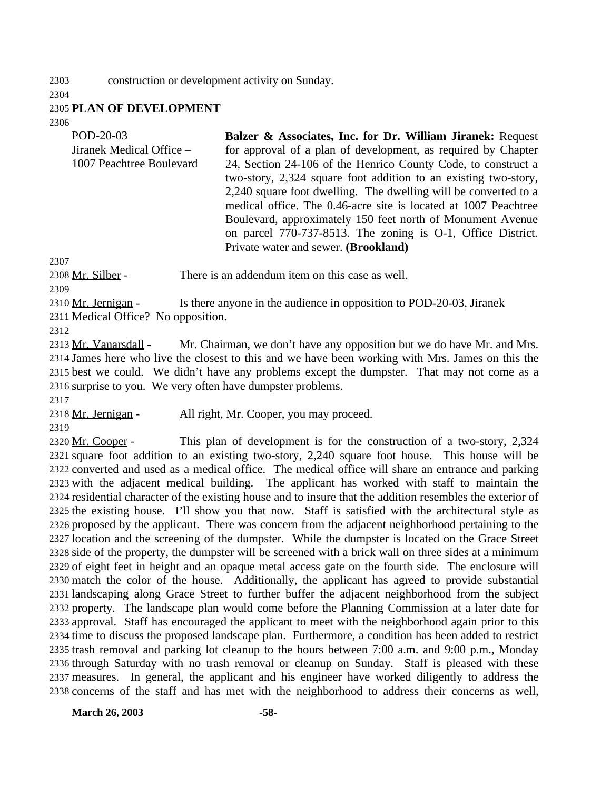construction or development activity on Sunday.

## **PLAN OF DEVELOPMENT**

| POD-20-03                | Balzer & Associates, Inc. for Dr. William Jiranek: Request      |
|--------------------------|-----------------------------------------------------------------|
| Jiranek Medical Office – | for approval of a plan of development, as required by Chapter   |
| 1007 Peachtree Boulevard | 24, Section 24-106 of the Henrico County Code, to construct a   |
|                          | two-story, 2,324 square foot addition to an existing two-story, |
|                          | 2,240 square foot dwelling. The dwelling will be converted to a |
|                          | medical office. The 0.46-acre site is located at 1007 Peachtree |
|                          | Boulevard, approximately 150 feet north of Monument Avenue      |
|                          | on parcel 770-737-8513. The zoning is 0-1, Office District.     |
|                          | Private water and sewer. (Brookland)                            |

2308 Mr. Silber - There is an addendum item on this case as well.

2310 Mr. Jernigan - Is there anyone in the audience in opposition to POD-20-03, Jiranek Medical Office? No opposition.

2313 Mr. Vanarsdall - Mr. Chairman, we don't have any opposition but we do have Mr. and Mrs. James here who live the closest to this and we have been working with Mrs. James on this the best we could. We didn't have any problems except the dumpster. That may not come as a surprise to you. We very often have dumpster problems.

Mr. Jernigan - All right, Mr. Cooper, you may proceed.

2320 Mr. Cooper - This plan of development is for the construction of a two-story, 2,324 square foot addition to an existing two-story, 2,240 square foot house. This house will be converted and used as a medical office. The medical office will share an entrance and parking with the adjacent medical building. The applicant has worked with staff to maintain the residential character of the existing house and to insure that the addition resembles the exterior of the existing house. I'll show you that now. Staff is satisfied with the architectural style as proposed by the applicant. There was concern from the adjacent neighborhood pertaining to the location and the screening of the dumpster. While the dumpster is located on the Grace Street side of the property, the dumpster will be screened with a brick wall on three sides at a minimum of eight feet in height and an opaque metal access gate on the fourth side. The enclosure will match the color of the house. Additionally, the applicant has agreed to provide substantial landscaping along Grace Street to further buffer the adjacent neighborhood from the subject property. The landscape plan would come before the Planning Commission at a later date for approval. Staff has encouraged the applicant to meet with the neighborhood again prior to this time to discuss the proposed landscape plan. Furthermore, a condition has been added to restrict trash removal and parking lot cleanup to the hours between 7:00 a.m. and 9:00 p.m., Monday through Saturday with no trash removal or cleanup on Sunday. Staff is pleased with these measures. In general, the applicant and his engineer have worked diligently to address the concerns of the staff and has met with the neighborhood to address their concerns as well,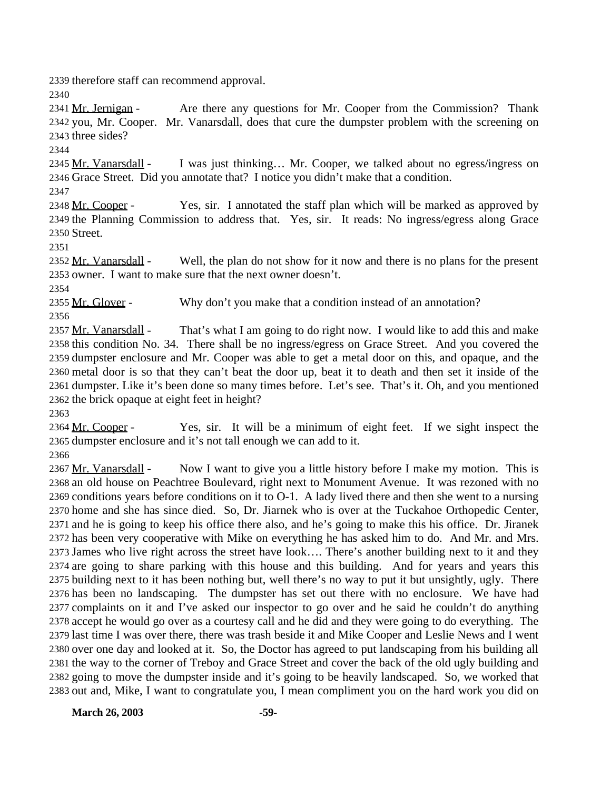therefore staff can recommend approval.

2341 Mr. Jernigan - Are there any questions for Mr. Cooper from the Commission? Thank you, Mr. Cooper. Mr. Vanarsdall, does that cure the dumpster problem with the screening on three sides?

2345 Mr. Vanarsdall - I was just thinking... Mr. Cooper, we talked about no egress/ingress on Grace Street. Did you annotate that? I notice you didn't make that a condition.

2348 Mr. Cooper - Yes, sir. I annotated the staff plan which will be marked as approved by the Planning Commission to address that. Yes, sir. It reads: No ingress/egress along Grace Street.

2352 Mr. Vanarsdall - Well, the plan do not show for it now and there is no plans for the present owner. I want to make sure that the next owner doesn't.

2355 Mr. Glover - Why don't you make that a condition instead of an annotation?

2357 Mr. Vanarsdall - That's what I am going to do right now. I would like to add this and make this condition No. 34. There shall be no ingress/egress on Grace Street. And you covered the dumpster enclosure and Mr. Cooper was able to get a metal door on this, and opaque, and the metal door is so that they can't beat the door up, beat it to death and then set it inside of the dumpster. Like it's been done so many times before. Let's see. That's it. Oh, and you mentioned the brick opaque at eight feet in height?

2364 Mr. Cooper - Yes, sir. It will be a minimum of eight feet. If we sight inspect the dumpster enclosure and it's not tall enough we can add to it.

2367 Mr. Vanarsdall - Now I want to give you a little history before I make my motion. This is an old house on Peachtree Boulevard, right next to Monument Avenue. It was rezoned with no conditions years before conditions on it to O-1. A lady lived there and then she went to a nursing home and she has since died. So, Dr. Jiarnek who is over at the Tuckahoe Orthopedic Center, and he is going to keep his office there also, and he's going to make this his office. Dr. Jiranek has been very cooperative with Mike on everything he has asked him to do. And Mr. and Mrs. James who live right across the street have look…. There's another building next to it and they are going to share parking with this house and this building. And for years and years this building next to it has been nothing but, well there's no way to put it but unsightly, ugly. There has been no landscaping. The dumpster has set out there with no enclosure. We have had complaints on it and I've asked our inspector to go over and he said he couldn't do anything accept he would go over as a courtesy call and he did and they were going to do everything. The last time I was over there, there was trash beside it and Mike Cooper and Leslie News and I went over one day and looked at it. So, the Doctor has agreed to put landscaping from his building all the way to the corner of Treboy and Grace Street and cover the back of the old ugly building and going to move the dumpster inside and it's going to be heavily landscaped. So, we worked that out and, Mike, I want to congratulate you, I mean compliment you on the hard work you did on

**March 26, 2003 -59-**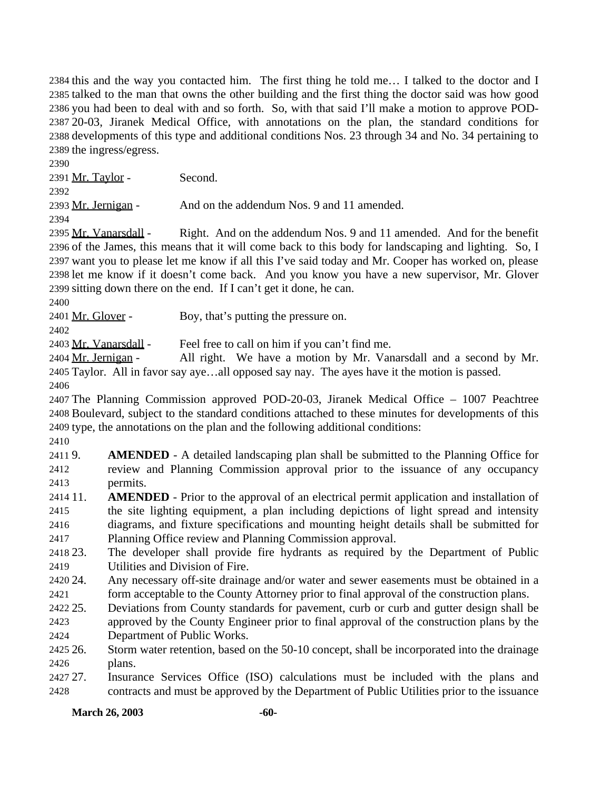this and the way you contacted him. The first thing he told me… I talked to the doctor and I talked to the man that owns the other building and the first thing the doctor said was how good you had been to deal with and so forth. So, with that said I'll make a motion to approve POD- 20-03, Jiranek Medical Office, with annotations on the plan, the standard conditions for developments of this type and additional conditions Nos. 23 through 34 and No. 34 pertaining to the ingress/egress.

Mr. Taylor - Second.

Mr. Jernigan - And on the addendum Nos. 9 and 11 amended.

2395 Mr. Vanarsdall - Right. And on the addendum Nos. 9 and 11 amended. And for the benefit of the James, this means that it will come back to this body for landscaping and lighting. So, I want you to please let me know if all this I've said today and Mr. Cooper has worked on, please let me know if it doesn't come back. And you know you have a new supervisor, Mr. Glover sitting down there on the end. If I can't get it done, he can.

2401 Mr. Glover - Boy, that's putting the pressure on.

2403 Mr. Vanarsdall - Feel free to call on him if you can't find me.

2404 Mr. Jernigan - All right. We have a motion by Mr. Vanarsdall and a second by Mr. Taylor. All in favor say aye…all opposed say nay. The ayes have it the motion is passed. 

 The Planning Commission approved POD-20-03, Jiranek Medical Office – 1007 Peachtree Boulevard, subject to the standard conditions attached to these minutes for developments of this type, the annotations on the plan and the following additional conditions:

 9. **AMENDED** - A detailed landscaping plan shall be submitted to the Planning Office for review and Planning Commission approval prior to the issuance of any occupancy permits.

 11. **AMENDED** - Prior to the approval of an electrical permit application and installation of the site lighting equipment, a plan including depictions of light spread and intensity diagrams, and fixture specifications and mounting height details shall be submitted for Planning Office review and Planning Commission approval.

 23. The developer shall provide fire hydrants as required by the Department of Public Utilities and Division of Fire.

 24. Any necessary off-site drainage and/or water and sewer easements must be obtained in a form acceptable to the County Attorney prior to final approval of the construction plans.

 25. Deviations from County standards for pavement, curb or curb and gutter design shall be approved by the County Engineer prior to final approval of the construction plans by the

Department of Public Works.

 26. Storm water retention, based on the 50-10 concept, shall be incorporated into the drainage plans.

 27. Insurance Services Office (ISO) calculations must be included with the plans and contracts and must be approved by the Department of Public Utilities prior to the issuance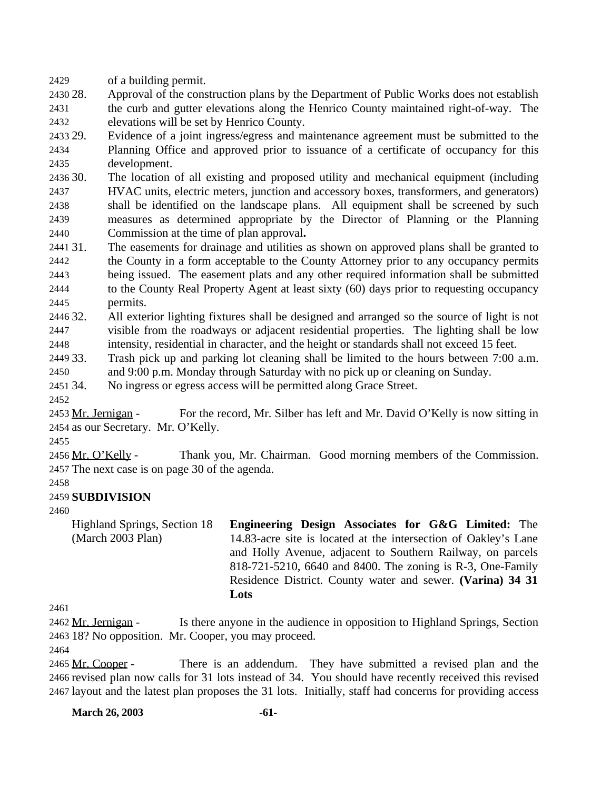of a building permit.

 28. Approval of the construction plans by the Department of Public Works does not establish the curb and gutter elevations along the Henrico County maintained right-of-way. The elevations will be set by Henrico County.

 29. Evidence of a joint ingress/egress and maintenance agreement must be submitted to the Planning Office and approved prior to issuance of a certificate of occupancy for this development.

 30. The location of all existing and proposed utility and mechanical equipment (including HVAC units, electric meters, junction and accessory boxes, transformers, and generators) shall be identified on the landscape plans. All equipment shall be screened by such measures as determined appropriate by the Director of Planning or the Planning Commission at the time of plan approval**.**

 31. The easements for drainage and utilities as shown on approved plans shall be granted to the County in a form acceptable to the County Attorney prior to any occupancy permits being issued. The easement plats and any other required information shall be submitted to the County Real Property Agent at least sixty (60) days prior to requesting occupancy permits.

 32. All exterior lighting fixtures shall be designed and arranged so the source of light is not visible from the roadways or adjacent residential properties. The lighting shall be low intensity, residential in character, and the height or standards shall not exceed 15 feet.

33. Trash pick up and parking lot cleaning shall be limited to the hours between 7:00 a.m.

and 9:00 p.m. Monday through Saturday with no pick up or cleaning on Sunday.

34. No ingress or egress access will be permitted along Grace Street.

2453 Mr. Jernigan - For the record, Mr. Silber has left and Mr. David O'Kelly is now sitting in as our Secretary. Mr. O'Kelly.

 Mr. O'Kelly - Thank you, Mr. Chairman. Good morning members of the Commission. The next case is on page 30 of the agenda.

## **SUBDIVISION**

Highland Springs, Section 18 (March 2003 Plan) **Engineering Design Associates for G&G Limited:** The 14.83-acre site is located at the intersection of Oakley's Lane and Holly Avenue, adjacent to Southern Railway, on parcels 818-721-5210, 6640 and 8400. The zoning is R-3, One-Family Residence District. County water and sewer. **(Varina) 34 31 Lots**

 Mr. Jernigan - Is there anyone in the audience in opposition to Highland Springs, Section 18? No opposition. Mr. Cooper, you may proceed.

2465 Mr. Cooper - There is an addendum. They have submitted a revised plan and the revised plan now calls for 31 lots instead of 34. You should have recently received this revised layout and the latest plan proposes the 31 lots. Initially, staff had concerns for providing access

**March 26, 2003 -61-**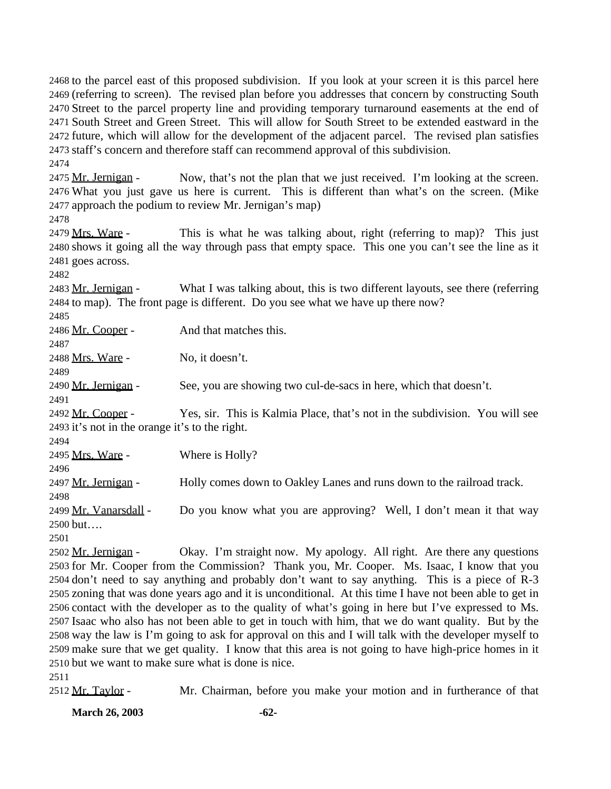to the parcel east of this proposed subdivision. If you look at your screen it is this parcel here (referring to screen). The revised plan before you addresses that concern by constructing South Street to the parcel property line and providing temporary turnaround easements at the end of South Street and Green Street. This will allow for South Street to be extended eastward in the future, which will allow for the development of the adjacent parcel. The revised plan satisfies staff's concern and therefore staff can recommend approval of this subdivision.

2475 Mr. Jernigan - Now, that's not the plan that we just received. I'm looking at the screen. What you just gave us here is current. This is different than what's on the screen. (Mike approach the podium to review Mr. Jernigan's map)

2479 Mrs. Ware - This is what he was talking about, right (referring to map)? This just shows it going all the way through pass that empty space. This one you can't see the line as it goes across.

2483 Mr. Jernigan - What I was talking about, this is two different layouts, see there (referring to map). The front page is different. Do you see what we have up there now?

 2486 Mr. Cooper - And that matches this. Mrs. Ware - No, it doesn't. Mr. Jernigan - See, you are showing two cul-de-sacs in here, which that doesn't. Mr. Cooper - Yes, sir. This is Kalmia Place, that's not in the subdivision. You will see it's not in the orange it's to the right. Mrs. Ware - Where is Holly? 2497 Mr. Jernigan - Holly comes down to Oakley Lanes and runs down to the railroad track. 2499 Mr. Vanarsdall - Do you know what you are approving? Well, I don't mean it that way but….

2502 Mr. Jernigan - Okay. I'm straight now. My apology. All right. Are there any questions for Mr. Cooper from the Commission? Thank you, Mr. Cooper. Ms. Isaac, I know that you don't need to say anything and probably don't want to say anything. This is a piece of R-3 zoning that was done years ago and it is unconditional. At this time I have not been able to get in contact with the developer as to the quality of what's going in here but I've expressed to Ms. Isaac who also has not been able to get in touch with him, that we do want quality. But by the way the law is I'm going to ask for approval on this and I will talk with the developer myself to make sure that we get quality. I know that this area is not going to have high-price homes in it but we want to make sure what is done is nice.

2512 Mr. Taylor - Mr. Chairman, before you make your motion and in furtherance of that

**March 26, 2003 -62-**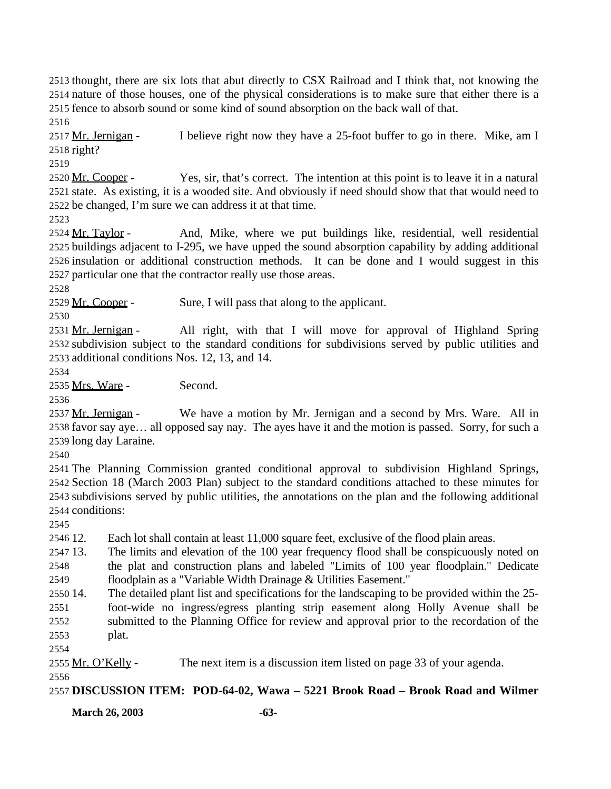thought, there are six lots that abut directly to CSX Railroad and I think that, not knowing the nature of those houses, one of the physical considerations is to make sure that either there is a fence to absorb sound or some kind of sound absorption on the back wall of that.

2517 Mr. Jernigan - I believe right now they have a 25-foot buffer to go in there. Mike, am I right?

2520 Mr. Cooper - Yes, sir, that's correct. The intention at this point is to leave it in a natural state. As existing, it is a wooded site. And obviously if need should show that that would need to be changed, I'm sure we can address it at that time.

2524 Mr. Taylor - And, Mike, where we put buildings like, residential, well residential buildings adjacent to I-295, we have upped the sound absorption capability by adding additional insulation or additional construction methods. It can be done and I would suggest in this particular one that the contractor really use those areas.

2529 Mr. Cooper - Sure, I will pass that along to the applicant.

 Mr. Jernigan - All right, with that I will move for approval of Highland Spring subdivision subject to the standard conditions for subdivisions served by public utilities and additional conditions Nos. 12, 13, and 14.

Mrs. Ware - Second.

 Mr. Jernigan - We have a motion by Mr. Jernigan and a second by Mrs. Ware. All in favor say aye… all opposed say nay. The ayes have it and the motion is passed. Sorry, for such a long day Laraine.

 The Planning Commission granted conditional approval to subdivision Highland Springs, Section 18 (March 2003 Plan) subject to the standard conditions attached to these minutes for subdivisions served by public utilities, the annotations on the plan and the following additional conditions:

12. Each lot shall contain at least 11,000 square feet, exclusive of the flood plain areas.

 13. The limits and elevation of the 100 year frequency flood shall be conspicuously noted on the plat and construction plans and labeled "Limits of 100 year floodplain." Dedicate floodplain as a "Variable Width Drainage & Utilities Easement."

 14. The detailed plant list and specifications for the landscaping to be provided within the 25- foot-wide no ingress/egress planting strip easement along Holly Avenue shall be submitted to the Planning Office for review and approval prior to the recordation of the plat.

2555 Mr. O'Kelly - The next item is a discussion item listed on page 33 of your agenda.

**DISCUSSION ITEM: POD-64-02, Wawa – 5221 Brook Road – Brook Road and Wilmer**

**March 26, 2003 -63-**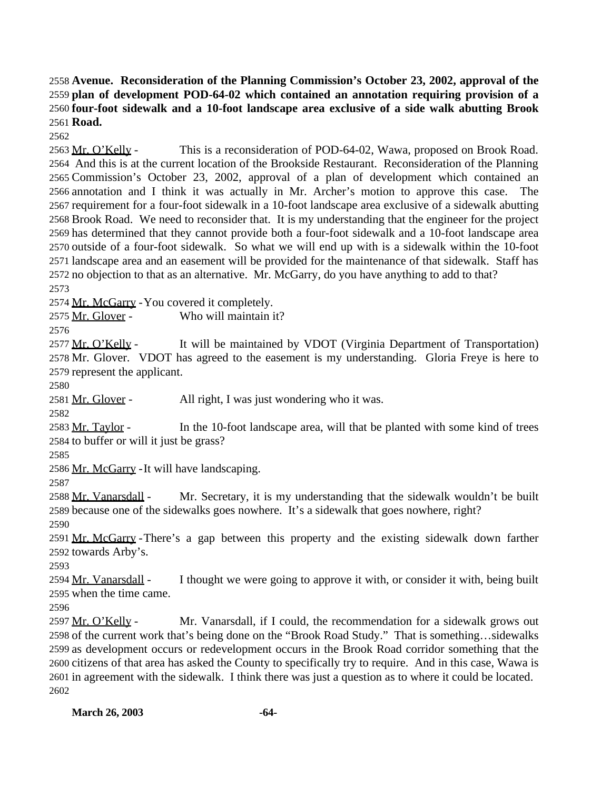**Avenue. Reconsideration of the Planning Commission's October 23, 2002, approval of the plan of development POD-64-02 which contained an annotation requiring provision of a four-foot sidewalk and a 10-foot landscape area exclusive of a side walk abutting Brook Road.**

2563 Mr. O'Kelly - This is a reconsideration of POD-64-02, Wawa, proposed on Brook Road. And this is at the current location of the Brookside Restaurant. Reconsideration of the Planning Commission's October 23, 2002, approval of a plan of development which contained an annotation and I think it was actually in Mr. Archer's motion to approve this case. The requirement for a four-foot sidewalk in a 10-foot landscape area exclusive of a sidewalk abutting Brook Road. We need to reconsider that. It is my understanding that the engineer for the project has determined that they cannot provide both a four-foot sidewalk and a 10-foot landscape area outside of a four-foot sidewalk. So what we will end up with is a sidewalk within the 10-foot landscape area and an easement will be provided for the maintenance of that sidewalk. Staff has no objection to that as an alternative. Mr. McGarry, do you have anything to add to that?

Mr. McGarry -You covered it completely.

Mr. Glover - Who will maintain it?

2577 Mr. O'Kelly - It will be maintained by VDOT (Virginia Department of Transportation) Mr. Glover. VDOT has agreed to the easement is my understanding. Gloria Freye is here to represent the applicant.

2581 Mr. Glover - All right, I was just wondering who it was.

2583 Mr. Taylor - In the 10-foot landscape area, will that be planted with some kind of trees to buffer or will it just be grass?

2586 Mr. McGarry - It will have landscaping.

2588 Mr. Vanarsdall - Mr. Secretary, it is my understanding that the sidewalk wouldn't be built because one of the sidewalks goes nowhere. It's a sidewalk that goes nowhere, right? 

 Mr. McGarry -There's a gap between this property and the existing sidewalk down farther towards Arby's.

2594 Mr. Vanarsdall - I thought we were going to approve it with, or consider it with, being built when the time came.

2597 Mr. O'Kelly - Mr. Vanarsdall, if I could, the recommendation for a sidewalk grows out of the current work that's being done on the "Brook Road Study." That is something…sidewalks as development occurs or redevelopment occurs in the Brook Road corridor something that the citizens of that area has asked the County to specifically try to require. And in this case, Wawa is in agreement with the sidewalk. I think there was just a question as to where it could be located.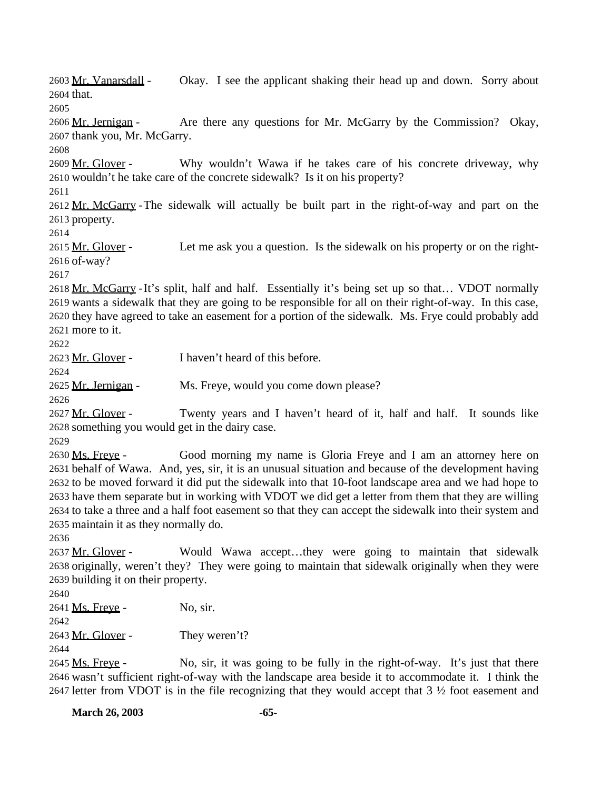Mr. Vanarsdall - Okay. I see the applicant shaking their head up and down. Sorry about that.

 Mr. Jernigan - Are there any questions for Mr. McGarry by the Commission? Okay, thank you, Mr. McGarry.

2609 Mr. Glover - Why wouldn't Wawa if he takes care of his concrete driveway, why wouldn't he take care of the concrete sidewalk? Is it on his property?

2612 Mr. McGarry - The sidewalk will actually be built part in the right-of-way and part on the property.

2615 Mr. Glover - Let me ask you a question. Is the sidewalk on his property or on the right-of-way?

 Mr. McGarry -It's split, half and half. Essentially it's being set up so that… VDOT normally wants a sidewalk that they are going to be responsible for all on their right-of-way. In this case, they have agreed to take an easement for a portion of the sidewalk. Ms. Frye could probably add more to it.

Mr. Glover - I haven't heard of this before.

Mr. Jernigan - Ms. Freye, would you come down please?

2627 Mr. Glover - Twenty years and I haven't heard of it, half and half. It sounds like something you would get in the dairy case.

 Ms. Freye - Good morning my name is Gloria Freye and I am an attorney here on behalf of Wawa. And, yes, sir, it is an unusual situation and because of the development having to be moved forward it did put the sidewalk into that 10-foot landscape area and we had hope to have them separate but in working with VDOT we did get a letter from them that they are willing to take a three and a half foot easement so that they can accept the sidewalk into their system and maintain it as they normally do.

2637 Mr. Glover - Would Wawa accept...they were going to maintain that sidewalk originally, weren't they? They were going to maintain that sidewalk originally when they were building it on their property.

 2641 Ms. Freye - No, sir. 2643 Mr. Glover - They weren't?

2645 Ms. Freve - No, sir, it was going to be fully in the right-of-way. It's just that there wasn't sufficient right-of-way with the landscape area beside it to accommodate it. I think the letter from VDOT is in the file recognizing that they would accept that 3 ½ foot easement and

**March 26, 2003 -65-**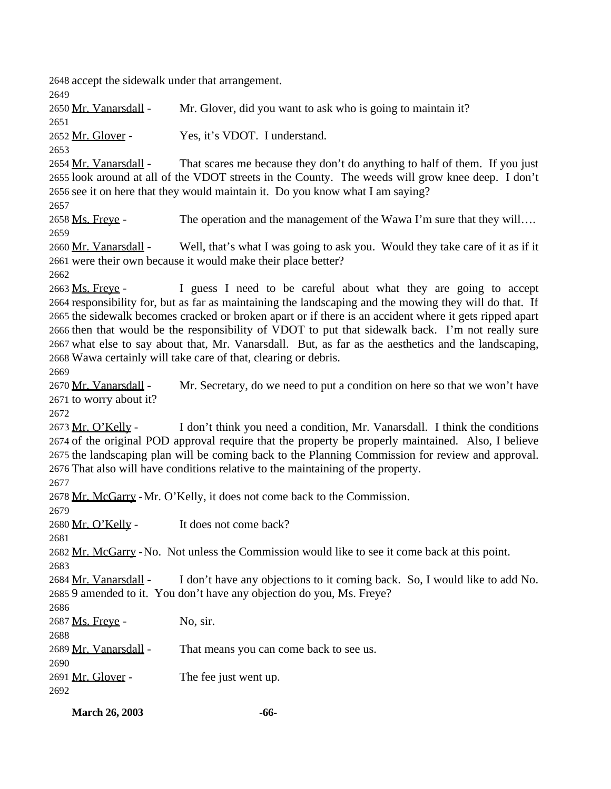accept the sidewalk under that arrangement. Mr. Vanarsdall - Mr. Glover, did you want to ask who is going to maintain it? Mr. Glover - Yes, it's VDOT. I understand. 2654 Mr. Vanarsdall - That scares me because they don't do anything to half of them. If you just look around at all of the VDOT streets in the County. The weeds will grow knee deep. I don't see it on here that they would maintain it. Do you know what I am saying? 2658 Ms. Freve - The operation and the management of the Wawa I'm sure that they will…. 2660 Mr. Vanarsdall - Well, that's what I was going to ask you. Would they take care of it as if it were their own because it would make their place better? 2663 Ms. Freve - I guess I need to be careful about what they are going to accept responsibility for, but as far as maintaining the landscaping and the mowing they will do that. If the sidewalk becomes cracked or broken apart or if there is an accident where it gets ripped apart then that would be the responsibility of VDOT to put that sidewalk back. I'm not really sure what else to say about that, Mr. Vanarsdall. But, as far as the aesthetics and the landscaping, Wawa certainly will take care of that, clearing or debris. Mr. Vanarsdall - Mr. Secretary, do we need to put a condition on here so that we won't have to worry about it? 2673 Mr. O'Kelly - I don't think you need a condition, Mr. Vanarsdall. I think the conditions of the original POD approval require that the property be properly maintained. Also, I believe the landscaping plan will be coming back to the Planning Commission for review and approval. That also will have conditions relative to the maintaining of the property. Mr. McGarry -Mr. O'Kelly, it does not come back to the Commission. 2680 Mr. O'Kelly - It does not come back? Mr. McGarry -No. Not unless the Commission would like to see it come back at this point. Mr. Vanarsdall - I don't have any objections to it coming back. So, I would like to add No. 9 amended to it. You don't have any objection do you, Ms. Freye? 2687 Ms. Freye - No, sir. Mr. Vanarsdall - That means you can come back to see us. 2691 Mr. Glover - The fee just went up. 

**March 26, 2003 -66-**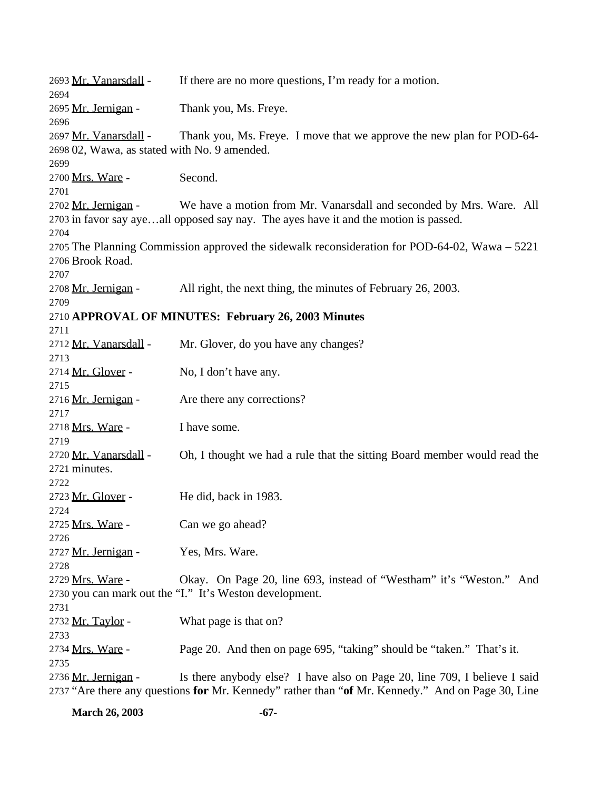| 2693 Mr. Vanarsdall -<br>2694                                         | If there are no more questions, I'm ready for a motion.                                                                                                                        |
|-----------------------------------------------------------------------|--------------------------------------------------------------------------------------------------------------------------------------------------------------------------------|
| 2695 Mr. Jernigan -<br>2696                                           | Thank you, Ms. Freye.                                                                                                                                                          |
| 2697 Mr. Vanarsdall -<br>2698 02, Wawa, as stated with No. 9 amended. | Thank you, Ms. Freye. I move that we approve the new plan for POD-64-                                                                                                          |
| 2699<br>2700 Mrs. Ware -<br>2701                                      | Second.                                                                                                                                                                        |
| 2702 Mr. Jernigan -                                                   | We have a motion from Mr. Vanarsdall and seconded by Mrs. Ware. All<br>2703 in favor say ayeall opposed say nay. The ayes have it and the motion is passed.                    |
| 2704<br>2706 Brook Road.                                              | 2705 The Planning Commission approved the sidewalk reconsideration for POD-64-02, Wawa – 5221                                                                                  |
| 2707<br>2708 Mr. Jernigan -                                           | All right, the next thing, the minutes of February 26, 2003.                                                                                                                   |
| 2709<br>2711                                                          | 2710 APPROVAL OF MINUTES: February 26, 2003 Minutes                                                                                                                            |
| 2712 Mr. Vanarsdall -<br>2713                                         | Mr. Glover, do you have any changes?                                                                                                                                           |
| 2714 Mr. Glover -<br>2715                                             | No, I don't have any.                                                                                                                                                          |
| 2716 Mr. Jernigan -<br>2717                                           | Are there any corrections?                                                                                                                                                     |
| 2718 Mrs. Ware -<br>2719                                              | I have some.                                                                                                                                                                   |
| 2720 Mr. Vanarsdall -<br>2721 minutes.<br>2722                        | Oh, I thought we had a rule that the sitting Board member would read the                                                                                                       |
| 2723 Mr. Glover -<br>2724                                             | He did, back in 1983.                                                                                                                                                          |
| 2725 Mrs. Ware -<br>2726                                              | Can we go ahead?                                                                                                                                                               |
| 2727 Mr. Jernigan -<br>2728                                           | Yes, Mrs. Ware.                                                                                                                                                                |
| 2729 Mrs. Ware -<br>2731                                              | Okay. On Page 20, line 693, instead of "Westham" it's "Weston." And<br>2730 you can mark out the "I." It's Weston development.                                                 |
| 2732 Mr. Taylor -<br>2733                                             | What page is that on?                                                                                                                                                          |
| 2734 Mrs. Ware -<br>2735                                              | Page 20. And then on page 695, "taking" should be "taken." That's it.                                                                                                          |
| 2736 Mr. Jernigan -                                                   | Is there anybody else? I have also on Page 20, line 709, I believe I said<br>2737 "Are there any questions for Mr. Kennedy" rather than "of Mr. Kennedy." And on Page 30, Line |

**March 26, 2003 -67-**